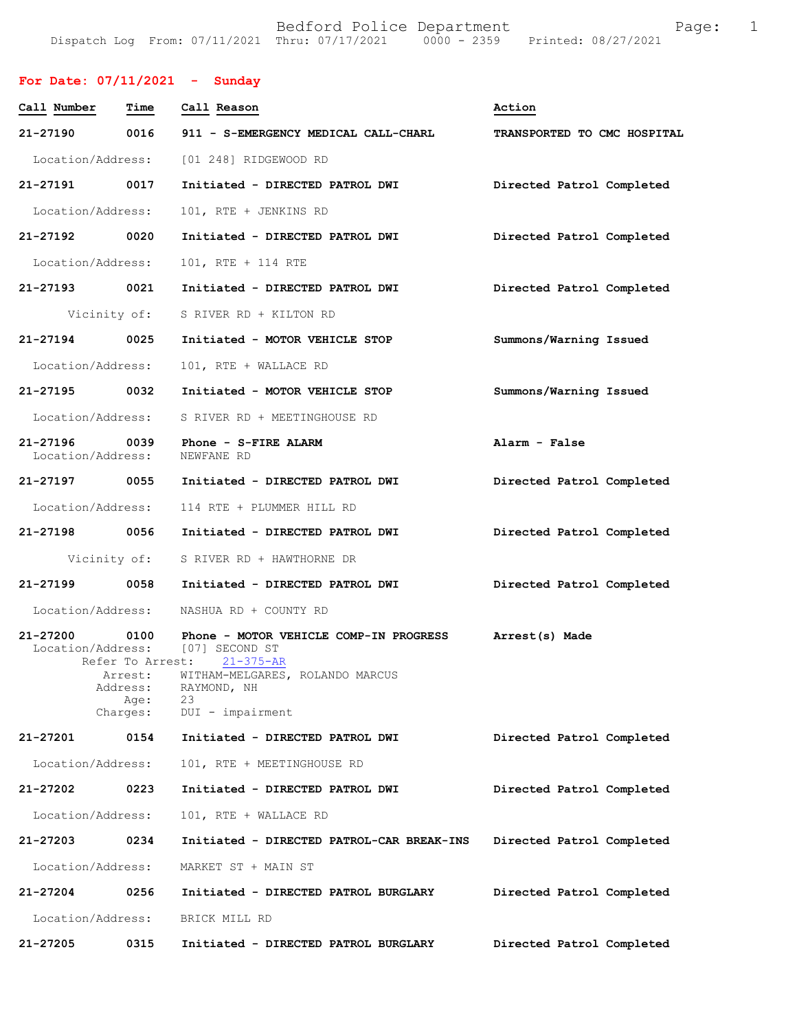|  |  | DOULOIU IOIICO DOPUICMONO                      |  |                                 | ⊥ u⊂ |
|--|--|------------------------------------------------|--|---------------------------------|------|
|  |  | Dispatch Log From: 07/11/2021 Thru: 07/17/2021 |  | 0000 - 2359 Printed: 08/27/2021 |      |
|  |  |                                                |  |                                 |      |

| For Date: $07/11/2021$ - Sunday    |                                                                     |                                                                                                                                                                           |                             |
|------------------------------------|---------------------------------------------------------------------|---------------------------------------------------------------------------------------------------------------------------------------------------------------------------|-----------------------------|
| Call Number Time                   |                                                                     | Call Reason                                                                                                                                                               | Action                      |
| 21-27190 0016                      |                                                                     | 911 - S-EMERGENCY MEDICAL CALL-CHARL                                                                                                                                      | TRANSPORTED TO CMC HOSPITAL |
|                                    |                                                                     | Location/Address: [01 248] RIDGEWOOD RD                                                                                                                                   |                             |
| 21-27191 0017                      |                                                                     | Initiated - DIRECTED PATROL DWI                                                                                                                                           | Directed Patrol Completed   |
| Location/Address:                  |                                                                     | 101, RTE + JENKINS RD                                                                                                                                                     |                             |
| 21-27192                           | 0020                                                                | Initiated - DIRECTED PATROL DWI                                                                                                                                           | Directed Patrol Completed   |
| Location/Address:                  |                                                                     | 101, RTE + 114 RTE                                                                                                                                                        |                             |
| 21-27193 0021                      |                                                                     | Initiated - DIRECTED PATROL DWI                                                                                                                                           | Directed Patrol Completed   |
|                                    | Vicinity of:                                                        | S RIVER RD + KILTON RD                                                                                                                                                    |                             |
| 21-27194 0025                      |                                                                     | Initiated - MOTOR VEHICLE STOP                                                                                                                                            | Summons/Warning Issued      |
| Location/Address:                  |                                                                     | 101, RTE + WALLACE RD                                                                                                                                                     |                             |
| 21-27195 0032                      |                                                                     | Initiated - MOTOR VEHICLE STOP                                                                                                                                            | Summons/Warning Issued      |
| Location/Address:                  |                                                                     | S RIVER RD + MEETINGHOUSE RD                                                                                                                                              |                             |
| 21-27196 0039<br>Location/Address: |                                                                     | Phone - S-FIRE ALARM<br>NEWFANE RD                                                                                                                                        | Alarm - False               |
| 21-27197 0055                      |                                                                     | Initiated - DIRECTED PATROL DWI                                                                                                                                           | Directed Patrol Completed   |
| Location/Address:                  |                                                                     | 114 RTE + PLUMMER HILL RD                                                                                                                                                 |                             |
| 21-27198 0056                      |                                                                     | Initiated - DIRECTED PATROL DWI                                                                                                                                           | Directed Patrol Completed   |
|                                    | Vicinity of:                                                        | S RIVER RD + HAWTHORNE DR                                                                                                                                                 |                             |
| 21-27199                           | 0058                                                                | Initiated - DIRECTED PATROL DWI                                                                                                                                           | Directed Patrol Completed   |
| Location/Address:                  |                                                                     | NASHUA RD + COUNTY RD                                                                                                                                                     |                             |
| 21-27200                           | 0100<br>Refer To Arrest:<br>Arrest:<br>Address:<br>Age:<br>Charges: | Phone - MOTOR VEHICLE COMP-IN PROGRESS<br>Location/Address: [07] SECOND ST<br>$21 - 375 - AR$<br>WITHAM-MELGARES, ROLANDO MARCUS<br>RAYMOND, NH<br>23<br>DUI - impairment | Arrest(s) Made              |
| 21-27201                           | 0154                                                                | Initiated - DIRECTED PATROL DWI                                                                                                                                           | Directed Patrol Completed   |
| Location/Address:                  |                                                                     | 101, RTE + MEETINGHOUSE RD                                                                                                                                                |                             |
| 21-27202                           | 0223                                                                | Initiated - DIRECTED PATROL DWI                                                                                                                                           | Directed Patrol Completed   |
| Location/Address:                  |                                                                     | 101, RTE + WALLACE RD                                                                                                                                                     |                             |
| 21-27203                           | 0234                                                                | Initiated - DIRECTED PATROL-CAR BREAK-INS                                                                                                                                 | Directed Patrol Completed   |
| Location/Address:                  |                                                                     | MARKET ST + MAIN ST                                                                                                                                                       |                             |
| 21-27204                           | 0256                                                                | Initiated - DIRECTED PATROL BURGLARY                                                                                                                                      | Directed Patrol Completed   |
| Location/Address:                  |                                                                     | BRICK MILL RD                                                                                                                                                             |                             |
| 21-27205                           | 0315                                                                | Initiated - DIRECTED PATROL BURGLARY                                                                                                                                      | Directed Patrol Completed   |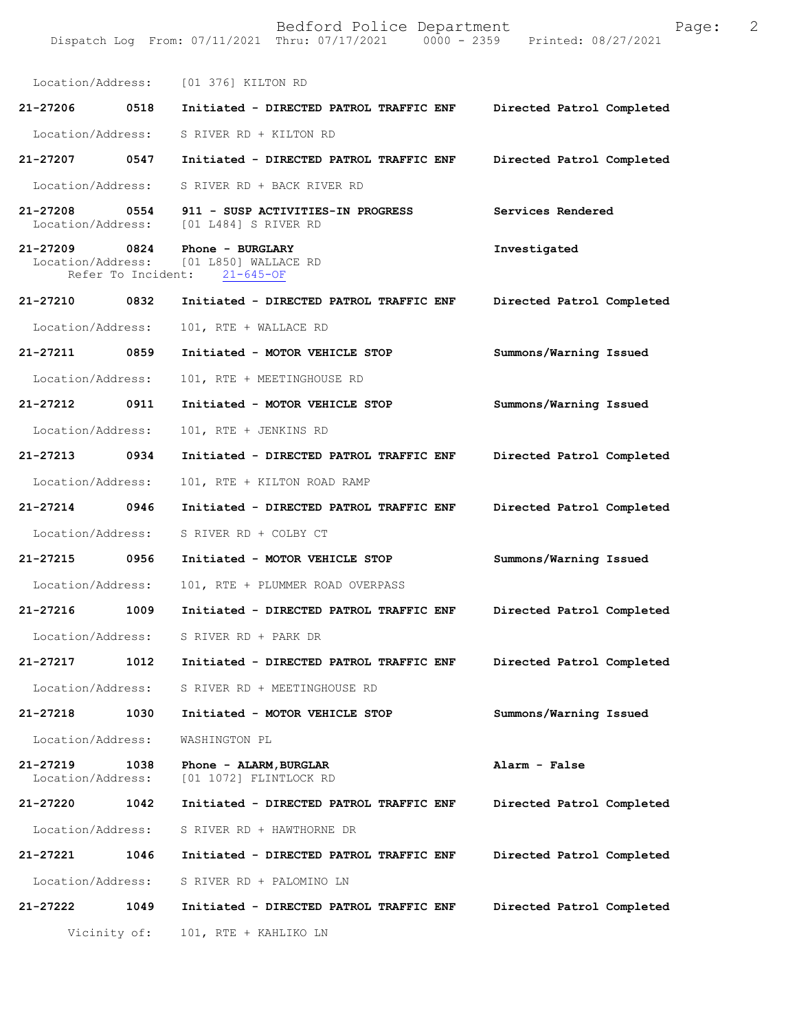Location/Address: [01 376] KILTON RD **21-27206 0518 Initiated - DIRECTED PATROL TRAFFIC ENF Directed Patrol Completed**  Location/Address: S RIVER RD + KILTON RD **21-27207 0547 Initiated - DIRECTED PATROL TRAFFIC ENF Directed Patrol Completed**  Location/Address: S RIVER RD + BACK RIVER RD **21-27208 0554 911 - SUSP ACTIVITIES-IN PROGRESS Services Rendered**  Location/Address: [01 L484] S RIVER RD **21-27209 0824 Phone - BURGLARY Investigated**  [01 L850] WALLACE RD<br>ht: 21-645-OF Refer To Incident: **21-27210 0832 Initiated - DIRECTED PATROL TRAFFIC ENF Directed Patrol Completed**  Location/Address: 101, RTE + WALLACE RD **21-27211 0859 Initiated - MOTOR VEHICLE STOP Summons/Warning Issued**  Location/Address: 101, RTE + MEETINGHOUSE RD **21-27212 0911 Initiated - MOTOR VEHICLE STOP Summons/Warning Issued**  Location/Address: 101, RTE + JENKINS RD **21-27213 0934 Initiated - DIRECTED PATROL TRAFFIC ENF Directed Patrol Completed**  Location/Address: 101, RTE + KILTON ROAD RAMP **21-27214 0946 Initiated - DIRECTED PATROL TRAFFIC ENF Directed Patrol Completed**  Location/Address: S RIVER RD + COLBY CT **21-27215 0956 Initiated - MOTOR VEHICLE STOP Summons/Warning Issued**  Location/Address: 101, RTE + PLUMMER ROAD OVERPASS **21-27216 1009 Initiated - DIRECTED PATROL TRAFFIC ENF Directed Patrol Completed**  Location/Address: S RIVER RD + PARK DR **21-27217 1012 Initiated - DIRECTED PATROL TRAFFIC ENF Directed Patrol Completed**  Location/Address: S RIVER RD + MEETINGHOUSE RD **21-27218 1030 Initiated - MOTOR VEHICLE STOP Summons/Warning Issued**  Location/Address: WASHINGTON PL **21-27219 1038 Phone - ALARM,BURGLAR Alarm - False**  Location/Address: [01 1072] FLINTLOCK RD **21-27220 1042 Initiated - DIRECTED PATROL TRAFFIC ENF Directed Patrol Completed**  Location/Address: S RIVER RD + HAWTHORNE DR **21-27221 1046 Initiated - DIRECTED PATROL TRAFFIC ENF Directed Patrol Completed**  Location/Address: S RIVER RD + PALOMINO LN **21-27222 1049 Initiated - DIRECTED PATROL TRAFFIC ENF Directed Patrol Completed**  Vicinity of: 101, RTE + KAHLIKO LN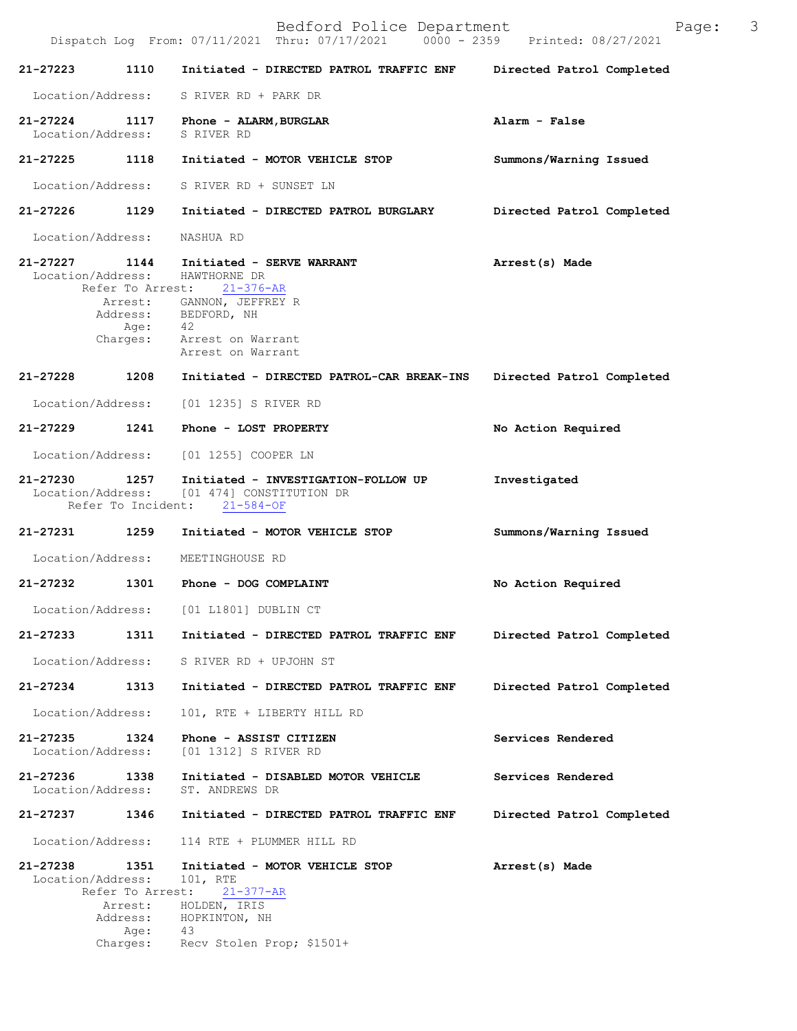Bedford Police Department Page: 3 Dispatch Log From:  $07/11/2021$  Thru:  $07/17/2021$  0000 - 2359 **21-27223 1110 Initiated - DIRECTED PATROL TRAFFIC ENF Directed Patrol Completed**  Location/Address: S RIVER RD + PARK DR **21-27224 1117 Phone - ALARM,BURGLAR Alarm - False**  Location/Address: S RIVER RD **21-27225 1118 Initiated - MOTOR VEHICLE STOP Summons/Warning Issued**  Location/Address: S RIVER RD + SUNSET LN **21-27226 1129 Initiated - DIRECTED PATROL BURGLARY Directed Patrol Completed**  Location/Address: NASHUA RD **21-27227 1144 Initiated - SERVE WARRANT Arrest(s) Made**  Location/Address: HAWTHORNE DR<br>Refer To Arrest: 21-376-AR Refer To Arrest: **21-27230 1257 Initiated - INVESTIGATION-FOLLOW UP Investigated**  [01 474] CONSTITUTION DR Refer To Incident: 21-584-OF **21-27231 1259 Initiated - MOTOR VEHICLE STOP Summons/Warning Issued**  Location/Address: MEETINGHOUSE RD **21-27232 1301 Phone - DOG COMPLAINT No Action Required**  Location/Address: [01 L1801] DUBLIN CT **21-27233 1311 Initiated - DIRECTED PATROL TRAFFIC ENF Directed Patrol Completed**  Location/Address: S RIVER RD + UPJOHN ST **21-27234 1313 Initiated - DIRECTED PATROL TRAFFIC ENF Directed Patrol Completed**  Location/Address: 101, RTE + LIBERTY HILL RD **21-27235 1324 Phone - ASSIST CITIZEN Services Rendered**  Location/Address: [01 1312] S RIVER RD 21-27236 1338 Initiated - DISABLED MOTOR VEHICLE Services Rendered Location/Address: ST. ANDREWS DR Location/Address: **21-27237 1346 Initiated - DIRECTED PATROL TRAFFIC ENF Directed Patrol Completed**  Location/Address: 114 RTE + PLUMMER HILL RD **21-27238 1351 Initiated - MOTOR VEHICLE STOP Arrest(s) Made**  Location/Address: Refer To Arrest: 21-377-AR Arrest: GANNON, JEFFREY R Address: BEDFORD, NH Age: 42 Charges: Arrest on Warrant Arrest on Warrant **21-27228 1208 Initiated - DIRECTED PATROL-CAR BREAK-INS Directed Patrol Completed** Location/Address: [01 1235] S RIVER RD **21-27229 1241 Phone - LOST PROPERTY No Action Required** Location/Address: [01 1255] COOPER LN Arrest: HOLDEN, IRIS Address: HOPKINTON, NH Age: 43 Charges: Recv Stolen Prop; \$1501+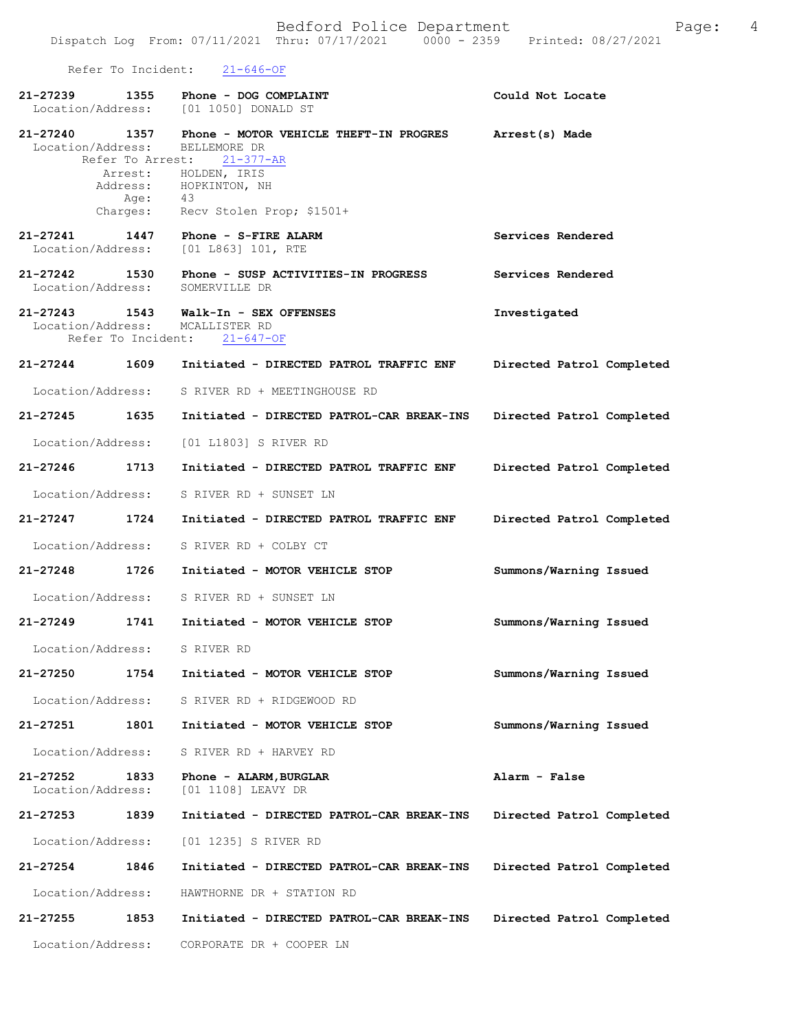Refer To Incident: 21-646-OF

| 21-27239<br>Location/Address: | 1355             | Phone - DOG COMPLAINT<br>[01 1050] DONALD ST                                                            | Could Not Locate          |
|-------------------------------|------------------|---------------------------------------------------------------------------------------------------------|---------------------------|
| 21-27240<br>Location/Address: | 1357             | Phone - MOTOR VEHICLE THEFT-IN PROGRES<br>BELLEMORE DR                                                  | Arrest(s) Made            |
|                               |                  | Refer To Arrest: 21-377-AR<br>Arrest: HOLDEN, IRIS<br>Address: HOPKINTON, NH                            |                           |
|                               | Age:<br>Charges: | 43<br>Recv Stolen Prop; \$1501+                                                                         |                           |
| Location/Address:             |                  | 21-27241   1447   Phone - S-FIRE ALARM<br>[01 L863] 101, RTE                                            | Services Rendered         |
| 21-27242<br>Location/Address: | 1530             | Phone - SUSP ACTIVITIES-IN PROGRESS<br>SOMERVILLE DR                                                    | Services Rendered         |
|                               |                  | 21-27243 1543 Walk-In - SEX OFFENSES<br>Location/Address: MCALLISTER RD<br>Refer To Incident: 21-647-OF | Investigated              |
| 21-27244 1609                 |                  | Initiated - DIRECTED PATROL TRAFFIC ENF                                                                 | Directed Patrol Completed |
| Location/Address:             |                  | S RIVER RD + MEETINGHOUSE RD                                                                            |                           |
| 21-27245 1635                 |                  | Initiated - DIRECTED PATROL-CAR BREAK-INS                                                               | Directed Patrol Completed |
| Location/Address:             |                  | [01 L1803] S RIVER RD                                                                                   |                           |
| 21-27246 1713                 |                  | Initiated - DIRECTED PATROL TRAFFIC ENF                                                                 | Directed Patrol Completed |
| Location/Address:             |                  | S RIVER RD + SUNSET LN                                                                                  |                           |
| 21-27247 1724                 |                  | Initiated - DIRECTED PATROL TRAFFIC ENF                                                                 | Directed Patrol Completed |
| Location/Address:             |                  | S RIVER RD + COLBY CT                                                                                   |                           |
| 21-27248 1726                 |                  | Initiated - MOTOR VEHICLE STOP                                                                          | Summons/Warning Issued    |
| Location/Address:             |                  | S RIVER RD + SUNSET LN                                                                                  |                           |
| 21-27249 1741                 |                  | Initiated - MOTOR VEHICLE STOP                                                                          | Summons/Warning Issued    |
|                               |                  | Location/Address: S RIVER RD                                                                            |                           |
|                               |                  | 21-27250 1754 Initiated - MOTOR VEHICLE STOP                                                            | Summons/Warning Issued    |
|                               |                  | Location/Address: S RIVER RD + RIDGEWOOD RD                                                             |                           |
|                               |                  | 21-27251 1801 Initiated - MOTOR VEHICLE STOP                                                            | Summons/Warning Issued    |
| Location/Address:             |                  | S RIVER RD + HARVEY RD                                                                                  |                           |
| 21-27252 1833                 |                  | Phone - ALARM, BURGLAR<br>Location/Address: [01 1108] LEAVY DR                                          | Alarm - False             |
| 21-27253 1839                 |                  | Initiated - DIRECTED PATROL-CAR BREAK-INS                                                               | Directed Patrol Completed |
|                               |                  | Location/Address: [01 1235] S RIVER RD                                                                  |                           |
| 21-27254 1846                 |                  | Initiated - DIRECTED PATROL-CAR BREAK-INS                                                               | Directed Patrol Completed |
|                               |                  | Location/Address: HAWTHORNE DR + STATION RD                                                             |                           |
| 21-27255 1853                 |                  | Initiated - DIRECTED PATROL-CAR BREAK-INS                                                               | Directed Patrol Completed |
| Location/Address:             |                  | CORPORATE DR + COOPER LN                                                                                |                           |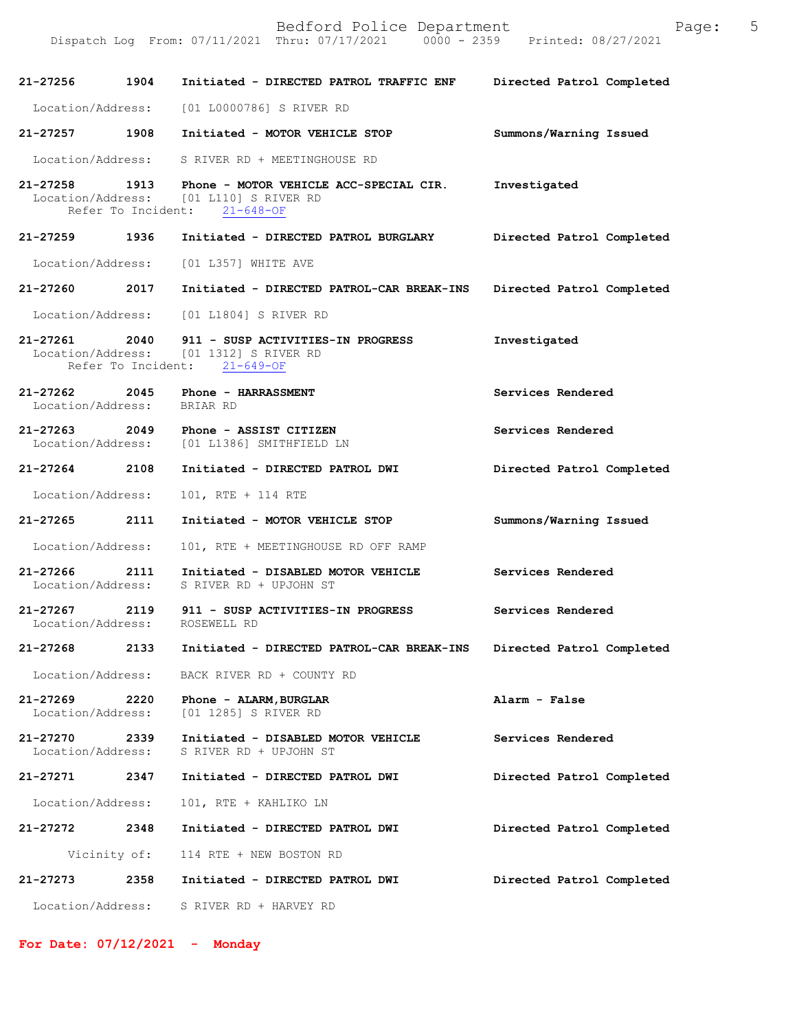| 21-27256 1904                                      |      | Initiated - DIRECTED PATROL TRAFFIC ENF                                                                                        | Directed Patrol Completed |
|----------------------------------------------------|------|--------------------------------------------------------------------------------------------------------------------------------|---------------------------|
|                                                    |      | Location/Address: [01 L0000786] S RIVER RD                                                                                     |                           |
| 21-27257 1908                                      |      | Initiated - MOTOR VEHICLE STOP                                                                                                 | Summons/Warning Issued    |
| Location/Address:                                  |      | S RIVER RD + MEETINGHOUSE RD                                                                                                   |                           |
|                                                    |      | 21-27258 1913 Phone - MOTOR VEHICLE ACC-SPECIAL CIR.<br>Location/Address: [01 L110] S RIVER RD<br>Refer To Incident: 21-648-OF | Investigated              |
| 21-27259 1936                                      |      | Initiated - DIRECTED PATROL BURGLARY                                                                                           | Directed Patrol Completed |
| Location/Address:                                  |      | [01 L357] WHITE AVE                                                                                                            |                           |
| 21-27260 2017                                      |      | Initiated - DIRECTED PATROL-CAR BREAK-INS                                                                                      | Directed Patrol Completed |
| Location/Address:                                  |      | [01 L1804] S RIVER RD                                                                                                          |                           |
|                                                    |      | 21-27261 2040 911 - SUSP ACTIVITIES-IN PROGRESS<br>Location/Address: [01 1312] S RIVER RD<br>Refer To Incident: 21-649-OF      | Investigated              |
| $21 - 27262$ 2045<br>Location/Address: BRIAR RD    |      | <b>Phone - HARRASSMENT</b>                                                                                                     | Services Rendered         |
|                                                    |      | 21-27263 2049 Phone - ASSIST CITIZEN<br>Location/Address: [01 L1386] SMITHFIELD LN                                             | Services Rendered         |
| 21-27264 2108                                      |      | Initiated - DIRECTED PATROL DWI                                                                                                | Directed Patrol Completed |
| Location/Address:                                  |      | 101, RTE + 114 RTE                                                                                                             |                           |
| 21-27265 2111                                      |      | Initiated - MOTOR VEHICLE STOP                                                                                                 | Summons/Warning Issued    |
| Location/Address:                                  |      | 101, RTE + MEETINGHOUSE RD OFF RAMP                                                                                            |                           |
| 21-27266 2111                                      |      | Initiated - DISABLED MOTOR VEHICLE<br>Location/Address: S RIVER RD + UPJOHN ST                                                 | Services Rendered         |
| $21 - 27267$ 2119<br>Location/Address: ROSEWELL RD |      | 911 - SUSP ACTIVITIES-IN PROGRESS                                                                                              | Services Rendered         |
| 21-27268                                           | 2133 | Initiated - DIRECTED PATROL-CAR BREAK-INS                                                                                      | Directed Patrol Completed |
| Location/Address:                                  |      | BACK RIVER RD + COUNTY RD                                                                                                      |                           |
| 21-27269<br>Location/Address:                      | 2220 | Phone - ALARM, BURGLAR<br>[01 1285] S RIVER RD                                                                                 | Alarm - False             |
| 21-27270<br>Location/Address:                      | 2339 | Initiated - DISABLED MOTOR VEHICLE<br>S RIVER RD + UPJOHN ST                                                                   | Services Rendered         |
| 21-27271                                           | 2347 | Initiated - DIRECTED PATROL DWI                                                                                                | Directed Patrol Completed |
| Location/Address:                                  |      | 101, RTE + KAHLIKO LN                                                                                                          |                           |
| 21-27272                                           | 2348 | Initiated - DIRECTED PATROL DWI                                                                                                | Directed Patrol Completed |
| Vicinity of:                                       |      | 114 RTE + NEW BOSTON RD                                                                                                        |                           |
| 21-27273                                           | 2358 | Initiated - DIRECTED PATROL DWI                                                                                                | Directed Patrol Completed |
| Location/Address:                                  |      | S RIVER RD + HARVEY RD                                                                                                         |                           |

**For Date: 07/12/2021 - Monday**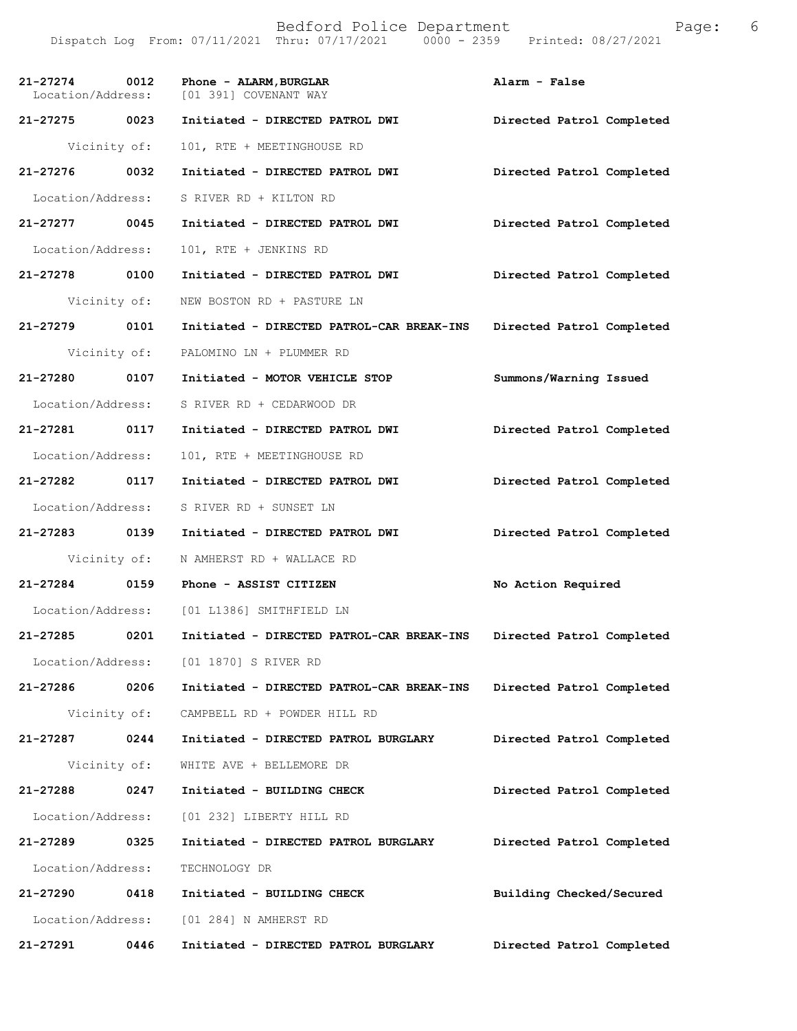| 21-27274 0012     |      | Phone - ALARM, BURGLAR<br>Location/Address: [01 391] COVENANT WAY | Alarm - False             |
|-------------------|------|-------------------------------------------------------------------|---------------------------|
| 21-27275 0023     |      | Initiated - DIRECTED PATROL DWI                                   | Directed Patrol Completed |
| Vicinity of:      |      | 101, RTE + MEETINGHOUSE RD                                        |                           |
| 21-27276 0032     |      | Initiated - DIRECTED PATROL DWI                                   | Directed Patrol Completed |
| Location/Address: |      | S RIVER RD + KILTON RD                                            |                           |
| 21-27277 0045     |      | Initiated - DIRECTED PATROL DWI                                   | Directed Patrol Completed |
| Location/Address: |      | 101, RTE + JENKINS RD                                             |                           |
| 21-27278 0100     |      | Initiated - DIRECTED PATROL DWI                                   | Directed Patrol Completed |
| Vicinity of:      |      | NEW BOSTON RD + PASTURE LN                                        |                           |
| 21-27279 0101     |      | Initiated - DIRECTED PATROL-CAR BREAK-INS                         | Directed Patrol Completed |
| Vicinity of:      |      | PALOMINO LN + PLUMMER RD                                          |                           |
| 21-27280 0107     |      | Initiated - MOTOR VEHICLE STOP                                    | Summons/Warning Issued    |
| Location/Address: |      | S RIVER RD + CEDARWOOD DR                                         |                           |
| 21-27281 0117     |      | Initiated - DIRECTED PATROL DWI                                   | Directed Patrol Completed |
| Location/Address: |      | 101, RTE + MEETINGHOUSE RD                                        |                           |
| 21-27282 0117     |      | Initiated - DIRECTED PATROL DWI                                   | Directed Patrol Completed |
| Location/Address: |      | S RIVER RD + SUNSET LN                                            |                           |
| 21-27283 0139     |      | Initiated - DIRECTED PATROL DWI                                   | Directed Patrol Completed |
| Vicinity of:      |      | N AMHERST RD + WALLACE RD                                         |                           |
| 21-27284 0159     |      | Phone - ASSIST CITIZEN                                            | No Action Required        |
|                   |      | Location/Address: [01 L1386] SMITHFIELD LN                        |                           |
| 21-27285          | 0201 | Initiated - DIRECTED PATROL-CAR BREAK-INS                         | Directed Patrol Completed |
|                   |      | Location/Address: [01 1870] S RIVER RD                            |                           |
| 21-27286          | 0206 | Initiated - DIRECTED PATROL-CAR BREAK-INS                         | Directed Patrol Completed |
| Vicinity of:      |      | CAMPBELL RD + POWDER HILL RD                                      |                           |
| 21-27287          | 0244 | Initiated - DIRECTED PATROL BURGLARY                              | Directed Patrol Completed |
| Vicinity of:      |      | WHITE AVE + BELLEMORE DR                                          |                           |
| 21-27288          | 0247 | Initiated - BUILDING CHECK                                        | Directed Patrol Completed |
| Location/Address: |      | [01 232] LIBERTY HILL RD                                          |                           |
| 21-27289          | 0325 | Initiated - DIRECTED PATROL BURGLARY                              | Directed Patrol Completed |
| Location/Address: |      | TECHNOLOGY DR                                                     |                           |
| 21-27290          | 0418 | Initiated - BUILDING CHECK                                        | Building Checked/Secured  |
| Location/Address: |      | [01 284] N AMHERST RD                                             |                           |
| 21-27291          | 0446 | Initiated - DIRECTED PATROL BURGLARY                              | Directed Patrol Completed |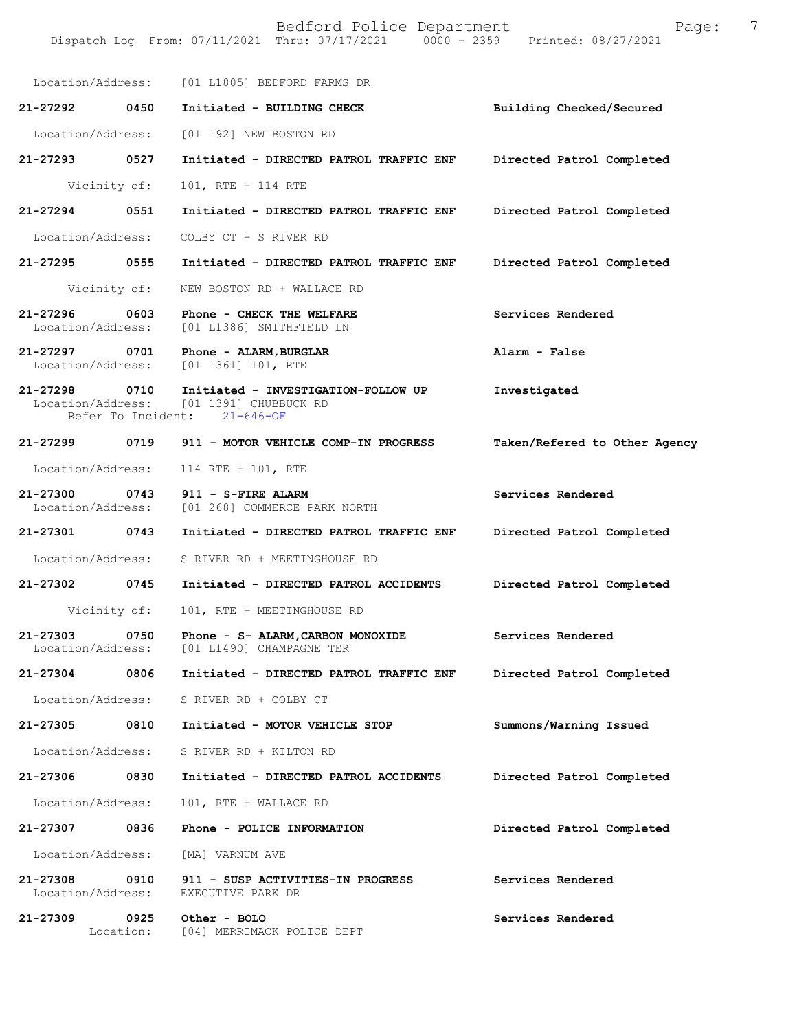|                   |              | Location/Address: [01 L1805] BEDFORD FARMS DR                                                                   |                               |
|-------------------|--------------|-----------------------------------------------------------------------------------------------------------------|-------------------------------|
| 21-27292 0450     |              | Initiated - BUILDING CHECK                                                                                      | Building Checked/Secured      |
| Location/Address: |              | [01 192] NEW BOSTON RD                                                                                          |                               |
| 21-27293 0527     |              | Initiated - DIRECTED PATROL TRAFFIC ENF                                                                         | Directed Patrol Completed     |
|                   | Vicinity of: | 101, RTE + 114 RTE                                                                                              |                               |
| 21-27294          | 0551         | Initiated - DIRECTED PATROL TRAFFIC ENF                                                                         | Directed Patrol Completed     |
|                   |              | Location/Address: COLBY CT + S RIVER RD                                                                         |                               |
| 21-27295 0555     |              | Initiated - DIRECTED PATROL TRAFFIC ENF                                                                         | Directed Patrol Completed     |
|                   | Vicinity of: | NEW BOSTON RD + WALLACE RD                                                                                      |                               |
| 21-27296          | 0603         | Phone - CHECK THE WELFARE<br>Location/Address: [01 L1386] SMITHFIELD LN                                         | Services Rendered             |
|                   |              | 21-27297 0701 Phone - ALARM, BURGLAR<br>Location/Address: [01 1361] 101, RTE                                    | Alarm - False                 |
| 21-27298 0710     |              | Initiated - INVESTIGATION-FOLLOW UP<br>Location/Address: [01 1391] CHUBBUCK RD<br>Refer To Incident: 21-646-OF  | Investigated                  |
| 21-27299 0719     |              | 911 - MOTOR VEHICLE COMP-IN PROGRESS                                                                            | Taken/Refered to Other Agency |
| Location/Address: |              | 114 RTE + 101, RTE                                                                                              |                               |
| 21-27300 0743     |              | 911 - S-FIRE ALARM<br>Location/Address: [01 268] COMMERCE PARK NORTH                                            | Services Rendered             |
| 21-27301 0743     |              | Initiated - DIRECTED PATROL TRAFFIC ENF                                                                         | Directed Patrol Completed     |
|                   |              | Location/Address: S RIVER RD + MEETINGHOUSE RD                                                                  |                               |
| 21-27302 0745     |              | Initiated - DIRECTED PATROL ACCIDENTS                                                                           | Directed Patrol Completed     |
|                   | Vicinity of: | 101, RTE + MEETINGHOUSE RD                                                                                      |                               |
|                   |              | 21-27303 0750 Phone - S- ALARM, CARBON MONOXIDE Services Rendered<br>Location/Address: [01 L1490] CHAMPAGNE TER |                               |
| 21-27304          | 0806         | Initiated - DIRECTED PATROL TRAFFIC ENF                                                                         | Directed Patrol Completed     |
|                   |              | Location/Address: S RIVER RD + COLBY CT                                                                         |                               |
|                   |              | 21-27305 0810 Initiated - MOTOR VEHICLE STOP                                                                    | Summons/Warning Issued        |
|                   |              | Location/Address: S RIVER RD + KILTON RD                                                                        |                               |
| 21-27306          | 0830         | Initiated - DIRECTED PATROL ACCIDENTS                                                                           | Directed Patrol Completed     |
| Location/Address: |              | 101, RTE + WALLACE RD                                                                                           |                               |
| 21-27307          | 0836         | Phone - POLICE INFORMATION                                                                                      | Directed Patrol Completed     |
|                   |              | Location/Address: [MA] VARNUM AVE                                                                               |                               |
| Location/Address: |              | 21-27308 0910 911 - SUSP ACTIVITIES-IN PROGRESS<br>EXECUTIVE PARK DR                                            | Services Rendered             |
| 21-27309          | 0925         | Other - BOLO<br>Location: [04] MERRIMACK POLICE DEPT                                                            | Services Rendered             |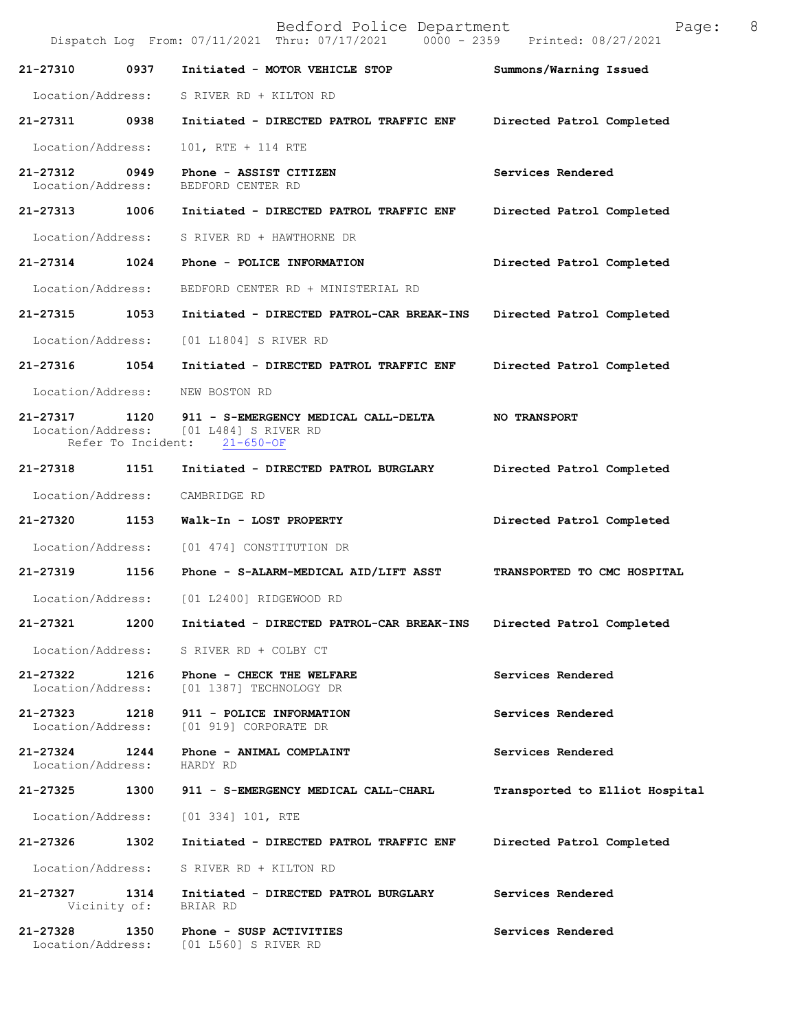Bedford Police Department Page: 8 Dispatch Log From: 07/11/2021 Thru: 07/17/2021 **21-27310 0937 Initiated - MOTOR VEHICLE STOP Summons/Warning Issued**  Location/Address: S RIVER RD + KILTON RD **21-27311 0938 Initiated - DIRECTED PATROL TRAFFIC ENF Directed Patrol Completed**  Location/Address: 101, RTE + 114 RTE **21-27312 0949 Phone - ASSIST CITIZEN Services Rendered Services Rendered Iocation/Address:** BEDFORD CENTER RD Location/Address: **21-27313 1006 Initiated - DIRECTED PATROL TRAFFIC ENF Directed Patrol Completed**  Location/Address: S RIVER RD + HAWTHORNE DR **21-27314 1024 Phone - POLICE INFORMATION Directed Patrol Completed**  Location/Address: BEDFORD CENTER RD + MINISTERIAL RD **21-27315 1053 Initiated - DIRECTED PATROL-CAR BREAK-INS Directed Patrol Completed**  Location/Address: [01 L1804] S RIVER RD **21-27316 1054 Initiated - DIRECTED PATROL TRAFFIC ENF Directed Patrol Completed**  Location/Address: NEW BOSTON RD **21-27317 1120 911 - S-EMERGENCY MEDICAL CALL-DELTA NO TRANSPORT**   $[01 L484]$  S RIVER RD<br>ent:  $21-650-OF$ Refer To Incident: **21-27318 1151 Initiated - DIRECTED PATROL BURGLARY Directed Patrol Completed**  Location/Address: CAMBRIDGE RD **21-27320 1153 Walk-In - LOST PROPERTY Directed Patrol Completed**  Location/Address: [01 474] CONSTITUTION DR **21-27319 1156 Phone - S-ALARM-MEDICAL AID/LIFT ASST TRANSPORTED TO CMC HOSPITAL**  Location/Address: [01 L2400] RIDGEWOOD RD **21-27321 1200 Initiated - DIRECTED PATROL-CAR BREAK-INS Directed Patrol Completed**  Location/Address: S RIVER RD + COLBY CT **21-27322 1216 Phone - CHECK THE WELFARE Services Rendered** Location/Address: [01 1387] TECHNOLOGY DR Location/Address: [01 1387] TECHNOLOGY DR **21-27323 1218 911 - POLICE INFORMATION Services Rendered**  Location/Address: [01 919] CORPORATE DR **21-27324 1244 Phone - ANIMAL COMPLAINT Services Rendered**  Location/Address: **21-27325 1300 911 - S-EMERGENCY MEDICAL CALL-CHARL Transported to Elliot Hospital** Location/Address: [01 334] 101, RTE **21-27326 1302 Initiated - DIRECTED PATROL TRAFFIC ENF Directed Patrol Completed**  Location/Address: S RIVER RD + KILTON RD **21-27327 1314 Initiated - DIRECTED PATROL BURGLARY Services Rendered**  Vicinity of: BRIAR RD **21-27328 1350 Phone - SUSP ACTIVITIES Services Rendered**  Location/Address: [01 L560] S RIVER RD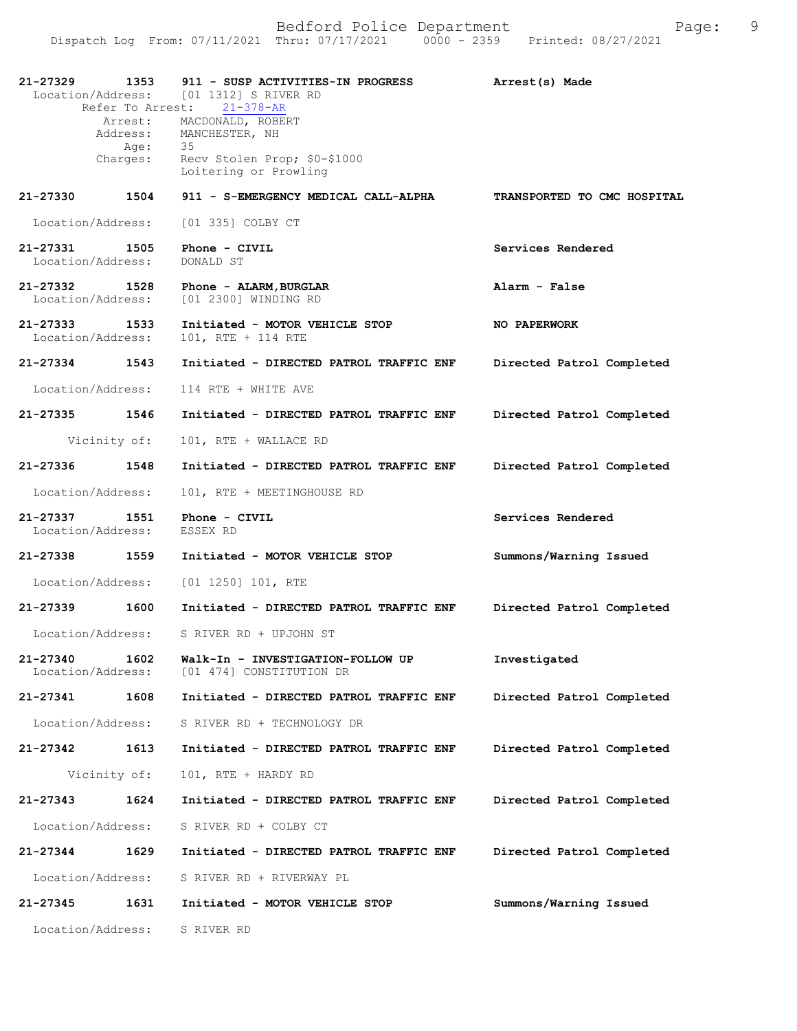| 21-27329                      | 1353<br>Refer To Arrest:<br>Age:<br>Charges: | 911 - SUSP ACTIVITIES-IN PROGRESS<br>Location/Address: [01 1312] S RIVER RD<br>$21 - 378 - AR$<br>Arrest: MACDONALD, ROBERT<br>Address: MANCHESTER, NH<br>35<br>Recv Stolen Prop; \$0-\$1000<br>Loitering or Prowling | Arrest(s) Made              |
|-------------------------------|----------------------------------------------|-----------------------------------------------------------------------------------------------------------------------------------------------------------------------------------------------------------------------|-----------------------------|
| 21-27330                      | 1504                                         | 911 - S-EMERGENCY MEDICAL CALL-ALPHA                                                                                                                                                                                  | TRANSPORTED TO CMC HOSPITAL |
| Location/Address:             |                                              | [01 335] COLBY CT                                                                                                                                                                                                     |                             |
| 21-27331<br>Location/Address: | 1505                                         | Phone - CIVIL<br>DONALD ST                                                                                                                                                                                            | Services Rendered           |
| 21-27332<br>Location/Address: | 1528                                         | Phone - ALARM, BURGLAR<br>[01 2300] WINDING RD                                                                                                                                                                        | Alarm - False               |
| 21-27333<br>Location/Address: | 1533                                         | Initiated - MOTOR VEHICLE STOP<br>101, RTE + 114 RTE                                                                                                                                                                  | NO PAPERWORK                |
| $21 - 27334$                  | 1543                                         | Initiated - DIRECTED PATROL TRAFFIC ENF                                                                                                                                                                               | Directed Patrol Completed   |
| Location/Address:             |                                              | 114 RTE + WHITE AVE                                                                                                                                                                                                   |                             |
| 21-27335 1546                 |                                              | Initiated - DIRECTED PATROL TRAFFIC ENF                                                                                                                                                                               | Directed Patrol Completed   |
|                               | Vicinity of:                                 | 101, RTE + WALLACE RD                                                                                                                                                                                                 |                             |
| 21-27336                      | 1548                                         | Initiated - DIRECTED PATROL TRAFFIC ENF                                                                                                                                                                               | Directed Patrol Completed   |
| Location/Address:             |                                              | 101, RTE + MEETINGHOUSE RD                                                                                                                                                                                            |                             |
| 21-27337<br>Location/Address: | 1551                                         | Phone - CIVIL<br>ESSEX RD                                                                                                                                                                                             | Services Rendered           |
| 21-27338 1559                 |                                              | Initiated - MOTOR VEHICLE STOP                                                                                                                                                                                        | Summons/Warning Issued      |
| Location/Address:             |                                              | $[01 1250] 101$ , RTE                                                                                                                                                                                                 |                             |
| 21-27339                      |                                              |                                                                                                                                                                                                                       | Directed Patrol Completed   |
|                               | 1600                                         | Initiated - DIRECTED PATROL TRAFFIC ENF                                                                                                                                                                               |                             |
|                               |                                              | Location/Address: S RIVER RD + UPJOHN ST                                                                                                                                                                              |                             |
| 21-27340<br>Location/Address: | 1602                                         | Walk-In - INVESTIGATION-FOLLOW UP<br>[01 474] CONSTITUTION DR                                                                                                                                                         | Investigated                |
| 21-27341                      | 1608                                         | Initiated - DIRECTED PATROL TRAFFIC ENF                                                                                                                                                                               | Directed Patrol Completed   |
| Location/Address:             |                                              | S RIVER RD + TECHNOLOGY DR                                                                                                                                                                                            |                             |
| 21-27342                      | 1613                                         | Initiated - DIRECTED PATROL TRAFFIC ENF                                                                                                                                                                               | Directed Patrol Completed   |
| Vicinity of:                  |                                              | 101, RTE + HARDY RD                                                                                                                                                                                                   |                             |
| 21-27343                      | 1624                                         | Initiated - DIRECTED PATROL TRAFFIC ENF                                                                                                                                                                               | Directed Patrol Completed   |
| Location/Address:             |                                              | S RIVER RD + COLBY CT                                                                                                                                                                                                 |                             |
| 21-27344                      | 1629                                         | Initiated - DIRECTED PATROL TRAFFIC ENF                                                                                                                                                                               | Directed Patrol Completed   |
| Location/Address:             |                                              | S RIVER RD + RIVERWAY PL                                                                                                                                                                                              |                             |
| 21-27345                      | 1631                                         | Initiated - MOTOR VEHICLE STOP                                                                                                                                                                                        | Summons/Warning Issued      |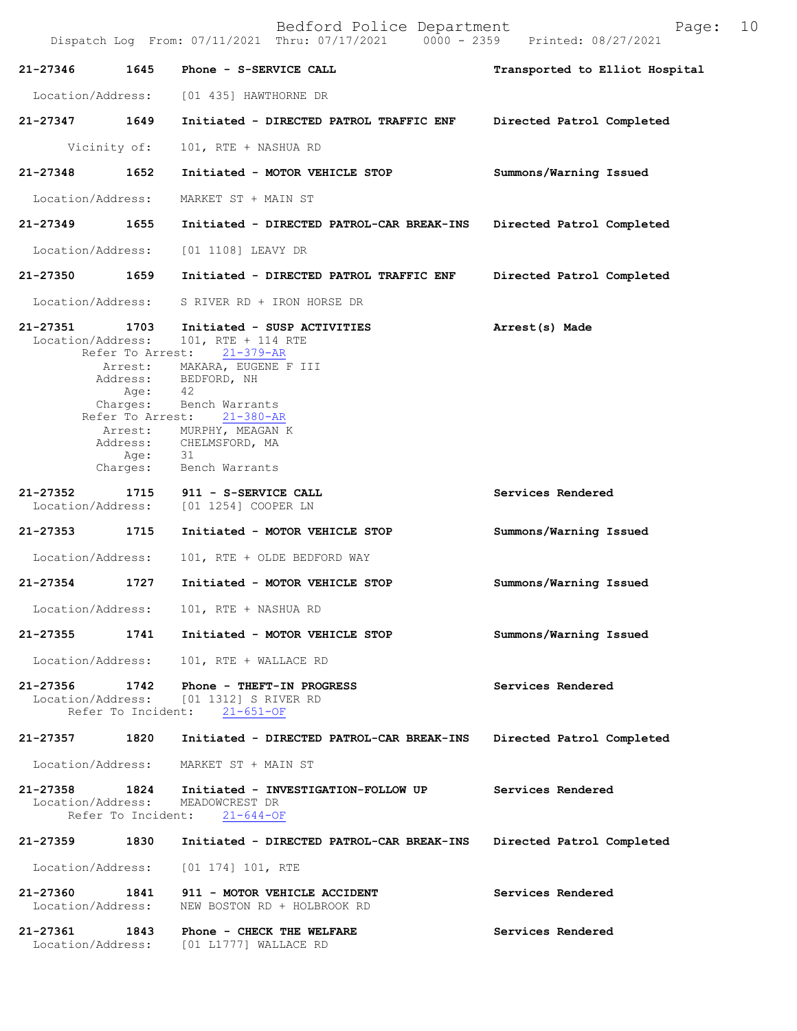| 21-27346                      | 1645                       | Phone - S-SERVICE CALL                                                                                                                                                                                                                                                                              | Transported to Elliot Hospital |
|-------------------------------|----------------------------|-----------------------------------------------------------------------------------------------------------------------------------------------------------------------------------------------------------------------------------------------------------------------------------------------------|--------------------------------|
| Location/Address:             |                            | [01 435] HAWTHORNE DR                                                                                                                                                                                                                                                                               |                                |
| 21-27347                      | 1649                       | Initiated - DIRECTED PATROL TRAFFIC ENF                                                                                                                                                                                                                                                             | Directed Patrol Completed      |
|                               | Vicinity of:               | 101, RTE + NASHUA RD                                                                                                                                                                                                                                                                                |                                |
| $21 - 27348$                  | 1652                       | Initiated - MOTOR VEHICLE STOP                                                                                                                                                                                                                                                                      | Summons/Warning Issued         |
| Location/Address:             |                            | MARKET ST + MAIN ST                                                                                                                                                                                                                                                                                 |                                |
| 21-27349                      | 1655                       | Initiated - DIRECTED PATROL-CAR BREAK-INS                                                                                                                                                                                                                                                           | Directed Patrol Completed      |
| Location/Address:             |                            | [01 1108] LEAVY DR                                                                                                                                                                                                                                                                                  |                                |
| 21-27350                      | 1659                       | Initiated - DIRECTED PATROL TRAFFIC ENF                                                                                                                                                                                                                                                             | Directed Patrol Completed      |
| Location/Address:             |                            | S RIVER RD + IRON HORSE DR                                                                                                                                                                                                                                                                          |                                |
| 21-27351<br>Location/Address: | 1703<br>Age:               | Initiated - SUSP ACTIVITIES<br>101, RTE + 114 RTE<br>Refer To Arrest: 21-379-AR<br>Arrest: MAKARA, EUGENE F III<br>Address: BEDFORD, NH<br>42<br>Charges: Bench Warrants<br>Refer To Arrest: 21-380-AR<br>Arrest: MURPHY, MEAGAN K<br>Address: CHELMSFORD, MA<br>Age: 31<br>Charges: Bench Warrants | Arrest(s) Made                 |
| 21-27352<br>Location/Address: | 1715                       | 911 - S-SERVICE CALL<br>[01 1254] COOPER LN                                                                                                                                                                                                                                                         | Services Rendered              |
| 21-27353                      | 1715                       | Initiated - MOTOR VEHICLE STOP                                                                                                                                                                                                                                                                      | Summons/Warning Issued         |
| Location/Address:             |                            | 101, RTE + OLDE BEDFORD WAY                                                                                                                                                                                                                                                                         |                                |
| 21-27354                      | 1727                       | Initiated - MOTOR VEHICLE STOP                                                                                                                                                                                                                                                                      | Summons/Warning Issued         |
| Location/Address:             |                            | 101, RTE + NASHUA RD                                                                                                                                                                                                                                                                                |                                |
|                               |                            | 21-27355 1741 Initiated - MOTOR VEHICLE STOP                                                                                                                                                                                                                                                        | Summons/Warning Issued         |
|                               |                            | Location/Address: 101, RTE + WALLACE RD                                                                                                                                                                                                                                                             |                                |
| 21-27356                      | 1742                       | Phone - THEFT-IN PROGRESS<br>Location/Address: [01 1312] S RIVER RD<br>Refer To Incident: 21-651-OF                                                                                                                                                                                                 | Services Rendered              |
| 21-27357                      | 1820                       | Initiated - DIRECTED PATROL-CAR BREAK-INS                                                                                                                                                                                                                                                           | Directed Patrol Completed      |
|                               |                            | Location/Address: MARKET ST + MAIN ST                                                                                                                                                                                                                                                               |                                |
| 21-27358<br>Location/Address: | 1824<br>Refer To Incident: | Initiated - INVESTIGATION-FOLLOW UP<br>MEADOWCREST DR<br>$21 - 644 - OF$                                                                                                                                                                                                                            | Services Rendered              |
| 21-27359                      | 1830                       | Initiated - DIRECTED PATROL-CAR BREAK-INS                                                                                                                                                                                                                                                           | Directed Patrol Completed      |
| Location/Address:             |                            | [01 174] 101, RTE                                                                                                                                                                                                                                                                                   |                                |
| 21-27360<br>Location/Address: | 1841                       | 911 - MOTOR VEHICLE ACCIDENT<br>NEW BOSTON RD + HOLBROOK RD                                                                                                                                                                                                                                         | Services Rendered              |
| 21-27361<br>Location/Address: | 1843                       | Phone - CHECK THE WELFARE<br>$[01 L1777]$ WALLACE RD                                                                                                                                                                                                                                                | Services Rendered              |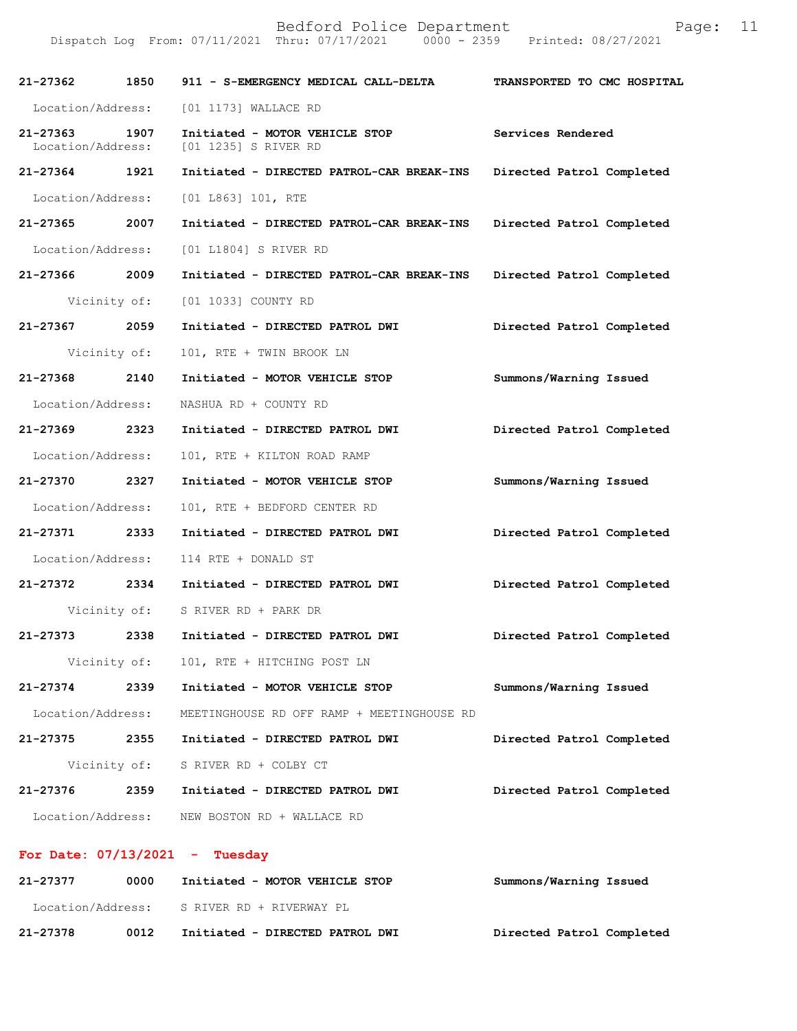Dispatch Log From: 07/11/2021 Thru: 07/17/2021 0000 - 2359 Printed: 08/27/2021

| 21-27362                      | 1850 | 911 - S-EMERGENCY MEDICAL CALL-DELTA                   | TRANSPORTED TO CMC HOSPITAL |
|-------------------------------|------|--------------------------------------------------------|-----------------------------|
| Location/Address:             |      | [01 1173] WALLACE RD                                   |                             |
| 21-27363<br>Location/Address: | 1907 | Initiated - MOTOR VEHICLE STOP<br>[01 1235] S RIVER RD | Services Rendered           |
| 21-27364                      | 1921 | Initiated - DIRECTED PATROL-CAR BREAK-INS              | Directed Patrol Completed   |
| Location/Address:             |      | [01 L863] 101, RTE                                     |                             |
| 21-27365 2007                 |      | Initiated - DIRECTED PATROL-CAR BREAK-INS              | Directed Patrol Completed   |
| Location/Address:             |      | [01 L1804] S RIVER RD                                  |                             |
| 21-27366 2009                 |      | Initiated - DIRECTED PATROL-CAR BREAK-INS              | Directed Patrol Completed   |
| Vicinity of:                  |      | [01 1033] COUNTY RD                                    |                             |
| 21-27367 2059                 |      | Initiated - DIRECTED PATROL DWI                        | Directed Patrol Completed   |
| Vicinity of:                  |      | 101, RTE + TWIN BROOK LN                               |                             |
| 21-27368                      | 2140 | Initiated - MOTOR VEHICLE STOP                         | Summons/Warning Issued      |
| Location/Address:             |      | NASHUA RD + COUNTY RD                                  |                             |
| 21-27369 2323                 |      | Initiated - DIRECTED PATROL DWI                        | Directed Patrol Completed   |
| Location/Address:             |      | 101, RTE + KILTON ROAD RAMP                            |                             |
| 21-27370 2327                 |      | Initiated - MOTOR VEHICLE STOP                         | Summons/Warning Issued      |
| Location/Address:             |      | 101, RTE + BEDFORD CENTER RD                           |                             |
| 21-27371 2333                 |      | Initiated - DIRECTED PATROL DWI                        | Directed Patrol Completed   |
| Location/Address:             |      | 114 RTE + DONALD ST                                    |                             |
| 21–27372 2334                 |      | Initiated - DIRECTED PATROL DWI                        | Directed Patrol Completed   |
| Vicinity of:                  |      | S RIVER RD + PARK DR                                   |                             |
| 21-27373                      | 2338 | Initiated - DIRECTED PATROL DWI                        | Directed Patrol Completed   |
| Vicinity of:                  |      | 101, RTE + HITCHING POST LN                            |                             |
| $21 - 27374$                  | 2339 | Initiated - MOTOR VEHICLE STOP                         | Summons/Warning Issued      |
| Location/Address:             |      | MEETINGHOUSE RD OFF RAMP + MEETINGHOUSE RD             |                             |
| 21-27375                      | 2355 | Initiated - DIRECTED PATROL DWI                        | Directed Patrol Completed   |
| Vicinity of:                  |      | S RIVER RD + COLBY CT                                  |                             |
| 21-27376                      | 2359 | Initiated - DIRECTED PATROL DWI                        | Directed Patrol Completed   |
| Location/Address:             |      | NEW BOSTON RD + WALLACE RD                             |                             |

## **For Date: 07/13/2021 - Tuesday**

| 21-27377          | 0000 | Initiated - MOTOR VEHICLE STOP  | Summons/Warning Issued    |
|-------------------|------|---------------------------------|---------------------------|
| Location/Address: |      | S RIVER RD + RIVERWAY PL        |                           |
| 21-27378          | 0012 | Initiated - DIRECTED PATROL DWI | Directed Patrol Completed |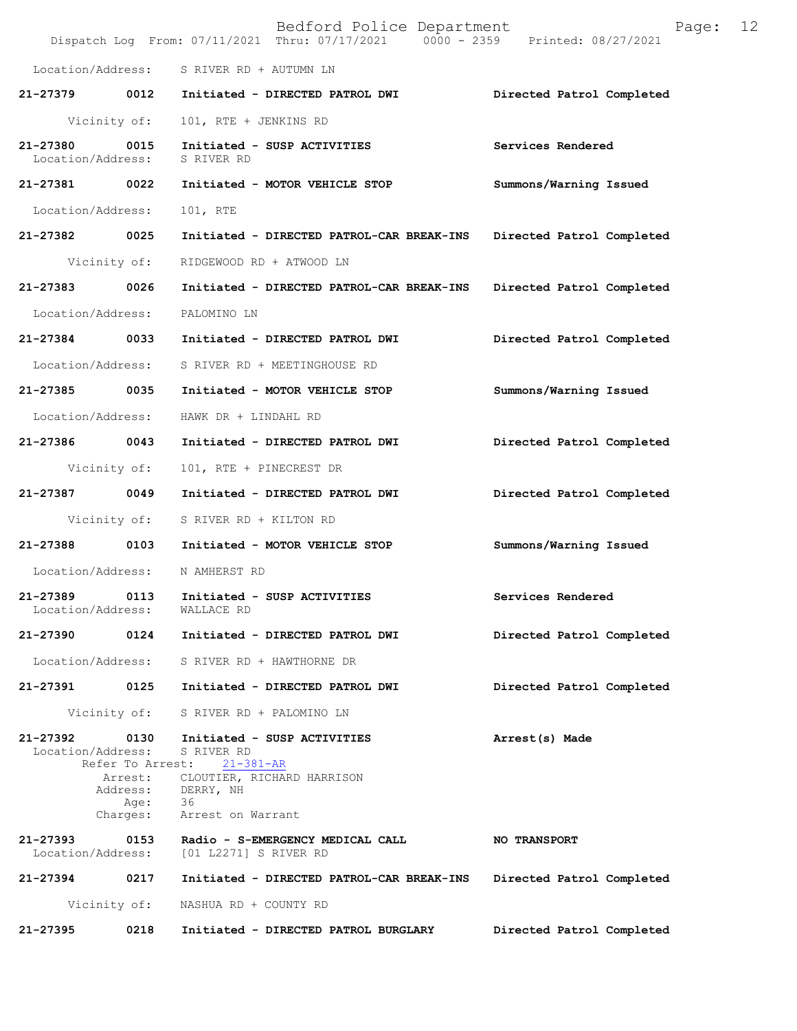|                               |                             | Bedford Police Department<br>Dispatch Log From: 07/11/2021 Thru: 07/17/2021 0000 - 2359 Printed: 08/27/2021 | 12<br>Page:               |
|-------------------------------|-----------------------------|-------------------------------------------------------------------------------------------------------------|---------------------------|
|                               |                             | Location/Address: S RIVER RD + AUTUMN LN                                                                    |                           |
| 21-27379                      | 0012                        | Initiated - DIRECTED PATROL DWI                                                                             | Directed Patrol Completed |
|                               | Vicinity of:                | 101, RTE + JENKINS RD                                                                                       |                           |
| 21-27380<br>Location/Address: | 0015                        | Initiated - SUSP ACTIVITIES<br>S RIVER RD                                                                   | Services Rendered         |
| 21-27381 0022                 |                             | Initiated - MOTOR VEHICLE STOP                                                                              | Summons/Warning Issued    |
| Location/Address:             |                             | 101, RTE                                                                                                    |                           |
| 21-27382                      | 0025                        | Initiated - DIRECTED PATROL-CAR BREAK-INS                                                                   | Directed Patrol Completed |
|                               | Vicinity of:                | RIDGEWOOD RD + ATWOOD LN                                                                                    |                           |
| 21-27383                      | 0026                        | Initiated - DIRECTED PATROL-CAR BREAK-INS                                                                   | Directed Patrol Completed |
| Location/Address:             |                             | PALOMINO LN                                                                                                 |                           |
| 21-27384 0033                 |                             | Initiated - DIRECTED PATROL DWI                                                                             | Directed Patrol Completed |
| Location/Address:             |                             | S RIVER RD + MEETINGHOUSE RD                                                                                |                           |
| 21-27385                      | 0035                        | Initiated - MOTOR VEHICLE STOP                                                                              | Summons/Warning Issued    |
| Location/Address:             |                             | HAWK DR + LINDAHL RD                                                                                        |                           |
| 21-27386                      | 0043                        | Initiated - DIRECTED PATROL DWI                                                                             | Directed Patrol Completed |
|                               | Vicinity of:                | 101, RTE + PINECREST DR                                                                                     |                           |
| 21-27387 0049                 |                             | Initiated - DIRECTED PATROL DWI                                                                             | Directed Patrol Completed |
|                               | Vicinity of:                | S RIVER RD + KILTON RD                                                                                      |                           |
| 21-27388                      | 0103                        | Initiated - MOTOR VEHICLE STOP                                                                              | Summons/Warning Issued    |
| Location/Address:             |                             | N AMHERST RD                                                                                                |                           |
| 21-27389<br>Location/Address: | 0113                        | Initiated - SUSP ACTIVITIES<br>WALLACE RD                                                                   | Services Rendered         |
| 21-27390                      | 0124                        | Initiated - DIRECTED PATROL DWI                                                                             | Directed Patrol Completed |
| Location/Address:             |                             | S RIVER RD + HAWTHORNE DR                                                                                   |                           |
| 21-27391                      | 0125                        | Initiated - DIRECTED PATROL DWI                                                                             | Directed Patrol Completed |
|                               | Vicinity of:                | S RIVER RD + PALOMINO LN                                                                                    |                           |
| 21-27392<br>Location/Address: | 0130<br>Refer To Arrest:    | Initiated - SUSP ACTIVITIES<br>S RIVER RD<br>$21 - 381 - AR$                                                | Arrest(s) Made            |
|                               | Arrest:<br>Address:<br>Age: | CLOUTIER, RICHARD HARRISON<br>DERRY, NH<br>36                                                               |                           |
|                               | Charges:                    | Arrest on Warrant                                                                                           |                           |
| 21-27393<br>Location/Address: | 0153                        | Radio - S-EMERGENCY MEDICAL CALL<br>[01 L2271] S RIVER RD                                                   | <b>NO TRANSPORT</b>       |
| 21-27394                      | 0217                        | Initiated - DIRECTED PATROL-CAR BREAK-INS                                                                   | Directed Patrol Completed |
|                               | Vicinity of:                | NASHUA RD + COUNTY RD                                                                                       |                           |
| 21-27395                      | 0218                        | Initiated - DIRECTED PATROL BURGLARY                                                                        | Directed Patrol Completed |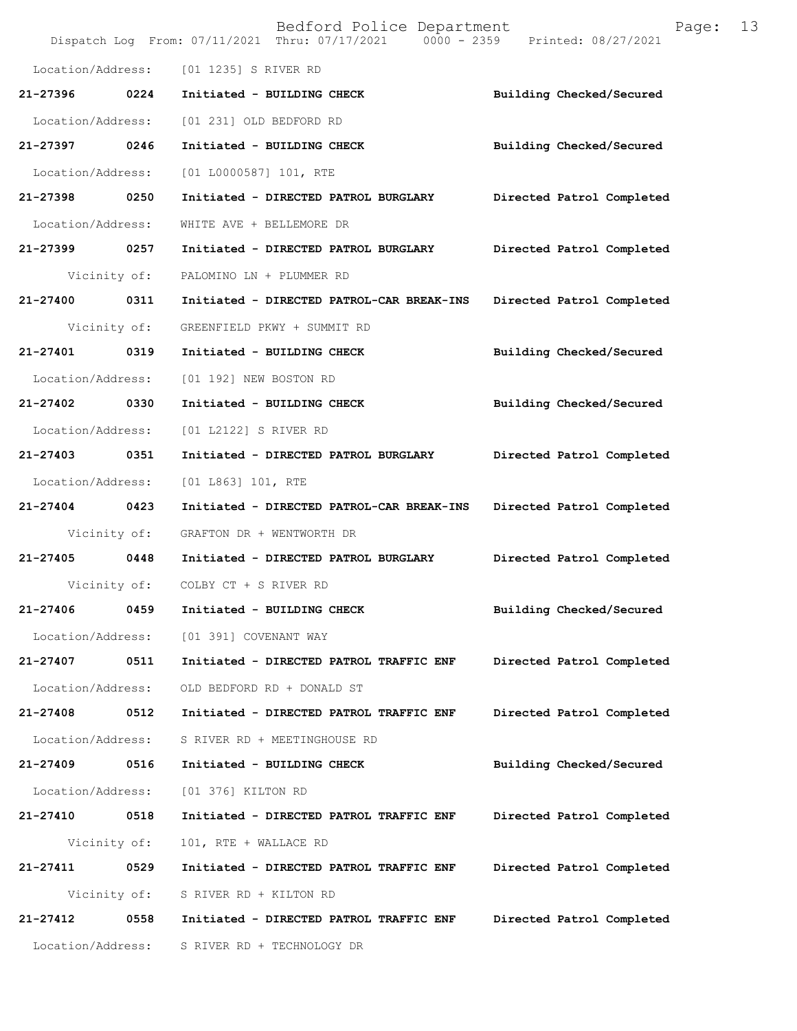|                   |              | Bedford Police Department<br>Dispatch Log From: 07/11/2021 Thru: 07/17/2021 0000 - 2359 Printed: 08/27/2021 | Page:                     | 13 |
|-------------------|--------------|-------------------------------------------------------------------------------------------------------------|---------------------------|----|
| Location/Address: |              | [01 1235] S RIVER RD                                                                                        |                           |    |
| 21-27396          | 0224         | Initiated - BUILDING CHECK                                                                                  | Building Checked/Secured  |    |
| Location/Address: |              | [01 231] OLD BEDFORD RD                                                                                     |                           |    |
| 21-27397          | 0246         | Initiated - BUILDING CHECK                                                                                  | Building Checked/Secured  |    |
| Location/Address: |              | [01 L0000587] 101, RTE                                                                                      |                           |    |
| 21-27398 0250     |              | Initiated - DIRECTED PATROL BURGLARY                                                                        | Directed Patrol Completed |    |
| Location/Address: |              | WHITE AVE + BELLEMORE DR                                                                                    |                           |    |
| 21-27399 0257     |              | Initiated - DIRECTED PATROL BURGLARY                                                                        | Directed Patrol Completed |    |
|                   | Vicinity of: | PALOMINO LN + PLUMMER RD                                                                                    |                           |    |
| 21-27400          | 0311         | Initiated - DIRECTED PATROL-CAR BREAK-INS                                                                   | Directed Patrol Completed |    |
|                   | Vicinity of: | GREENFIELD PKWY + SUMMIT RD                                                                                 |                           |    |
| 21-27401          | 0319         | Initiated - BUILDING CHECK                                                                                  | Building Checked/Secured  |    |
| Location/Address: |              | [01 192] NEW BOSTON RD                                                                                      |                           |    |
| 21-27402          | 0330         | Initiated - BUILDING CHECK                                                                                  | Building Checked/Secured  |    |
| Location/Address: |              | [01 L2122] S RIVER RD                                                                                       |                           |    |
| 21-27403          | 0351         | Initiated - DIRECTED PATROL BURGLARY                                                                        | Directed Patrol Completed |    |
| Location/Address: |              | [01 L863] 101, RTE                                                                                          |                           |    |
| 21-27404 0423     |              | Initiated - DIRECTED PATROL-CAR BREAK-INS                                                                   | Directed Patrol Completed |    |
|                   | Vicinity of: | GRAFTON DR + WENTWORTH DR                                                                                   |                           |    |
| 21-27405 0448     |              | Initiated - DIRECTED PATROL BURGLARY                                                                        | Directed Patrol Completed |    |
|                   |              | Vicinity of: COLBY CT + S RIVER RD                                                                          |                           |    |
| 21-27406          | 0459         | Initiated - BUILDING CHECK                                                                                  | Building Checked/Secured  |    |
| Location/Address: |              | [01 391] COVENANT WAY                                                                                       |                           |    |
| 21-27407          | 0511         | Initiated - DIRECTED PATROL TRAFFIC ENF                                                                     | Directed Patrol Completed |    |
| Location/Address: |              | OLD BEDFORD RD + DONALD ST                                                                                  |                           |    |
| 21-27408          | 0512         | Initiated - DIRECTED PATROL TRAFFIC ENF                                                                     | Directed Patrol Completed |    |
| Location/Address: |              | S RIVER RD + MEETINGHOUSE RD                                                                                |                           |    |
| 21-27409          | 0516         | Initiated - BUILDING CHECK                                                                                  | Building Checked/Secured  |    |
| Location/Address: |              | [01 376] KILTON RD                                                                                          |                           |    |
| 21-27410          | 0518         | Initiated - DIRECTED PATROL TRAFFIC ENF                                                                     | Directed Patrol Completed |    |
|                   | Vicinity of: | 101, RTE + WALLACE RD                                                                                       |                           |    |
| 21-27411          | 0529         | Initiated - DIRECTED PATROL TRAFFIC ENF                                                                     | Directed Patrol Completed |    |
|                   | Vicinity of: | S RIVER RD + KILTON RD                                                                                      |                           |    |
| 21-27412          | 0558         | Initiated - DIRECTED PATROL TRAFFIC ENF                                                                     | Directed Patrol Completed |    |
| Location/Address: |              | S RIVER RD + TECHNOLOGY DR                                                                                  |                           |    |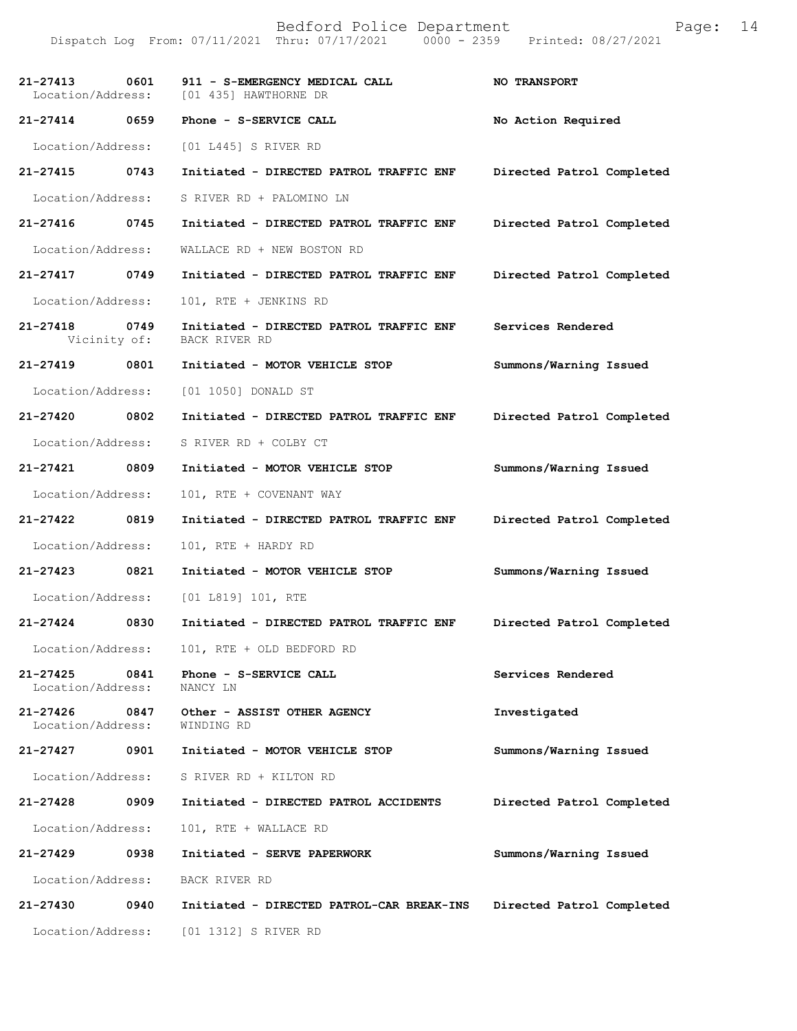| $21 - 27413$<br>0601                  | 911 - S-EMERGENCY MEDICAL CALL<br>Location/Address: [01 435] HAWTHORNE DR | <b>NO TRANSPORT</b>       |
|---------------------------------------|---------------------------------------------------------------------------|---------------------------|
| 21-27414 0659                         | Phone - S-SERVICE CALL                                                    | No Action Required        |
|                                       | Location/Address: [01 L445] S RIVER RD                                    |                           |
| 21-27415 0743                         | Initiated - DIRECTED PATROL TRAFFIC ENF                                   | Directed Patrol Completed |
| Location/Address:                     | S RIVER RD + PALOMINO LN                                                  |                           |
| 21-27416 0745                         | Initiated - DIRECTED PATROL TRAFFIC ENF                                   | Directed Patrol Completed |
| Location/Address:                     | WALLACE RD + NEW BOSTON RD                                                |                           |
| 21-27417 0749                         | Initiated - DIRECTED PATROL TRAFFIC ENF                                   | Directed Patrol Completed |
| Location/Address:                     | 101, RTE + JENKINS RD                                                     |                           |
| 21-27418 0749<br>Vicinity of:         | Initiated - DIRECTED PATROL TRAFFIC ENF<br>BACK RIVER RD                  | Services Rendered         |
| 21-27419 0801                         | Initiated - MOTOR VEHICLE STOP                                            | Summons/Warning Issued    |
| Location/Address:                     | [01 1050] DONALD ST                                                       |                           |
| 21-27420 0802                         | Initiated - DIRECTED PATROL TRAFFIC ENF                                   | Directed Patrol Completed |
| Location/Address:                     | S RIVER RD + COLBY CT                                                     |                           |
| 21-27421 0809                         | Initiated - MOTOR VEHICLE STOP                                            | Summons/Warning Issued    |
| Location/Address:                     | 101, RTE + COVENANT WAY                                                   |                           |
| 21-27422 0819                         | Initiated - DIRECTED PATROL TRAFFIC ENF                                   | Directed Patrol Completed |
| Location/Address:                     | 101, RTE + HARDY RD                                                       |                           |
| 21-27423 0821                         | Initiated - MOTOR VEHICLE STOP                                            | Summons/Warning Issued    |
| Location/Address:                     | [01 L819] 101, RTE                                                        |                           |
| 0830<br>21-27424                      | Initiated - DIRECTED PATROL TRAFFIC ENF                                   | Directed Patrol Completed |
| Location/Address:                     | 101, RTE + OLD BEDFORD RD                                                 |                           |
| 21-27425<br>0841<br>Location/Address: | Phone - S-SERVICE CALL<br>NANCY LN                                        | Services Rendered         |
| 21-27426<br>0847<br>Location/Address: | Other - ASSIST OTHER AGENCY<br>WINDING RD                                 | Investigated              |
| 21-27427<br>0901                      | Initiated - MOTOR VEHICLE STOP                                            | Summons/Warning Issued    |
| Location/Address:                     | S RIVER RD + KILTON RD                                                    |                           |
| 21-27428<br>0909                      | Initiated - DIRECTED PATROL ACCIDENTS                                     | Directed Patrol Completed |
| Location/Address:                     | 101, RTE + WALLACE RD                                                     |                           |
| 21-27429<br>0938                      | Initiated - SERVE PAPERWORK                                               | Summons/Warning Issued    |
| Location/Address:                     | BACK RIVER RD                                                             |                           |
| 21-27430<br>0940                      | Initiated - DIRECTED PATROL-CAR BREAK-INS                                 | Directed Patrol Completed |
| Location/Address:                     | [01 1312] S RIVER RD                                                      |                           |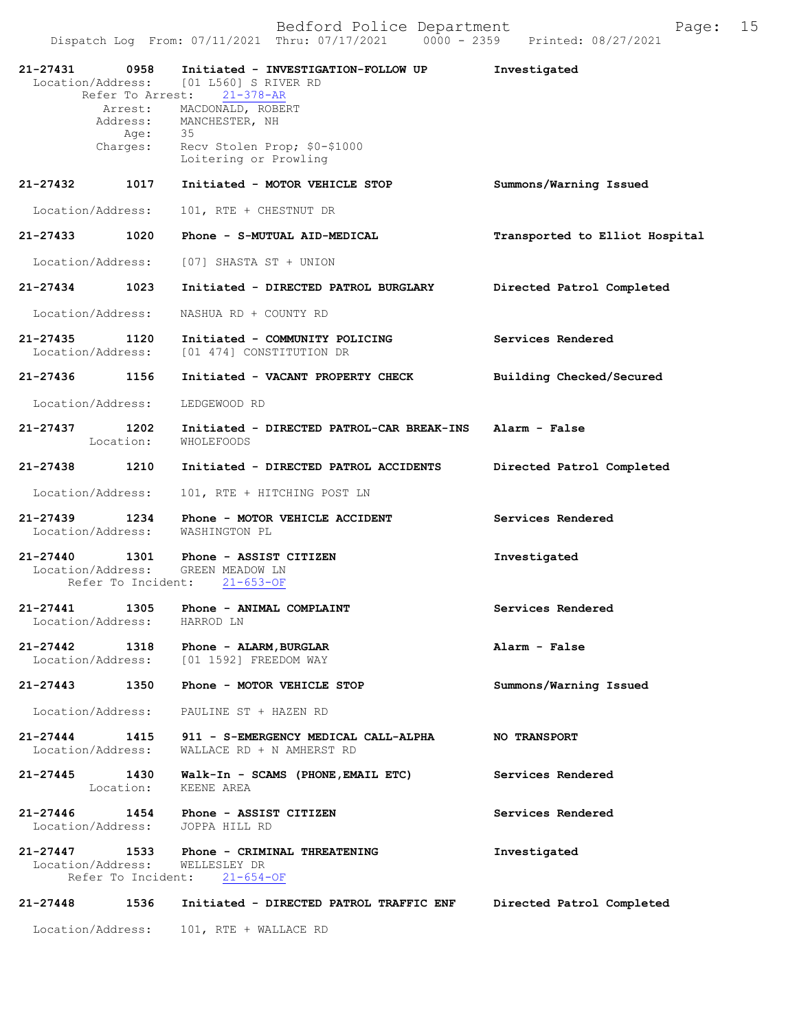| 21-27431 0958                                | Refer To Arrest:   | Initiated - INVESTIGATION-FOLLOW UP<br>Location/Address: [01 L560] S RIVER RD<br>$21 - 378 - AR$ | Investigated                   |
|----------------------------------------------|--------------------|--------------------------------------------------------------------------------------------------|--------------------------------|
|                                              | Age: 35            | Arrest: MACDONALD, ROBERT<br>Address: MANCHESTER, NH                                             |                                |
|                                              | Charges:           | Recv Stolen Prop; \$0-\$1000<br>Loitering or Prowling                                            |                                |
| 21-27432                                     | 1017               | Initiated - MOTOR VEHICLE STOP                                                                   | Summons/Warning Issued         |
| Location/Address:                            |                    | 101, RTE + CHESTNUT DR                                                                           |                                |
| 21-27433                                     | 1020               | Phone - S-MUTUAL AID-MEDICAL                                                                     | Transported to Elliot Hospital |
| Location/Address:                            |                    | [07] SHASTA ST + UNION                                                                           |                                |
| 21-27434                                     | 1023               | Initiated - DIRECTED PATROL BURGLARY                                                             | Directed Patrol Completed      |
| Location/Address:                            |                    | NASHUA RD + COUNTY RD                                                                            |                                |
| 21-27435<br>Location/Address:                | 1120               | Initiated - COMMUNITY POLICING<br>[01 474] CONSTITUTION DR                                       | Services Rendered              |
| 21-27436                                     | 1156               | Initiated - VACANT PROPERTY CHECK                                                                | Building Checked/Secured       |
| Location/Address:                            |                    | LEDGEWOOD RD                                                                                     |                                |
| 21-27437 1202                                | Location:          | Initiated - DIRECTED PATROL-CAR BREAK-INS Alarm - False<br>WHOLEFOODS                            |                                |
| 21-27438                                     | 1210               | Initiated - DIRECTED PATROL ACCIDENTS                                                            | Directed Patrol Completed      |
| Location/Address:                            |                    | 101, RTE + HITCHING POST LN                                                                      |                                |
| 21-27439<br>Location/Address:                | 1234               | Phone - MOTOR VEHICLE ACCIDENT<br>WASHINGTON PL                                                  | Services Rendered              |
| $21 - 27440$                                 | Refer To Incident: | 1301 Phone - ASSIST CITIZEN<br>Location/Address: GREEN MEADOW LN<br>$21 - 653 - OF$              | Investigated                   |
| 21-27441 1305<br>Location/Address: HARROD LN |                    | Phone - ANIMAL COMPLAINT                                                                         | Services Rendered              |
| $21 - 27442$                                 | 1318               | Phone - ALARM, BURGLAR<br>Location/Address: [01 1592] FREEDOM WAY                                | Alarm - False                  |
| 21-27443                                     | 1350               | Phone - MOTOR VEHICLE STOP                                                                       | Summons/Warning Issued         |
| Location/Address:                            |                    | PAULINE ST + HAZEN RD                                                                            |                                |
| $21 - 27444$<br>Location/Address:            | 1415               | 911 - S-EMERGENCY MEDICAL CALL-ALPHA<br>WALLACE RD + N AMHERST RD                                | <b>NO TRANSPORT</b>            |
| 21-27445                                     | 1430<br>Location:  | Walk-In - SCAMS (PHONE, EMAIL ETC)<br>KEENE AREA                                                 | Services Rendered              |
| 21-27446<br>Location/Address:                | 1454               | Phone - ASSIST CITIZEN<br>JOPPA HILL RD                                                          | Services Rendered              |
| 21-27447 1533<br>Location/Address:           | Refer To Incident: | Phone - CRIMINAL THREATENING<br>WELLESLEY DR<br>$21 - 654 - OF$                                  | Investigated                   |
| 21-27448                                     | 1536               | Initiated - DIRECTED PATROL TRAFFIC ENF                                                          | Directed Patrol Completed      |

Location/Address: 101, RTE + WALLACE RD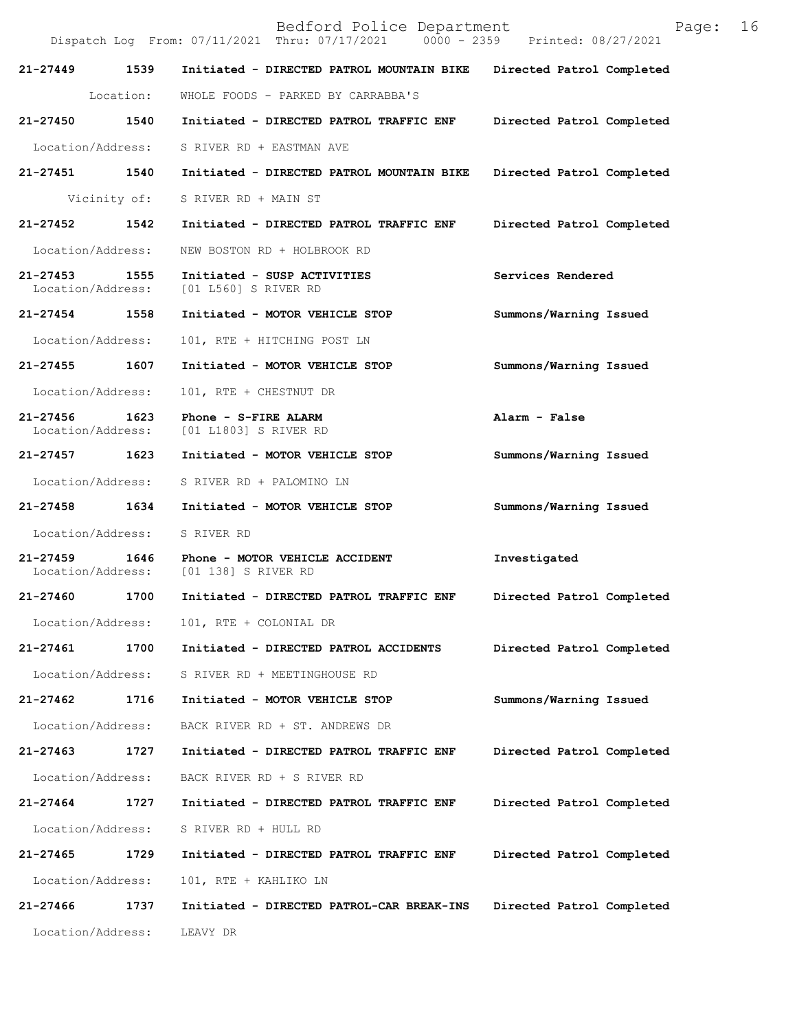Bedford Police Department Page: 16 Dispatch Log From:  $07/11/2021$  Thru:  $07/17/2021$ **21-27449 1539 Initiated - DIRECTED PATROL MOUNTAIN BIKE Directed Patrol Completed**  Location: WHOLE FOODS - PARKED BY CARRABBA'S **21-27450 1540 Initiated - DIRECTED PATROL TRAFFIC ENF Directed Patrol Completed**  Location/Address: S RIVER RD + EASTMAN AVE **21-27451 1540 Initiated - DIRECTED PATROL MOUNTAIN BIKE Directed Patrol Completed**  Vicinity of: S RIVER RD + MAIN ST **21-27452 1542 Initiated - DIRECTED PATROL TRAFFIC ENF Directed Patrol Completed**  Location/Address: NEW BOSTON RD + HOLBROOK RD **21-27453 1555 Initiated - SUSP ACTIVITIES Services Rendered**  Location/Address: [01 L560] S RIVER RD **21-27454 1558 Initiated - MOTOR VEHICLE STOP Summons/Warning Issued**  Location/Address: 101, RTE + HITCHING POST LN **21-27455 1607 Initiated - MOTOR VEHICLE STOP Summons/Warning Issued**  Location/Address: 101, RTE + CHESTNUT DR **21-27456 1623 Phone - S-FIRE ALARM Alarm - False Alarm - False Location/Address:** [01 L1803] S RIVER RD [01 L1803] S RIVER RD **21-27457 1623 Initiated - MOTOR VEHICLE STOP Summons/Warning Issued**  Location/Address: S RIVER RD + PALOMINO LN **21-27458 1634 Initiated - MOTOR VEHICLE STOP Summons/Warning Issued**  Location/Address: S RIVER RD **21-27459 1646 Phone - MOTOR VEHICLE ACCIDENT Investigated**  [01 138] S RIVER RD **21-27460 1700 Initiated - DIRECTED PATROL TRAFFIC ENF Directed Patrol Completed**  Location/Address: 101, RTE + COLONIAL DR **21-27461 1700 Initiated - DIRECTED PATROL ACCIDENTS Directed Patrol Completed**  Location/Address: S RIVER RD + MEETINGHOUSE RD **21-27462 1716 Initiated - MOTOR VEHICLE STOP Summons/Warning Issued**  Location/Address: BACK RIVER RD + ST. ANDREWS DR **21-27463 1727 Initiated - DIRECTED PATROL TRAFFIC ENF Directed Patrol Completed**  Location/Address: BACK RIVER RD + S RIVER RD **21-27464 1727 Initiated - DIRECTED PATROL TRAFFIC ENF Directed Patrol Completed**  Location/Address: S RIVER RD + HULL RD **21-27465 1729 Initiated - DIRECTED PATROL TRAFFIC ENF Directed Patrol Completed**  Location/Address: 101, RTE + KAHLIKO LN **21-27466 1737 Initiated - DIRECTED PATROL-CAR BREAK-INS Directed Patrol Completed**  Location/Address: LEAVY DR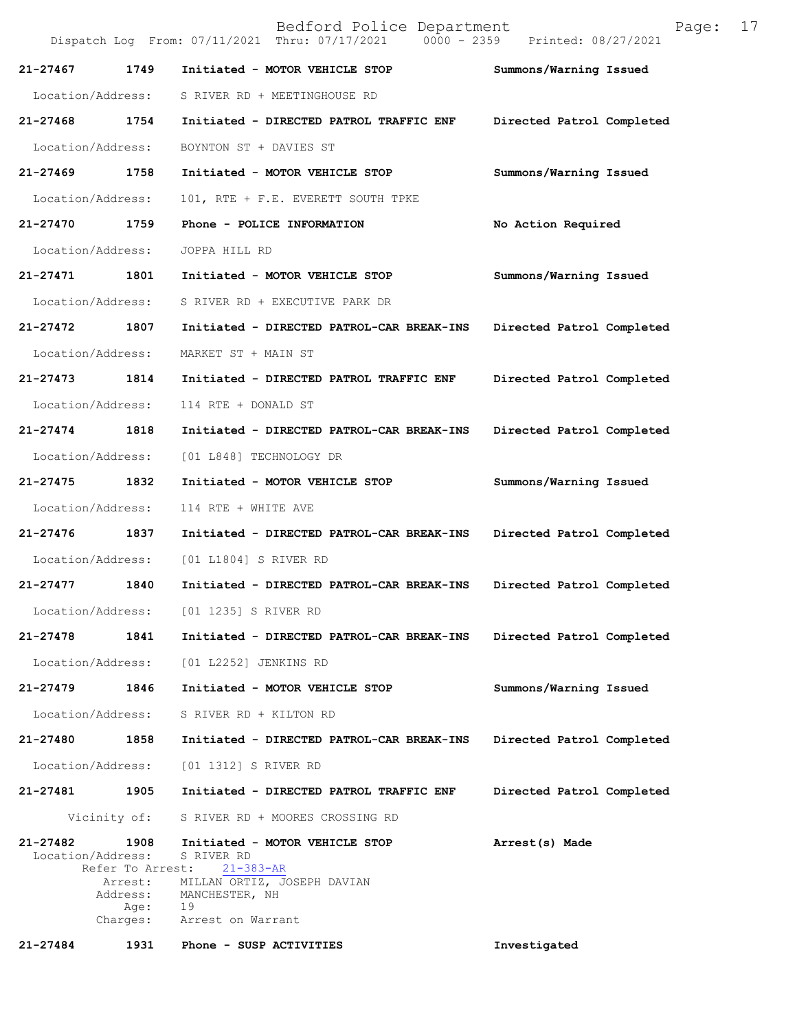| Bedford Police Department<br>Page:<br>$0000 - 2359$<br>Dispatch Log From: 07/11/2021 Thru: 07/17/2021<br>Printed: 08/27/2021 |                                                                                             |                           |  |
|------------------------------------------------------------------------------------------------------------------------------|---------------------------------------------------------------------------------------------|---------------------------|--|
| 1749<br>21-27467                                                                                                             | Initiated - MOTOR VEHICLE STOP                                                              | Summons/Warning Issued    |  |
| Location/Address:                                                                                                            | S RIVER RD + MEETINGHOUSE RD                                                                |                           |  |
| 21-27468<br>1754                                                                                                             | Initiated - DIRECTED PATROL TRAFFIC ENF                                                     | Directed Patrol Completed |  |
| Location/Address:                                                                                                            | BOYNTON ST + DAVIES ST                                                                      |                           |  |
| 21-27469<br>1758                                                                                                             | Initiated - MOTOR VEHICLE STOP                                                              | Summons/Warning Issued    |  |
| Location/Address:                                                                                                            | 101, RTE + F.E. EVERETT SOUTH TPKE                                                          |                           |  |
| 21-27470<br>1759                                                                                                             | Phone - POLICE INFORMATION                                                                  | No Action Required        |  |
| Location/Address:                                                                                                            | JOPPA HILL RD                                                                               |                           |  |
| 21-27471<br>1801                                                                                                             | Initiated - MOTOR VEHICLE STOP                                                              | Summons/Warning Issued    |  |
| Location/Address:                                                                                                            | S RIVER RD + EXECUTIVE PARK DR                                                              |                           |  |
| 21-27472<br>1807                                                                                                             | Initiated - DIRECTED PATROL-CAR BREAK-INS                                                   | Directed Patrol Completed |  |
| Location/Address:                                                                                                            | MARKET ST + MAIN ST                                                                         |                           |  |
| $21 - 27473$<br>1814                                                                                                         | Initiated - DIRECTED PATROL TRAFFIC ENF                                                     | Directed Patrol Completed |  |
| Location/Address:                                                                                                            | 114 RTE + DONALD ST                                                                         |                           |  |
| $21 - 27474$<br>1818                                                                                                         | Initiated - DIRECTED PATROL-CAR BREAK-INS                                                   | Directed Patrol Completed |  |
| Location/Address:                                                                                                            | [01 L848] TECHNOLOGY DR                                                                     |                           |  |
| 21-27475<br>1832                                                                                                             | Initiated - MOTOR VEHICLE STOP                                                              | Summons/Warning Issued    |  |
| Location/Address:                                                                                                            | 114 RTE + WHITE AVE                                                                         |                           |  |
| 21-27476<br>1837                                                                                                             | Initiated - DIRECTED PATROL-CAR BREAK-INS                                                   | Directed Patrol Completed |  |
| Location/Address:                                                                                                            | [01 L1804] S RIVER RD                                                                       |                           |  |
| 21-27477<br>1840                                                                                                             | Initiated - DIRECTED PATROL-CAR BREAK-INS                                                   | Directed Patrol Completed |  |
| Location/Address:                                                                                                            | [01 1235] S RIVER RD                                                                        |                           |  |
| $21 - 27478$<br>1841                                                                                                         | Initiated - DIRECTED PATROL-CAR BREAK-INS                                                   | Directed Patrol Completed |  |
| Location/Address:                                                                                                            | [01 L2252] JENKINS RD                                                                       |                           |  |
| 1846<br>21-27479                                                                                                             | Initiated - MOTOR VEHICLE STOP                                                              | Summons/Warning Issued    |  |
| Location/Address:                                                                                                            | S RIVER RD + KILTON RD                                                                      |                           |  |
| 21-27480<br>1858                                                                                                             | Initiated - DIRECTED PATROL-CAR BREAK-INS                                                   | Directed Patrol Completed |  |
| Location/Address:                                                                                                            | [01 1312] S RIVER RD                                                                        |                           |  |
| 1905<br>21-27481                                                                                                             | Initiated - DIRECTED PATROL TRAFFIC ENF                                                     | Directed Patrol Completed |  |
| Vicinity of:                                                                                                                 | S RIVER RD + MOORES CROSSING RD                                                             |                           |  |
| $21 - 27482$<br>1908<br>Location/Address:                                                                                    | Initiated - MOTOR VEHICLE STOP<br>S RIVER RD                                                | Arrest(s) Made            |  |
| Refer To Arrest:<br>Arrest:<br>Address:<br>Age:<br>Charges:                                                                  | $21 - 383 - AR$<br>MILLAN ORTIZ, JOSEPH DAVIAN<br>MANCHESTER, NH<br>19<br>Arrest on Warrant |                           |  |
| 1931<br>21-27484                                                                                                             | Phone - SUSP ACTIVITIES                                                                     | Investigated              |  |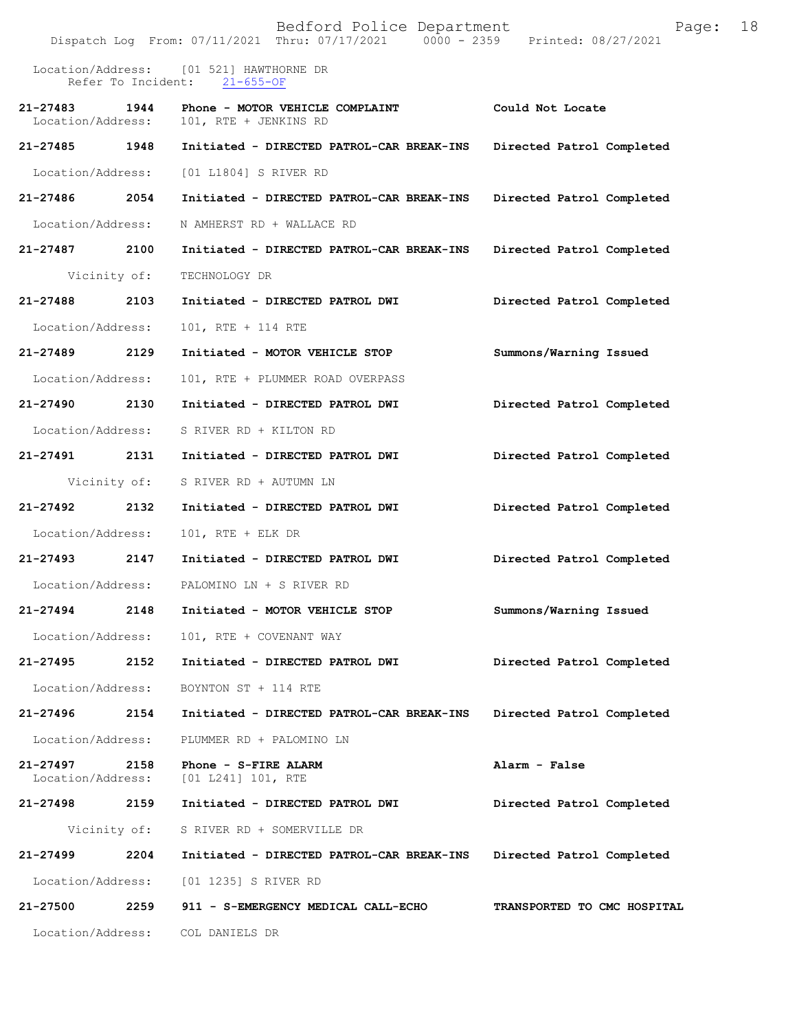|                               |              | Bedford Police Department<br>Dispatch Log From: 07/11/2021 Thru: 07/17/2021 0000 - 2359 Printed: 08/27/2021 | Page:                       | 18 |
|-------------------------------|--------------|-------------------------------------------------------------------------------------------------------------|-----------------------------|----|
|                               |              | Location/Address: [01 521] HAWTHORNE DR<br>Refer To Incident: 21-655-OF                                     |                             |    |
| 21-27483<br>Location/Address: | 1944         | Phone - MOTOR VEHICLE COMPLAINT<br>101, RTE + JENKINS RD                                                    | Could Not Locate            |    |
| 21-27485 1948                 |              | Initiated - DIRECTED PATROL-CAR BREAK-INS                                                                   | Directed Patrol Completed   |    |
| Location/Address:             |              | [01 L1804] S RIVER RD                                                                                       |                             |    |
| 21-27486 2054                 |              | Initiated - DIRECTED PATROL-CAR BREAK-INS                                                                   | Directed Patrol Completed   |    |
| Location/Address:             |              | N AMHERST RD + WALLACE RD                                                                                   |                             |    |
| 21-27487                      | 2100         | Initiated - DIRECTED PATROL-CAR BREAK-INS                                                                   | Directed Patrol Completed   |    |
|                               | Vicinity of: | TECHNOLOGY DR                                                                                               |                             |    |
| 21-27488                      | 2103         | Initiated - DIRECTED PATROL DWI                                                                             | Directed Patrol Completed   |    |
| Location/Address:             |              | 101, RTE + 114 RTE                                                                                          |                             |    |
| 21-27489 2129                 |              | Initiated - MOTOR VEHICLE STOP                                                                              | Summons/Warning Issued      |    |
| Location/Address:             |              | 101, RTE + PLUMMER ROAD OVERPASS                                                                            |                             |    |
| 21-27490                      | 2130         | Initiated - DIRECTED PATROL DWI                                                                             | Directed Patrol Completed   |    |
| Location/Address:             |              | S RIVER RD + KILTON RD                                                                                      |                             |    |
| 21-27491                      | 2131         | Initiated - DIRECTED PATROL DWI                                                                             | Directed Patrol Completed   |    |
|                               | Vicinity of: | S RIVER RD + AUTUMN LN                                                                                      |                             |    |
| 21-27492                      | 2132         | Initiated - DIRECTED PATROL DWI                                                                             | Directed Patrol Completed   |    |
| Location/Address:             |              | $101$ , RTE + ELK DR                                                                                        |                             |    |
| 21-27493 2147                 |              | Initiated - DIRECTED PATROL DWI                                                                             | Directed Patrol Completed   |    |
|                               |              | Location/Address: PALOMINO LN + S RIVER RD                                                                  |                             |    |
| 21-27494                      | 2148         | Initiated - MOTOR VEHICLE STOP                                                                              | Summons/Warning Issued      |    |
| Location/Address:             |              | 101, RTE + COVENANT WAY                                                                                     |                             |    |
| 21-27495                      | 2152         | Initiated - DIRECTED PATROL DWI                                                                             | Directed Patrol Completed   |    |
| Location/Address:             |              | BOYNTON ST + 114 RTE                                                                                        |                             |    |
| 21-27496                      | 2154         | Initiated - DIRECTED PATROL-CAR BREAK-INS                                                                   | Directed Patrol Completed   |    |
| Location/Address:             |              | PLUMMER RD + PALOMINO LN                                                                                    |                             |    |
| 21-27497<br>Location/Address: | 2158         | Phone - S-FIRE ALARM<br>[01 L241] 101, RTE                                                                  | Alarm - False               |    |
| 21-27498                      | 2159         | Initiated - DIRECTED PATROL DWI                                                                             | Directed Patrol Completed   |    |
|                               | Vicinity of: | S RIVER RD + SOMERVILLE DR                                                                                  |                             |    |
| 21-27499                      | 2204         | Initiated - DIRECTED PATROL-CAR BREAK-INS                                                                   | Directed Patrol Completed   |    |
| Location/Address:             |              | [01 1235] S RIVER RD                                                                                        |                             |    |
| 21-27500                      | 2259         | 911 - S-EMERGENCY MEDICAL CALL-ECHO                                                                         | TRANSPORTED TO CMC HOSPITAL |    |
| Location/Address:             |              | COL DANIELS DR                                                                                              |                             |    |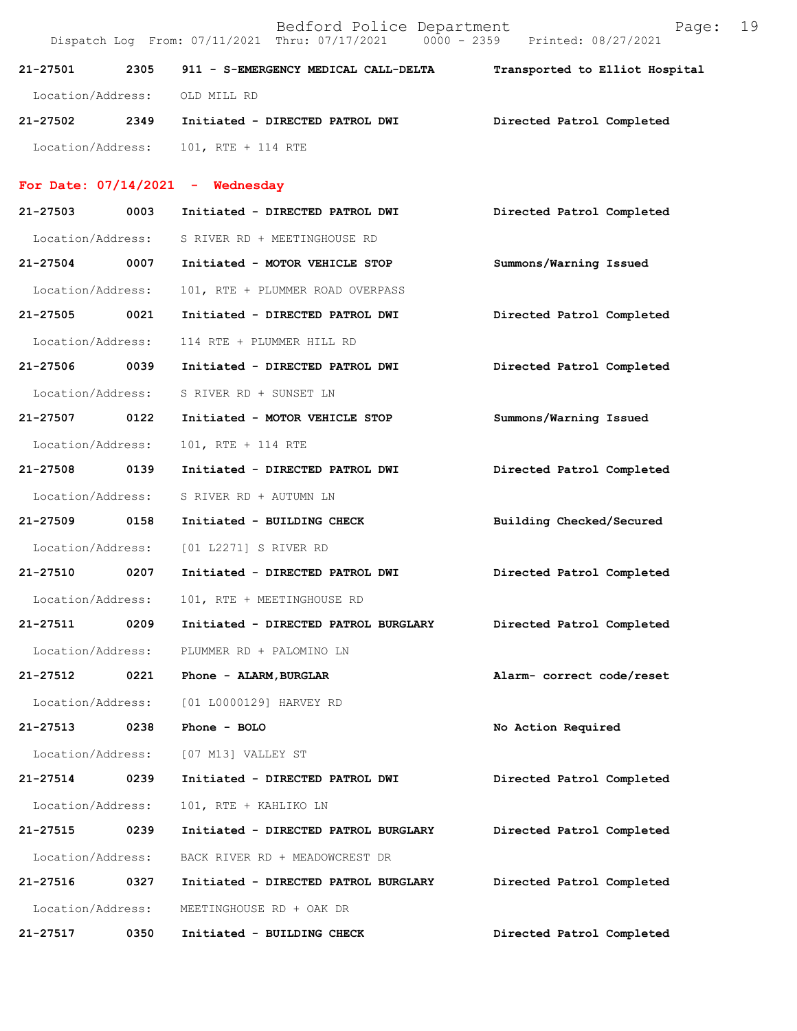Bedford Police Department Page: 19 Dispatch Log From: 07/11/2021 Thru: 07/17/2021 0000 - 2359 Printed: 08/27/2021 **21-27501 2305 911 - S-EMERGENCY MEDICAL CALL-DELTA Transported to Elliot Hospital** Location/Address: OLD MILL RD **21-27502 2349 Initiated - DIRECTED PATROL DWI Directed Patrol Completed**  Location/Address: 101, RTE + 114 RTE **For Date: 07/14/2021 - Wednesday 21-27503 0003 Initiated - DIRECTED PATROL DWI Directed Patrol Completed**  Location/Address: S RIVER RD + MEETINGHOUSE RD **21-27504 0007 Initiated - MOTOR VEHICLE STOP Summons/Warning Issued**  Location/Address: 101, RTE + PLUMMER ROAD OVERPASS **21-27505 0021 Initiated - DIRECTED PATROL DWI Directed Patrol Completed**  Location/Address: 114 RTE + PLUMMER HILL RD **21-27506 0039 Initiated - DIRECTED PATROL DWI Directed Patrol Completed**  Location/Address: S RIVER RD + SUNSET LN **21-27507 0122 Initiated - MOTOR VEHICLE STOP Summons/Warning Issued**  Location/Address: 101, RTE + 114 RTE **21-27508 0139 Initiated - DIRECTED PATROL DWI Directed Patrol Completed**  Location/Address: S RIVER RD + AUTUMN LN **21-27509 0158 Initiated - BUILDING CHECK Building Checked/Secured**  Location/Address: [01 L2271] S RIVER RD **21-27510 0207 Initiated - DIRECTED PATROL DWI Directed Patrol Completed**  Location/Address: 101, RTE + MEETINGHOUSE RD **21-27511 0209 Initiated - DIRECTED PATROL BURGLARY Directed Patrol Completed**  Location/Address: PLUMMER RD + PALOMINO LN **21-27512 0221 Phone - ALARM,BURGLAR Alarm- correct code/reset**  Location/Address: [01 L0000129] HARVEY RD **21-27513 0238 Phone - BOLO No Action Required**  Location/Address: [07 M13] VALLEY ST **21-27514 0239 Initiated - DIRECTED PATROL DWI Directed Patrol Completed**  Location/Address: 101, RTE + KAHLIKO LN **21-27515 0239 Initiated - DIRECTED PATROL BURGLARY Directed Patrol Completed**  Location/Address: BACK RIVER RD + MEADOWCREST DR **21-27516 0327 Initiated - DIRECTED PATROL BURGLARY Directed Patrol Completed**  Location/Address: MEETINGHOUSE RD + OAK DR

**21-27517 0350 Initiated - BUILDING CHECK Directed Patrol Completed**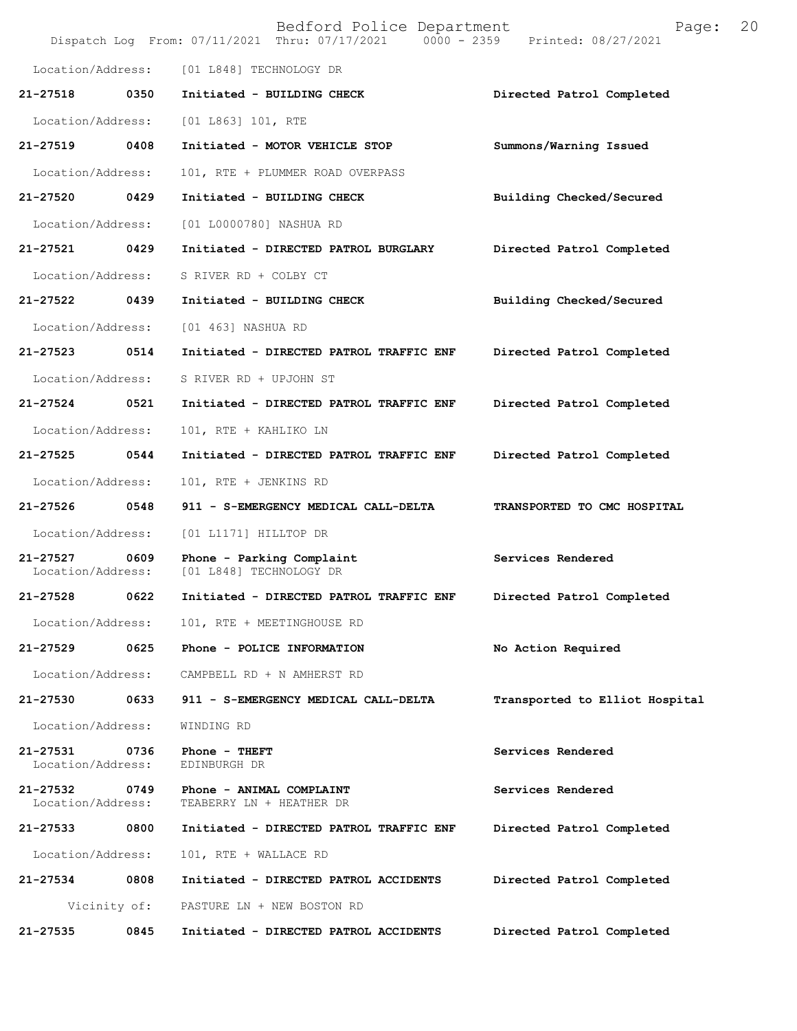|                                    |      | Bedford Police Department<br>Dispatch Log From: 07/11/2021 Thru: 07/17/2021 0000 - 2359 Printed: 08/27/2021 | Page:                          | 20 |
|------------------------------------|------|-------------------------------------------------------------------------------------------------------------|--------------------------------|----|
| Location/Address:                  |      | [01 L848] TECHNOLOGY DR                                                                                     |                                |    |
| 21-27518                           | 0350 | Initiated - BUILDING CHECK                                                                                  | Directed Patrol Completed      |    |
| Location/Address:                  |      | [01 L863] 101, RTE                                                                                          |                                |    |
| 21-27519                           | 0408 | Initiated - MOTOR VEHICLE STOP                                                                              | Summons/Warning Issued         |    |
| Location/Address:                  |      | 101, RTE + PLUMMER ROAD OVERPASS                                                                            |                                |    |
| 21-27520                           | 0429 | Initiated - BUILDING CHECK                                                                                  | Building Checked/Secured       |    |
| Location/Address:                  |      | [01 L0000780] NASHUA RD                                                                                     |                                |    |
| 21-27521                           | 0429 | Initiated - DIRECTED PATROL BURGLARY                                                                        | Directed Patrol Completed      |    |
| Location/Address:                  |      | S RIVER RD + COLBY CT                                                                                       |                                |    |
| 21-27522 0439                      |      | Initiated - BUILDING CHECK                                                                                  | Building Checked/Secured       |    |
| Location/Address:                  |      | [01 463] NASHUA RD                                                                                          |                                |    |
| 21-27523                           | 0514 | Initiated - DIRECTED PATROL TRAFFIC ENF                                                                     | Directed Patrol Completed      |    |
| Location/Address:                  |      | S RIVER RD + UPJOHN ST                                                                                      |                                |    |
| 21-27524                           | 0521 | Initiated - DIRECTED PATROL TRAFFIC ENF                                                                     | Directed Patrol Completed      |    |
| Location/Address:                  |      | 101, RTE + KAHLIKO LN                                                                                       |                                |    |
| 21-27525                           | 0544 | Initiated - DIRECTED PATROL TRAFFIC ENF                                                                     | Directed Patrol Completed      |    |
| Location/Address:                  |      | 101, RTE + JENKINS RD                                                                                       |                                |    |
| 21-27526 0548                      |      | 911 - S-EMERGENCY MEDICAL CALL-DELTA                                                                        | TRANSPORTED TO CMC HOSPITAL    |    |
| Location/Address:                  |      | [01 L1171] HILLTOP DR                                                                                       |                                |    |
| 21-27527<br>Location/Address:      | 0609 | Phone - Parking Complaint<br>[01 L848] TECHNOLOGY DR                                                        | Services Rendered              |    |
| 21-27528 0622                      |      | Initiated - DIRECTED PATROL TRAFFIC ENF                                                                     | Directed Patrol Completed      |    |
|                                    |      | Location/Address: 101, RTE + MEETINGHOUSE RD                                                                |                                |    |
| 21-27529                           | 0625 | Phone - POLICE INFORMATION                                                                                  | No Action Required             |    |
|                                    |      | Location/Address: CAMPBELL RD + N AMHERST RD                                                                |                                |    |
| 21-27530 0633                      |      | 911 - S-EMERGENCY MEDICAL CALL-DELTA                                                                        | Transported to Elliot Hospital |    |
| Location/Address:                  |      | WINDING RD                                                                                                  |                                |    |
| 21-27531 0736<br>Location/Address: |      | Phone - THEFT<br>EDINBURGH DR                                                                               | Services Rendered              |    |
| 21-27532 0749<br>Location/Address: |      | Phone - ANIMAL COMPLAINT<br>TEABERRY LN + HEATHER DR                                                        | Services Rendered              |    |
| 21-27533 0800                      |      | Initiated - DIRECTED PATROL TRAFFIC ENF                                                                     | Directed Patrol Completed      |    |
| Location/Address:                  |      | 101, RTE + WALLACE RD                                                                                       |                                |    |
| 21-27534                           | 0808 | Initiated - DIRECTED PATROL ACCIDENTS                                                                       | Directed Patrol Completed      |    |
|                                    |      | Vicinity of: PASTURE LN + NEW BOSTON RD                                                                     |                                |    |
| 21-27535                           | 0845 | Initiated - DIRECTED PATROL ACCIDENTS                                                                       | Directed Patrol Completed      |    |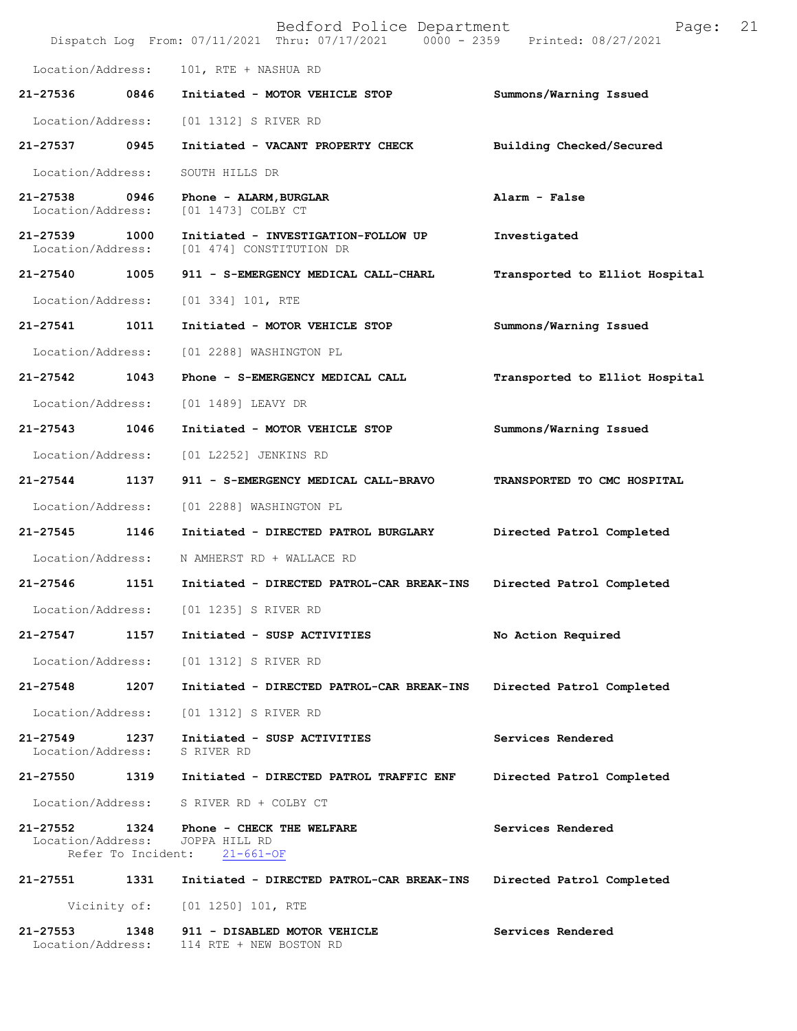|                               |                            | Bedford Police Department<br>Dispatch Log From: 07/11/2021 Thru: 07/17/2021 0000 - 2359 | Page:<br>Printed: 08/27/2021   | 21 |
|-------------------------------|----------------------------|-----------------------------------------------------------------------------------------|--------------------------------|----|
| Location/Address:             |                            | 101, RTE + NASHUA RD                                                                    |                                |    |
| 21-27536                      | 0846                       | Initiated - MOTOR VEHICLE STOP                                                          | Summons/Warning Issued         |    |
| Location/Address:             |                            | [01 1312] S RIVER RD                                                                    |                                |    |
| 21-27537                      | 0945                       | Initiated - VACANT PROPERTY CHECK                                                       | Building Checked/Secured       |    |
| Location/Address:             |                            | SOUTH HILLS DR                                                                          |                                |    |
| 21-27538<br>Location/Address: | 0946                       | Phone - ALARM, BURGLAR<br>[01 1473] COLBY CT                                            | Alarm - False                  |    |
| 21-27539<br>Location/Address: | 1000                       | Initiated - INVESTIGATION-FOLLOW UP<br>[01 474] CONSTITUTION DR                         | Investigated                   |    |
| 21-27540                      | 1005                       | 911 - S-EMERGENCY MEDICAL CALL-CHARL                                                    | Transported to Elliot Hospital |    |
| Location/Address:             |                            | [01 334] 101, RTE                                                                       |                                |    |
| 21-27541                      | 1011                       | Initiated - MOTOR VEHICLE STOP                                                          | Summons/Warning Issued         |    |
| Location/Address:             |                            | [01 2288] WASHINGTON PL                                                                 |                                |    |
| 21-27542                      | 1043                       | Phone - S-EMERGENCY MEDICAL CALL                                                        | Transported to Elliot Hospital |    |
| Location/Address:             |                            | [01 1489] LEAVY DR                                                                      |                                |    |
| 21-27543                      | 1046                       | Initiated - MOTOR VEHICLE STOP                                                          | Summons/Warning Issued         |    |
| Location/Address:             |                            | [01 L2252] JENKINS RD                                                                   |                                |    |
| 21-27544                      | 1137                       | 911 - S-EMERGENCY MEDICAL CALL-BRAVO                                                    | TRANSPORTED TO CMC HOSPITAL    |    |
| Location/Address:             |                            | [01 2288] WASHINGTON PL                                                                 |                                |    |
| 21-27545                      | 1146                       | Initiated - DIRECTED PATROL BURGLARY                                                    | Directed Patrol Completed      |    |
| Location/Address:             |                            | N AMHERST RD + WALLACE RD                                                               |                                |    |
| 21-27546                      | 1151                       | Initiated - DIRECTED PATROL-CAR BREAK-INS                                               | Directed Patrol Completed      |    |
| Location/Address:             |                            | [01 1235] S RIVER RD                                                                    |                                |    |
| $21 - 27547$                  | 1157                       | Initiated - SUSP ACTIVITIES                                                             | No Action Required             |    |
| Location/Address:             |                            | [01 1312] S RIVER RD                                                                    |                                |    |
| 21-27548                      | 1207                       | Initiated - DIRECTED PATROL-CAR BREAK-INS                                               | Directed Patrol Completed      |    |
| Location/Address:             |                            | [01 1312] S RIVER RD                                                                    |                                |    |
| 21-27549<br>Location/Address: | 1237                       | Initiated - SUSP ACTIVITIES<br>S RIVER RD                                               | Services Rendered              |    |
| 21-27550                      | 1319                       | Initiated - DIRECTED PATROL TRAFFIC ENF                                                 | Directed Patrol Completed      |    |
| Location/Address:             |                            | S RIVER RD + COLBY CT                                                                   |                                |    |
| 21-27552<br>Location/Address: | 1324<br>Refer To Incident: | Phone - CHECK THE WELFARE<br>JOPPA HILL RD<br>$21 - 661 - OF$                           | Services Rendered              |    |
| 21-27551                      | 1331                       | Initiated - DIRECTED PATROL-CAR BREAK-INS                                               | Directed Patrol Completed      |    |
|                               | Vicinity of:               | [01 1250] 101, RTE                                                                      |                                |    |
| 21-27553<br>Location/Address: | 1348                       | 911 - DISABLED MOTOR VEHICLE<br>114 RTE + NEW BOSTON RD                                 | Services Rendered              |    |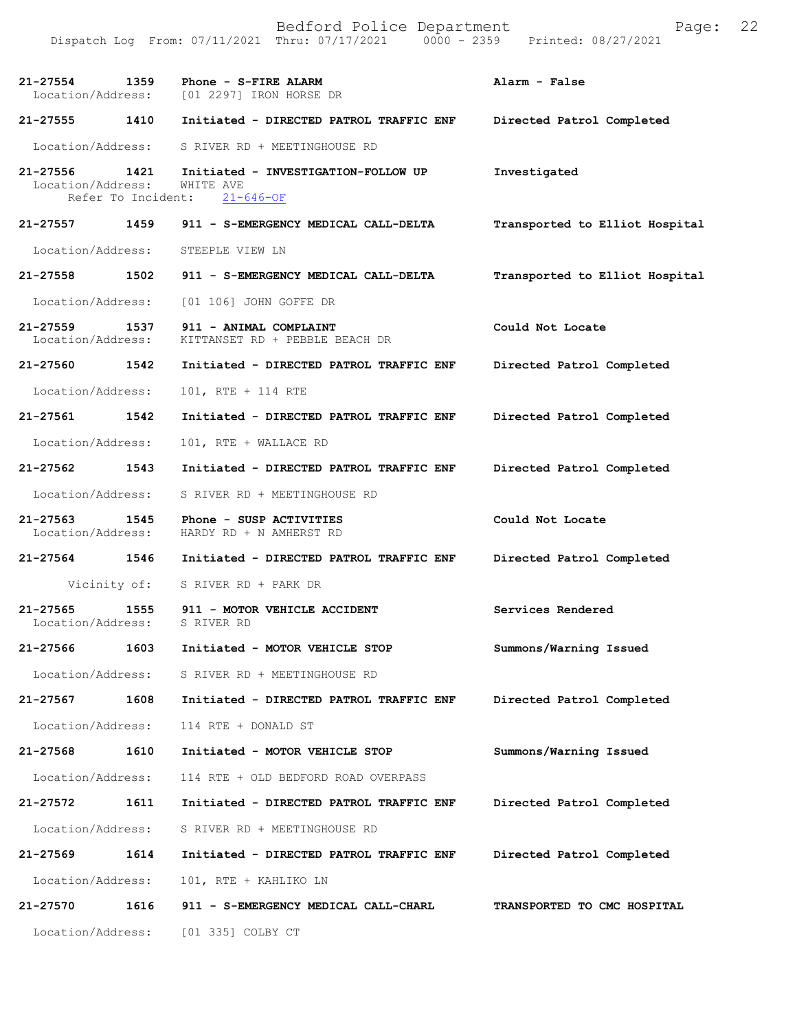Bedford Police Department Page: 22 Dispatch Log From: 07/11/2021 Thru: 07/17/2021 **21-27554 1359 Phone - S-FIRE ALARM Alarm - False**  Location/Address: [01 2297] IRON HORSE DR **21-27555 1410 Initiated - DIRECTED PATROL TRAFFIC ENF Directed Patrol Completed**  Location/Address: S RIVER RD + MEETINGHOUSE RD **21-27556 1421 Initiated - INVESTIGATION-FOLLOW UP Investigated**  Location/Address: WHITE AVE Refer To Incident: 21-646-OF **21-27557 1459 911 - S-EMERGENCY MEDICAL CALL-DELTA Transported to Elliot Hospital** Location/Address: STEEPLE VIEW LN **21-27558 1502 911 - S-EMERGENCY MEDICAL CALL-DELTA Transported to Elliot Hospital** Location/Address: [01 106] JOHN GOFFE DR **21-27559 1537 911 - ANIMAL COMPLAINT Could Not Locate**  Location/Address: KITTANSET RD + PEBBLE BEACH DR **21-27560 1542 Initiated - DIRECTED PATROL TRAFFIC ENF Directed Patrol Completed**  Location/Address: 101, RTE + 114 RTE **21-27561 1542 Initiated - DIRECTED PATROL TRAFFIC ENF Directed Patrol Completed**  Location/Address: 101, RTE + WALLACE RD **21-27562 1543 Initiated - DIRECTED PATROL TRAFFIC ENF Directed Patrol Completed**  Location/Address: S RIVER RD + MEETINGHOUSE RD **21-27563 1545 Phone - SUSP ACTIVITIES Could Not Locate**  Location/Address: HARDY RD + N AMHERST RD **21-27564 1546 Initiated - DIRECTED PATROL TRAFFIC ENF Directed Patrol Completed**  Vicinity of: S RIVER RD + PARK DR 21-27565 1555 911 - MOTOR VEHICLE ACCIDENT **Services Rendered Services Rendered Services** Rendered Location/Address: **21-27566 1603 Initiated - MOTOR VEHICLE STOP Summons/Warning Issued**  Location/Address: S RIVER RD + MEETINGHOUSE RD **21-27567 1608 Initiated - DIRECTED PATROL TRAFFIC ENF Directed Patrol Completed**  Location/Address: 114 RTE + DONALD ST **21-27568 1610 Initiated - MOTOR VEHICLE STOP Summons/Warning Issued**  Location/Address: 114 RTE + OLD BEDFORD ROAD OVERPASS **21-27572 1611 Initiated - DIRECTED PATROL TRAFFIC ENF Directed Patrol Completed**  Location/Address: S RIVER RD + MEETINGHOUSE RD **21-27569 1614 Initiated - DIRECTED PATROL TRAFFIC ENF Directed Patrol Completed**  Location/Address: 101, RTE + KAHLIKO LN **21-27570 1616 911 - S-EMERGENCY MEDICAL CALL-CHARL TRANSPORTED TO CMC HOSPITAL**  Location/Address: [01 335] COLBY CT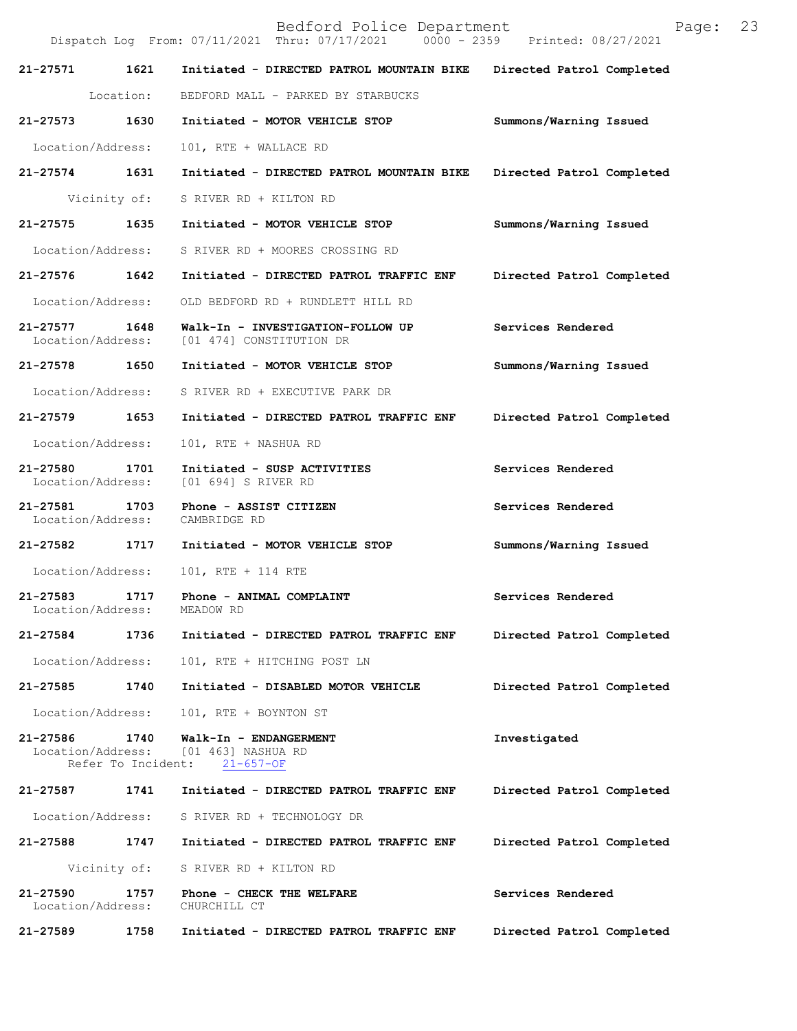|                                    |                            | Dispatch Log From: 07/11/2021 Thru: 07/17/2021 0000 - 2359      | Printed: 08/27/2021       |
|------------------------------------|----------------------------|-----------------------------------------------------------------|---------------------------|
| 21-27571                           | 1621                       | Initiated - DIRECTED PATROL MOUNTAIN BIKE                       | Directed Patrol Completed |
|                                    | Location:                  | BEDFORD MALL - PARKED BY STARBUCKS                              |                           |
| 21-27573 1630                      |                            | Initiated - MOTOR VEHICLE STOP                                  | Summons/Warning Issued    |
| Location/Address:                  |                            | 101, RTE + WALLACE RD                                           |                           |
| 21-27574 1631                      |                            | Initiated - DIRECTED PATROL MOUNTAIN BIKE                       | Directed Patrol Completed |
|                                    | Vicinity of:               | S RIVER RD + KILTON RD                                          |                           |
| 21-27575 1635                      |                            | Initiated - MOTOR VEHICLE STOP                                  | Summons/Warning Issued    |
| Location/Address:                  |                            | S RIVER RD + MOORES CROSSING RD                                 |                           |
| 21-27576 1642                      |                            | Initiated - DIRECTED PATROL TRAFFIC ENF                         | Directed Patrol Completed |
| Location/Address:                  |                            | OLD BEDFORD RD + RUNDLETT HILL RD                               |                           |
| 21-27577<br>Location/Address:      | 1648                       | Walk-In - INVESTIGATION-FOLLOW UP<br>[01 474] CONSTITUTION DR   | Services Rendered         |
| 21-27578 1650                      |                            | Initiated - MOTOR VEHICLE STOP                                  | Summons/Warning Issued    |
| Location/Address:                  |                            | S RIVER RD + EXECUTIVE PARK DR                                  |                           |
| 21-27579 1653                      |                            | Initiated - DIRECTED PATROL TRAFFIC ENF                         | Directed Patrol Completed |
| Location/Address:                  |                            | 101, RTE + NASHUA RD                                            |                           |
| 21-27580<br>Location/Address:      | 1701                       | Initiated - SUSP ACTIVITIES<br>[01 694] S RIVER RD              | Services Rendered         |
| 21-27581 1703<br>Location/Address: |                            | Phone - ASSIST CITIZEN<br>CAMBRIDGE RD                          | Services Rendered         |
| 21-27582 1717                      |                            | Initiated - MOTOR VEHICLE STOP                                  | Summons/Warning Issued    |
| Location/Address:                  |                            | 101, RTE + 114 RTE                                              |                           |
| 21-27583<br>Location/Address:      | 1717                       | Phone - ANIMAL COMPLAINT<br>MEADOW RD                           | Services Rendered         |
| 21-27584                           | 1736                       | Initiated - DIRECTED PATROL TRAFFIC ENF                         | Directed Patrol Completed |
| Location/Address:                  |                            | 101, RTE + HITCHING POST LN                                     |                           |
| 21-27585                           | 1740                       | Initiated - DISABLED MOTOR VEHICLE                              | Directed Patrol Completed |
| Location/Address:                  |                            | 101, RTE + BOYNTON ST                                           |                           |
| 21-27586<br>Location/Address:      | 1740<br>Refer To Incident: | Walk-In - ENDANGERMENT<br>[01 463] NASHUA RD<br>$21 - 657 - OF$ | Investigated              |
| 21-27587                           | 1741                       | Initiated - DIRECTED PATROL TRAFFIC ENF                         | Directed Patrol Completed |
| Location/Address:                  |                            | S RIVER RD + TECHNOLOGY DR                                      |                           |
| 21-27588                           | 1747                       | Initiated - DIRECTED PATROL TRAFFIC ENF                         | Directed Patrol Completed |
|                                    | Vicinity of:               | S RIVER RD + KILTON RD                                          |                           |
| 21-27590<br>Location/Address:      | 1757                       | Phone - CHECK THE WELFARE<br>CHURCHILL CT                       | Services Rendered         |
| 21-27589                           | 1758                       | Initiated - DIRECTED PATROL TRAFFIC ENF                         | Directed Patrol Completed |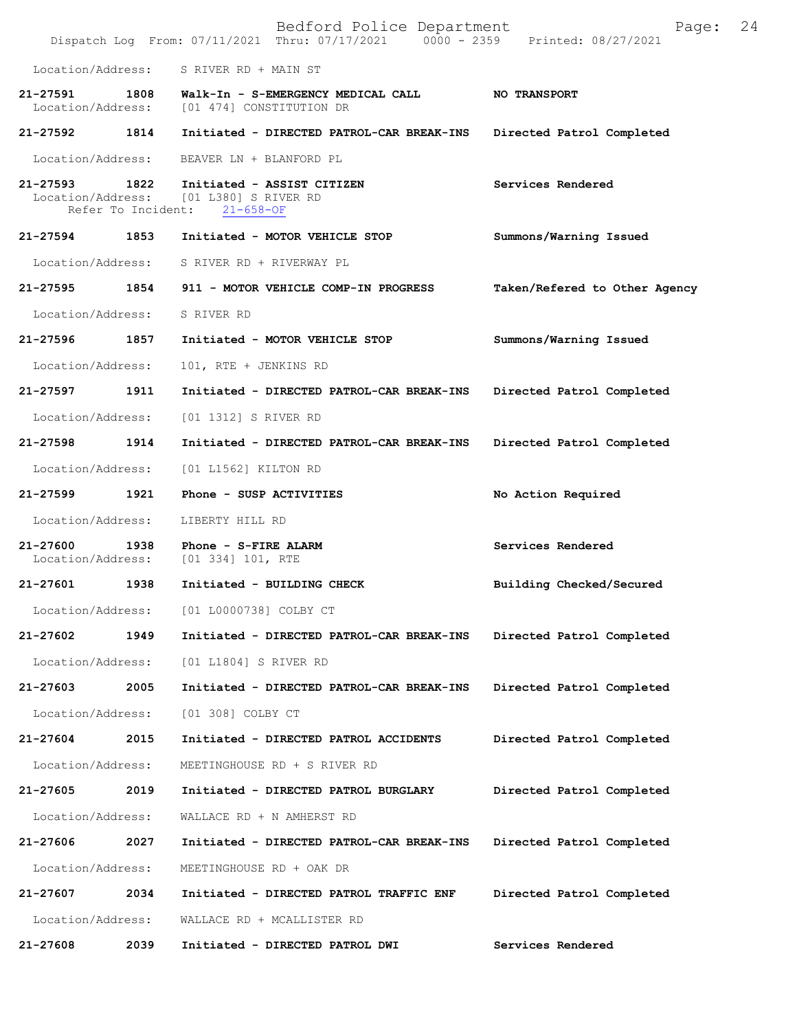|                                   |                    | Bedford Police Department<br>Dispatch Log From: 07/11/2021 Thru: 07/17/2021 0000 - 2359 Printed: 08/27/2021 | Page:                         | 24 |
|-----------------------------------|--------------------|-------------------------------------------------------------------------------------------------------------|-------------------------------|----|
| Location/Address:                 |                    | S RIVER RD + MAIN ST                                                                                        |                               |    |
| 21-27591<br>Location/Address:     | 1808               | Walk-In - S-EMERGENCY MEDICAL CALL<br>[01 474] CONSTITUTION DR                                              | NO TRANSPORT                  |    |
| 21-27592                          | 1814               | Initiated - DIRECTED PATROL-CAR BREAK-INS                                                                   | Directed Patrol Completed     |    |
| Location/Address:                 |                    | BEAVER LN + BLANFORD PL                                                                                     |                               |    |
| 21-27593 1822                     | Refer To Incident: | Initiated - ASSIST CITIZEN<br>Location/Address: [01 L380] S RIVER RD<br>$21 - 658 - OF$                     | Services Rendered             |    |
| 21-27594                          | 1853               | Initiated - MOTOR VEHICLE STOP                                                                              | Summons/Warning Issued        |    |
| Location/Address:                 |                    | S RIVER RD + RIVERWAY PL                                                                                    |                               |    |
| 21-27595                          | 1854               | 911 - MOTOR VEHICLE COMP-IN PROGRESS                                                                        | Taken/Refered to Other Agency |    |
| Location/Address:                 |                    | S RIVER RD                                                                                                  |                               |    |
| 21-27596                          | 1857               | Initiated - MOTOR VEHICLE STOP                                                                              | Summons/Warning Issued        |    |
| Location/Address:                 |                    | 101, RTE + JENKINS RD                                                                                       |                               |    |
| 21-27597                          | 1911               | Initiated - DIRECTED PATROL-CAR BREAK-INS                                                                   | Directed Patrol Completed     |    |
| Location/Address:                 |                    | [01 1312] S RIVER RD                                                                                        |                               |    |
| 21-27598                          | 1914               | Initiated - DIRECTED PATROL-CAR BREAK-INS                                                                   | Directed Patrol Completed     |    |
| Location/Address:                 |                    | [01 L1562] KILTON RD                                                                                        |                               |    |
| 21-27599                          | 1921               | Phone - SUSP ACTIVITIES                                                                                     | No Action Required            |    |
| Location/Address:                 |                    | LIBERTY HILL RD                                                                                             |                               |    |
| $21 - 27600$<br>Location/Address: | 1938               | Phone - S-FIRE ALARM<br>$[01\ 334]\ 101$ , RTE                                                              | Services Rendered             |    |
| 21-27601                          | 1938               | Initiated - BUILDING CHECK                                                                                  | Building Checked/Secured      |    |
| Location/Address:                 |                    | [01 L0000738] COLBY CT                                                                                      |                               |    |
| 21-27602                          | 1949               | Initiated - DIRECTED PATROL-CAR BREAK-INS                                                                   | Directed Patrol Completed     |    |
| Location/Address:                 |                    | [01 L1804] S RIVER RD                                                                                       |                               |    |
| 21-27603                          | 2005               | Initiated - DIRECTED PATROL-CAR BREAK-INS                                                                   | Directed Patrol Completed     |    |
| Location/Address:                 |                    | [01 308] COLBY CT                                                                                           |                               |    |
| 21-27604                          | 2015               | Initiated - DIRECTED PATROL ACCIDENTS                                                                       | Directed Patrol Completed     |    |
| Location/Address:                 |                    | MEETINGHOUSE RD + S RIVER RD                                                                                |                               |    |
| 21-27605                          | 2019               | Initiated - DIRECTED PATROL BURGLARY                                                                        | Directed Patrol Completed     |    |
|                                   |                    |                                                                                                             |                               |    |
| Location/Address:                 |                    | WALLACE RD + N AMHERST RD                                                                                   |                               |    |
| 21-27606                          | 2027               | Initiated - DIRECTED PATROL-CAR BREAK-INS                                                                   | Directed Patrol Completed     |    |
| Location/Address:                 |                    | MEETINGHOUSE RD + OAK DR                                                                                    |                               |    |
| 21-27607                          | 2034               | Initiated - DIRECTED PATROL TRAFFIC ENF                                                                     | Directed Patrol Completed     |    |
| Location/Address:                 |                    | WALLACE RD + MCALLISTER RD                                                                                  |                               |    |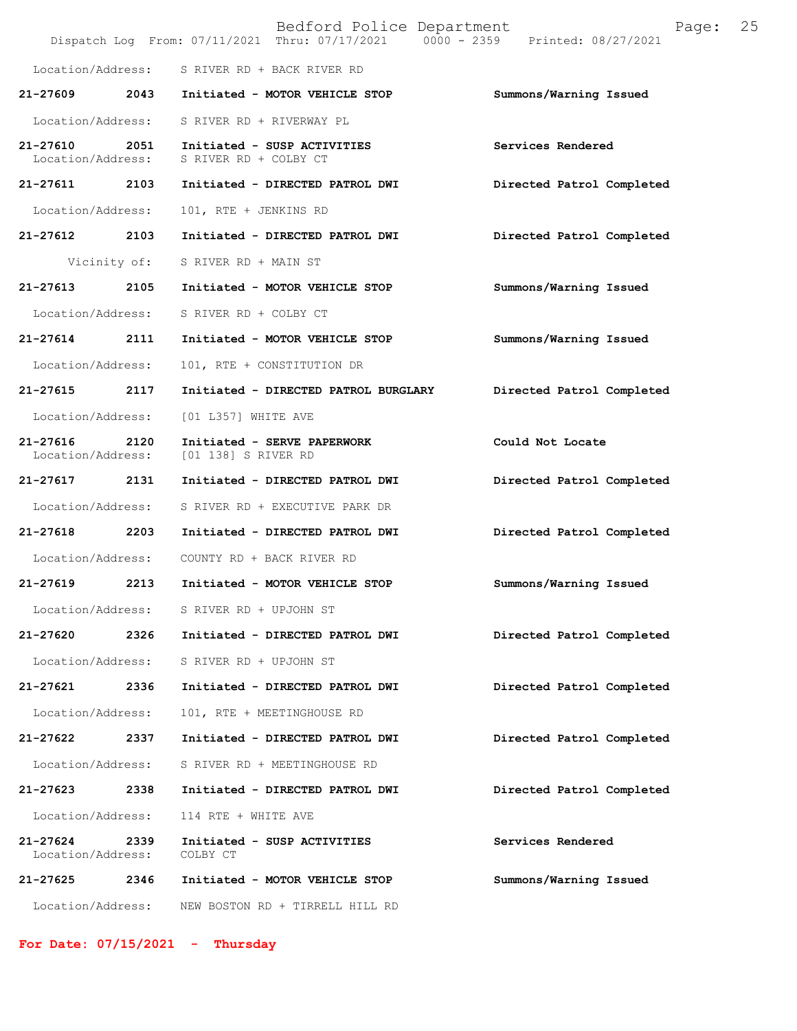|                                   |      | Bedford Police Department<br>Dispatch Log From: 07/11/2021 Thru: 07/17/2021 0000 - 2359 Printed: 08/27/2021 | 25<br>Page:               |
|-----------------------------------|------|-------------------------------------------------------------------------------------------------------------|---------------------------|
| Location/Address:                 |      | S RIVER RD + BACK RIVER RD                                                                                  |                           |
| 21-27609                          | 2043 | Initiated - MOTOR VEHICLE STOP                                                                              | Summons/Warning Issued    |
| Location/Address:                 |      | S RIVER RD + RIVERWAY PL                                                                                    |                           |
| 21-27610<br>Location/Address:     | 2051 | Initiated - SUSP ACTIVITIES<br>S RIVER RD + COLBY CT                                                        | Services Rendered         |
| 21-27611 2103                     |      | Initiated - DIRECTED PATROL DWI                                                                             | Directed Patrol Completed |
| Location/Address:                 |      | 101, RTE + JENKINS RD                                                                                       |                           |
| 21-27612                          | 2103 | Initiated - DIRECTED PATROL DWI                                                                             | Directed Patrol Completed |
| Vicinity of:                      |      | S RIVER RD + MAIN ST                                                                                        |                           |
| 21-27613                          | 2105 | Initiated - MOTOR VEHICLE STOP                                                                              | Summons/Warning Issued    |
| Location/Address:                 |      | S RIVER RD + COLBY CT                                                                                       |                           |
| $21 - 27614$                      | 2111 | Initiated - MOTOR VEHICLE STOP                                                                              | Summons/Warning Issued    |
| Location/Address:                 |      | 101, RTE + CONSTITUTION DR                                                                                  |                           |
| 21-27615                          | 2117 | Initiated - DIRECTED PATROL BURGLARY                                                                        | Directed Patrol Completed |
| Location/Address:                 |      | [01 L357] WHITE AVE                                                                                         |                           |
| 21-27616<br>Location/Address:     | 2120 | Initiated - SERVE PAPERWORK<br>[01 138] S RIVER RD                                                          | Could Not Locate          |
| 21-27617 2131                     |      | Initiated - DIRECTED PATROL DWI                                                                             | Directed Patrol Completed |
| Location/Address:                 |      | S RIVER RD + EXECUTIVE PARK DR                                                                              |                           |
| 21-27618                          | 2203 | Initiated - DIRECTED PATROL DWI                                                                             | Directed Patrol Completed |
| Location/Address:                 |      | COUNTY RD + BACK RIVER RD                                                                                   |                           |
| 21-27619                          | 2213 | Initiated - MOTOR VEHICLE STOP                                                                              | Summons/Warning Issued    |
| Location/Address:                 |      | S RIVER RD + UPJOHN ST                                                                                      |                           |
| 21-27620                          | 2326 | Initiated - DIRECTED PATROL DWI                                                                             | Directed Patrol Completed |
| Location/Address:                 |      | S RIVER RD + UPJOHN ST                                                                                      |                           |
| 21-27621                          | 2336 | Initiated - DIRECTED PATROL DWI                                                                             | Directed Patrol Completed |
| Location/Address:                 |      | 101, RTE + MEETINGHOUSE RD                                                                                  |                           |
| 21-27622                          | 2337 | Initiated - DIRECTED PATROL DWI                                                                             | Directed Patrol Completed |
| Location/Address:                 |      | S RIVER RD + MEETINGHOUSE RD                                                                                |                           |
| 21-27623                          | 2338 | Initiated - DIRECTED PATROL DWI                                                                             | Directed Patrol Completed |
| Location/Address:                 |      | 114 RTE + WHITE AVE                                                                                         |                           |
| $21 - 27624$<br>Location/Address: | 2339 | Initiated - SUSP ACTIVITIES<br>COLBY CT                                                                     | Services Rendered         |
| 21-27625                          | 2346 | Initiated - MOTOR VEHICLE STOP                                                                              | Summons/Warning Issued    |
| Location/Address:                 |      | NEW BOSTON RD + TIRRELL HILL RD                                                                             |                           |

**For Date: 07/15/2021 - Thursday**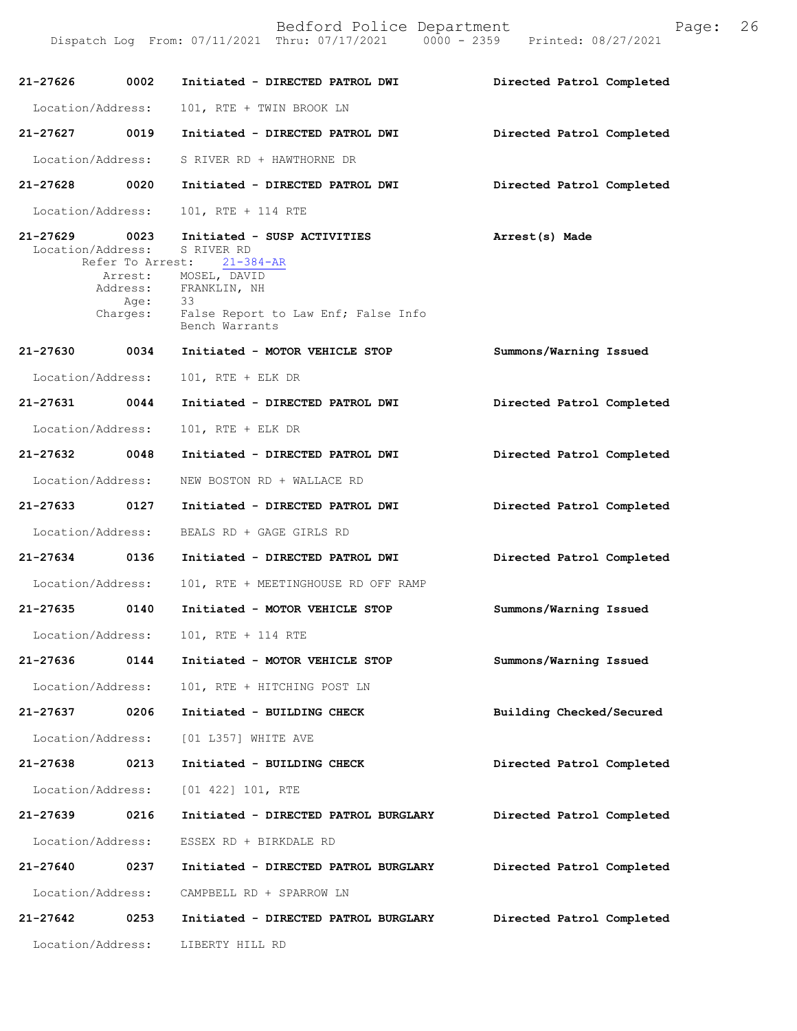| $21 - 27626$                       | 0002                     | Initiated - DIRECTED PATROL DWI                                                                                                                                                       | Directed Patrol Completed |
|------------------------------------|--------------------------|---------------------------------------------------------------------------------------------------------------------------------------------------------------------------------------|---------------------------|
| Location/Address:                  |                          | 101, RTE + TWIN BROOK LN                                                                                                                                                              |                           |
| 21-27627 0019                      |                          | Initiated - DIRECTED PATROL DWI                                                                                                                                                       | Directed Patrol Completed |
| Location/Address:                  |                          | S RIVER RD + HAWTHORNE DR                                                                                                                                                             |                           |
| 21-27628 0020                      |                          | Initiated - DIRECTED PATROL DWI                                                                                                                                                       | Directed Patrol Completed |
| Location/Address:                  |                          | 101, RTE + 114 RTE                                                                                                                                                                    |                           |
| 21-27629 0023<br>Location/Address: | Refer To Arrest:<br>Age: | Initiated - SUSP ACTIVITIES<br>S RIVER RD<br>$21 - 384 - AR$<br>Arrest: MOSEL, DAVID<br>Address: FRANKLIN, NH<br>33<br>Charges: False Report to Law Enf; False Info<br>Bench Warrants | Arrest(s) Made            |
| 21-27630 0034                      |                          | Initiated - MOTOR VEHICLE STOP                                                                                                                                                        | Summons/Warning Issued    |
| Location/Address:                  |                          | $101$ , RTE + ELK DR                                                                                                                                                                  |                           |
| 21-27631 0044                      |                          | Initiated - DIRECTED PATROL DWI                                                                                                                                                       | Directed Patrol Completed |
| Location/Address:                  |                          | $101$ , RTE + ELK DR                                                                                                                                                                  |                           |
| 21-27632 0048                      |                          | Initiated - DIRECTED PATROL DWI                                                                                                                                                       | Directed Patrol Completed |
| Location/Address:                  |                          | NEW BOSTON RD + WALLACE RD                                                                                                                                                            |                           |
| 21-27633 0127                      |                          | Initiated - DIRECTED PATROL DWI                                                                                                                                                       | Directed Patrol Completed |
| Location/Address:                  |                          | BEALS RD + GAGE GIRLS RD                                                                                                                                                              |                           |
| 21-27634 0136                      |                          | Initiated - DIRECTED PATROL DWI                                                                                                                                                       | Directed Patrol Completed |
| Location/Address:                  |                          | 101, RTE + MEETINGHOUSE RD OFF RAMP                                                                                                                                                   |                           |
| 21-27635 0140                      |                          | Initiated - MOTOR VEHICLE STOP                                                                                                                                                        | Summons/Warning Issued    |
| Location/Address:                  |                          | 101, RTE + 114 RTE                                                                                                                                                                    |                           |
| 21-27636                           | 0144                     | Initiated - MOTOR VEHICLE STOP                                                                                                                                                        | Summons/Warning Issued    |
| Location/Address:                  |                          | 101, RTE + HITCHING POST LN                                                                                                                                                           |                           |
| 21-27637                           | 0206                     | Initiated - BUILDING CHECK                                                                                                                                                            | Building Checked/Secured  |
| Location/Address:                  |                          | [01 L357] WHITE AVE                                                                                                                                                                   |                           |
| 21-27638                           | 0213                     | Initiated - BUILDING CHECK                                                                                                                                                            | Directed Patrol Completed |
| Location/Address:                  |                          | [01 422] 101, RTE                                                                                                                                                                     |                           |
| 21-27639                           | 0216                     | Initiated - DIRECTED PATROL BURGLARY                                                                                                                                                  | Directed Patrol Completed |
| Location/Address:                  |                          | ESSEX RD + BIRKDALE RD                                                                                                                                                                |                           |
| 21-27640                           | 0237                     | Initiated - DIRECTED PATROL BURGLARY                                                                                                                                                  | Directed Patrol Completed |
| Location/Address:                  |                          | CAMPBELL RD + SPARROW LN                                                                                                                                                              |                           |
| 21-27642                           | 0253                     | Initiated - DIRECTED PATROL BURGLARY                                                                                                                                                  | Directed Patrol Completed |
| Location/Address:                  |                          | LIBERTY HILL RD                                                                                                                                                                       |                           |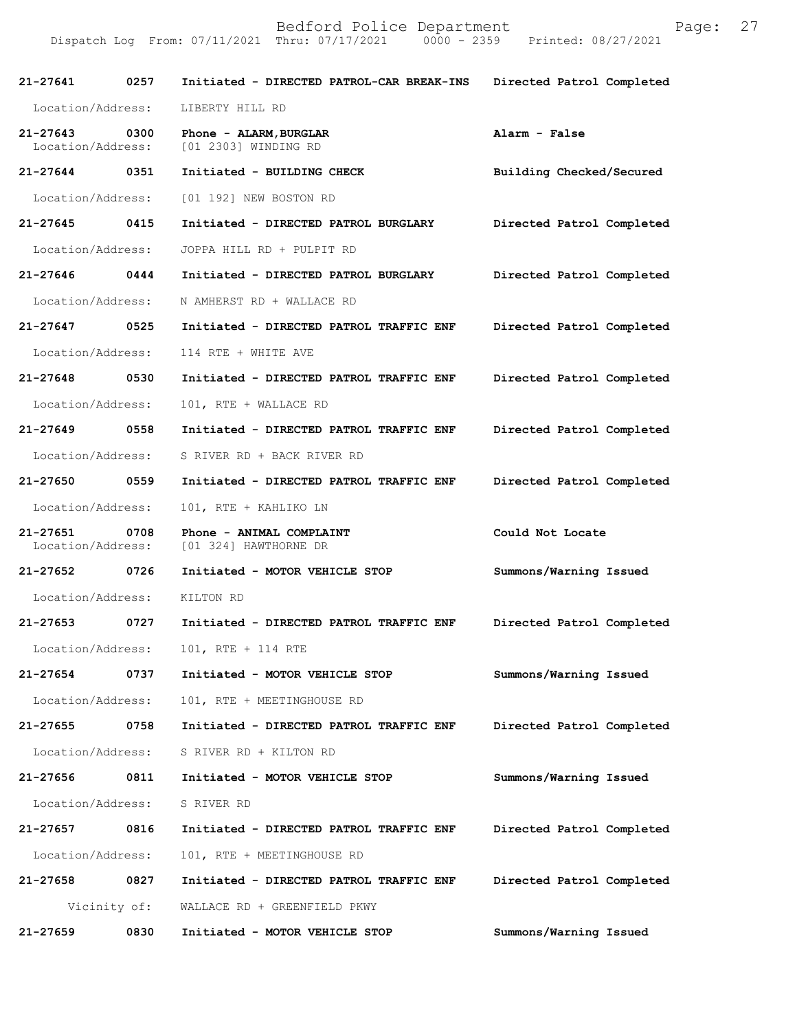| 21-27641                          | 0257         | Initiated - DIRECTED PATROL-CAR BREAK-INS         | Directed Patrol Completed |
|-----------------------------------|--------------|---------------------------------------------------|---------------------------|
| Location/Address:                 |              | LIBERTY HILL RD                                   |                           |
| $21 - 27643$<br>Location/Address: | 0300         | Phone - ALARM, BURGLAR<br>[01 2303] WINDING RD    | Alarm - False             |
| 21-27644 0351                     |              | Initiated - BUILDING CHECK                        | Building Checked/Secured  |
| Location/Address:                 |              | [01 192] NEW BOSTON RD                            |                           |
| $21 - 27645$ 0415                 |              | Initiated - DIRECTED PATROL BURGLARY              | Directed Patrol Completed |
| Location/Address:                 |              | JOPPA HILL RD + PULPIT RD                         |                           |
| $21 - 27646$ 0444                 |              | Initiated - DIRECTED PATROL BURGLARY              | Directed Patrol Completed |
| Location/Address:                 |              | N AMHERST RD + WALLACE RD                         |                           |
| 21-27647                          | 0525         | Initiated - DIRECTED PATROL TRAFFIC ENF           | Directed Patrol Completed |
| Location/Address:                 |              | 114 RTE + WHITE AVE                               |                           |
| 21-27648 0530                     |              | Initiated - DIRECTED PATROL TRAFFIC ENF           | Directed Patrol Completed |
| Location/Address:                 |              | 101, RTE + WALLACE RD                             |                           |
| 21-27649                          | 0558         | Initiated - DIRECTED PATROL TRAFFIC ENF           | Directed Patrol Completed |
| Location/Address:                 |              | S RIVER RD + BACK RIVER RD                        |                           |
| 21-27650                          | 0559         | Initiated - DIRECTED PATROL TRAFFIC ENF           | Directed Patrol Completed |
| Location/Address:                 |              | 101, RTE + KAHLIKO LN                             |                           |
| 21-27651<br>Location/Address:     | 0708         | Phone - ANIMAL COMPLAINT<br>[01 324] HAWTHORNE DR | Could Not Locate          |
| 21-27652                          | 0726         | Initiated - MOTOR VEHICLE STOP                    | Summons/Warning Issued    |
| Location/Address:                 |              | KILTON RD                                         |                           |
| 21-27653                          | 0727         | Initiated - DIRECTED PATROL TRAFFIC ENF           | Directed Patrol Completed |
| Location/Address:                 |              | 101, RTE + 114 RTE                                |                           |
| 21-27654                          | 0737         | Initiated - MOTOR VEHICLE STOP                    | Summons/Warning Issued    |
| Location/Address:                 |              | 101, RTE + MEETINGHOUSE RD                        |                           |
| 21-27655                          | 0758         | Initiated - DIRECTED PATROL TRAFFIC ENF           | Directed Patrol Completed |
| Location/Address:                 |              | S RIVER RD + KILTON RD                            |                           |
| 21-27656                          | 0811         | Initiated - MOTOR VEHICLE STOP                    | Summons/Warning Issued    |
| Location/Address:                 |              | S RIVER RD                                        |                           |
| 21-27657                          | 0816         | Initiated - DIRECTED PATROL TRAFFIC ENF           | Directed Patrol Completed |
| Location/Address:                 |              | 101, RTE + MEETINGHOUSE RD                        |                           |
| 21-27658                          | 0827         | Initiated - DIRECTED PATROL TRAFFIC ENF           | Directed Patrol Completed |
|                                   | Vicinity of: | WALLACE RD + GREENFIELD PKWY                      |                           |
| 21-27659                          | 0830         | Initiated - MOTOR VEHICLE STOP                    | Summons/Warning Issued    |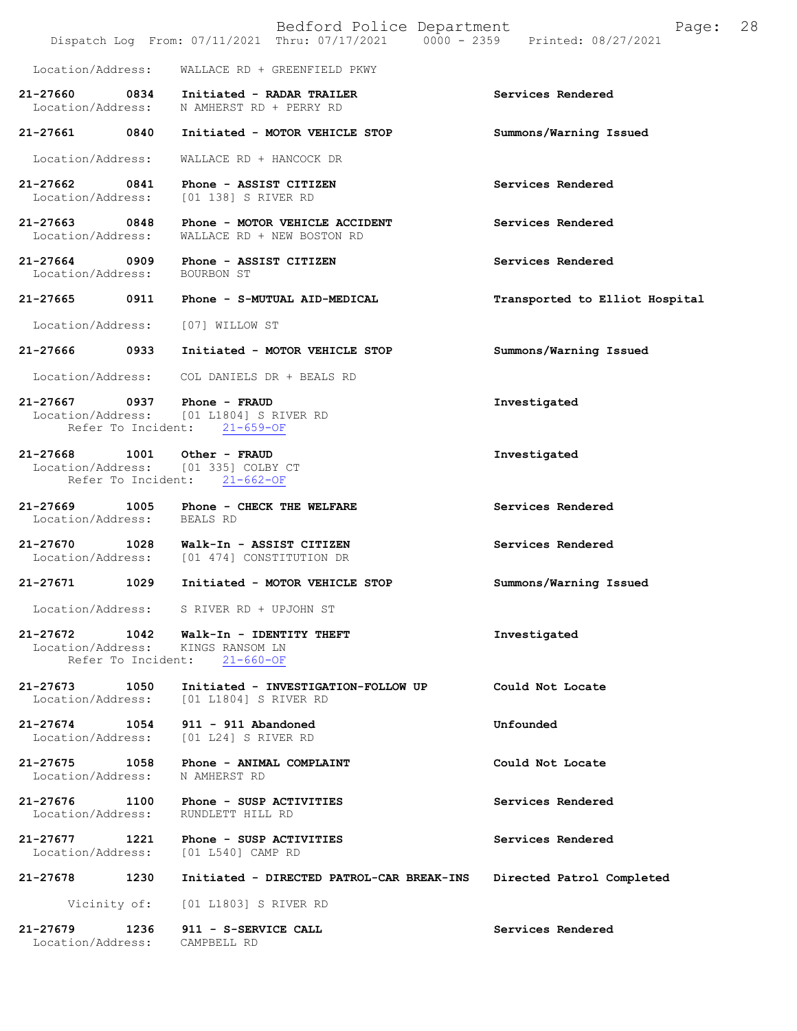|                                                          | Bedford Police Department<br>Dispatch Log From: 07/11/2021 Thru: 07/17/2021 0000 - 2359 | 28<br>Page:<br>Printed: 08/27/2021 |
|----------------------------------------------------------|-----------------------------------------------------------------------------------------|------------------------------------|
| Location/Address:                                        | WALLACE RD + GREENFIELD PKWY                                                            |                                    |
| 21-27660 0834<br>Location/Address:                       | Initiated - RADAR TRAILER<br>N AMHERST RD + PERRY RD                                    | Services Rendered                  |
| 21-27661<br>0840                                         | Initiated - MOTOR VEHICLE STOP                                                          | Summons/Warning Issued             |
| Location/Address:                                        | WALLACE RD + HANCOCK DR                                                                 |                                    |
| 21-27662 0841<br>Location/Address:                       | Phone - ASSIST CITIZEN<br>[01 138] S RIVER RD                                           | Services Rendered                  |
| 21-27663 0848<br>Location/Address:                       | Phone - MOTOR VEHICLE ACCIDENT<br>WALLACE RD + NEW BOSTON RD                            | Services Rendered                  |
| 21-27664 0909<br>Location/Address:                       | Phone - ASSIST CITIZEN<br>BOURBON ST                                                    | Services Rendered                  |
| 21-27665 0911                                            | Phone - S-MUTUAL AID-MEDICAL                                                            | Transported to Elliot Hospital     |
| Location/Address:                                        | [07] WILLOW ST                                                                          |                                    |
| 21-27666<br>0933                                         | Initiated - MOTOR VEHICLE STOP                                                          | Summons/Warning Issued             |
| Location/Address:                                        | COL DANIELS DR + BEALS RD                                                               |                                    |
| 21-27667 0937 Phone - FRAUD<br>Refer To Incident:        | Location/Address: [01 L1804] S RIVER RD<br>$21 - 659 - OF$                              | Investigated                       |
| 21-27668 1001<br>Refer To Incident:                      | Other - FRAUD<br>Location/Address: [01 335] COLBY CT<br>$21 - 662 - OF$                 | Investigated                       |
| 21-27669<br>1005<br>Location/Address: BEALS RD           | Phone - CHECK THE WELFARE                                                               | Services Rendered                  |
| 21-27670<br>1028                                         | Walk-In - ASSIST CITIZEN<br>Location/Address: [01 474] CONSTITUTION DR                  | Services Rendered                  |
| 1029<br>$21 - 27671$                                     | Initiated - MOTOR VEHICLE STOP                                                          | Summons/Warning Issued             |
|                                                          | Location/Address: S RIVER RD + UPJOHN ST                                                |                                    |
| 21-27672 1042<br>Location/Address:<br>Refer To Incident: | Walk-In - IDENTITY THEFT<br>KINGS RANSOM LN<br>$21 - 660 - OF$                          | Investigated                       |
| 21-27673<br>1050<br>Location/Address:                    | Initiated - INVESTIGATION-FOLLOW UP<br>[01 L1804] S RIVER RD                            | Could Not Locate                   |
| $21 - 27674$<br>1054<br>Location/Address:                | 911 - 911 Abandoned<br>[01 L24] S RIVER RD                                              | Unfounded                          |
| 21-27675<br>1058<br>Location/Address:                    | Phone - ANIMAL COMPLAINT<br>N AMHERST RD                                                | Could Not Locate                   |
| 21-27676<br>1100<br>Location/Address:                    | Phone - SUSP ACTIVITIES<br>RUNDLETT HILL RD                                             | Services Rendered                  |
| 21-27677<br>1221<br>Location/Address:                    | Phone - SUSP ACTIVITIES<br>[01 L540] CAMP RD                                            | Services Rendered                  |
| 21-27678<br>1230                                         | Initiated - DIRECTED PATROL-CAR BREAK-INS                                               | Directed Patrol Completed          |
| Vicinity of:                                             | [01 L1803] S RIVER RD                                                                   |                                    |
| 21-27679<br>1236<br>Location/Address:                    | 911 - S-SERVICE CALL<br>CAMPBELL RD                                                     | Services Rendered                  |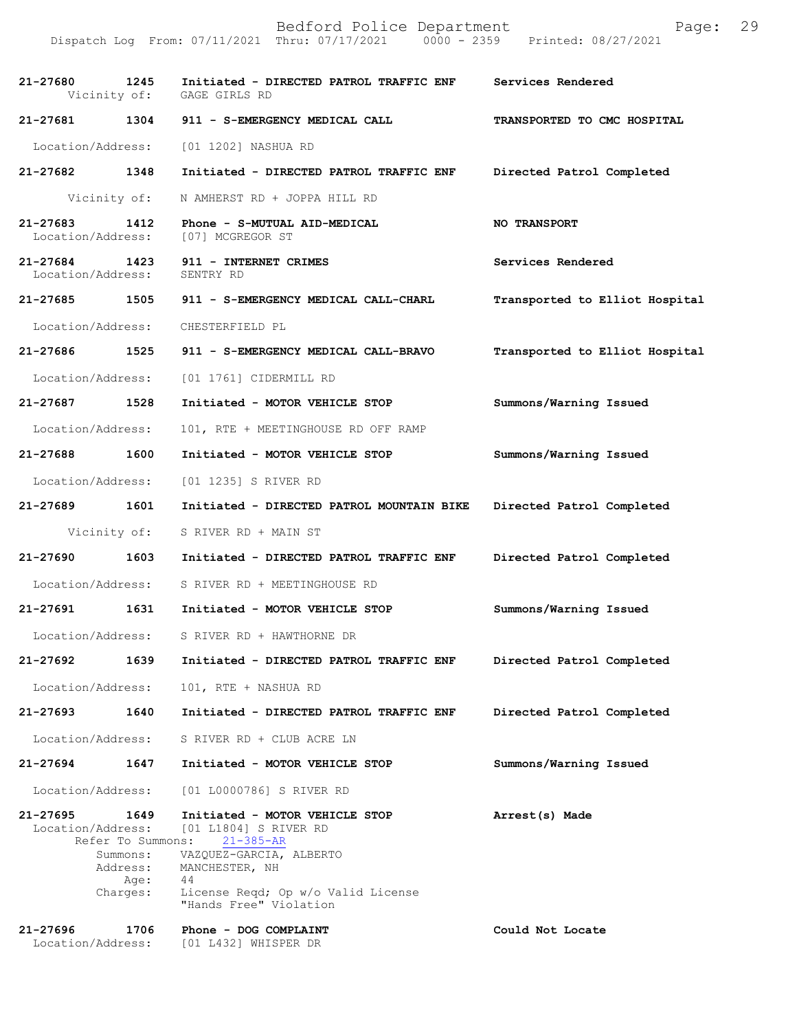| 21-27680 1245                      | Vicinity of:                                                          | Initiated - DIRECTED PATROL TRAFFIC ENF<br>GAGE GIRLS RD                                                                                                                                      | Services Rendered              |
|------------------------------------|-----------------------------------------------------------------------|-----------------------------------------------------------------------------------------------------------------------------------------------------------------------------------------------|--------------------------------|
| 21-27681 1304                      |                                                                       | 911 - S-EMERGENCY MEDICAL CALL                                                                                                                                                                | TRANSPORTED TO CMC HOSPITAL    |
| Location/Address:                  |                                                                       | [01 1202] NASHUA RD                                                                                                                                                                           |                                |
| 21-27682 1348                      |                                                                       | Initiated - DIRECTED PATROL TRAFFIC ENF                                                                                                                                                       | Directed Patrol Completed      |
|                                    | Vicinity of:                                                          | N AMHERST RD + JOPPA HILL RD                                                                                                                                                                  |                                |
| 21-27683 1412<br>Location/Address: |                                                                       | Phone - S-MUTUAL AID-MEDICAL<br>[07] MCGREGOR ST                                                                                                                                              | <b>NO TRANSPORT</b>            |
| 21-27684 1423<br>Location/Address: |                                                                       | 911 - INTERNET CRIMES<br>SENTRY RD                                                                                                                                                            | Services Rendered              |
| 21-27685 1505                      |                                                                       | 911 - S-EMERGENCY MEDICAL CALL-CHARL                                                                                                                                                          | Transported to Elliot Hospital |
| Location/Address:                  |                                                                       | CHESTERFIELD PL                                                                                                                                                                               |                                |
| 21-27686 1525                      |                                                                       | 911 - S-EMERGENCY MEDICAL CALL-BRAVO                                                                                                                                                          | Transported to Elliot Hospital |
| Location/Address:                  |                                                                       | [01 1761] CIDERMILL RD                                                                                                                                                                        |                                |
| 21-27687 1528                      |                                                                       | Initiated - MOTOR VEHICLE STOP                                                                                                                                                                | Summons/Warning Issued         |
| Location/Address:                  |                                                                       | 101, RTE + MEETINGHOUSE RD OFF RAMP                                                                                                                                                           |                                |
| 21-27688 1600                      |                                                                       | Initiated - MOTOR VEHICLE STOP                                                                                                                                                                | Summons/Warning Issued         |
| Location/Address:                  |                                                                       | [01 1235] S RIVER RD                                                                                                                                                                          |                                |
| 21-27689 1601                      |                                                                       | Initiated - DIRECTED PATROL MOUNTAIN BIKE                                                                                                                                                     | Directed Patrol Completed      |
|                                    | Vicinity of:                                                          | S RIVER RD + MAIN ST                                                                                                                                                                          |                                |
| 21-27690                           | 1603                                                                  | Initiated - DIRECTED PATROL TRAFFIC ENF                                                                                                                                                       | Directed Patrol Completed      |
| Location/Address:                  |                                                                       | S RIVER RD + MEETINGHOUSE RD                                                                                                                                                                  |                                |
| 21-27691 1631                      |                                                                       | Initiated - MOTOR VEHICLE STOP                                                                                                                                                                | Summons/Warning Issued         |
| Location/Address:                  |                                                                       | S RIVER RD + HAWTHORNE DR                                                                                                                                                                     |                                |
| 21-27692                           | 1639                                                                  | Initiated - DIRECTED PATROL TRAFFIC ENF                                                                                                                                                       | Directed Patrol Completed      |
| Location/Address:                  |                                                                       | 101, RTE + NASHUA RD                                                                                                                                                                          |                                |
| $21 - 27693$                       | 1640                                                                  | Initiated - DIRECTED PATROL TRAFFIC ENF                                                                                                                                                       | Directed Patrol Completed      |
| Location/Address:                  |                                                                       | S RIVER RD + CLUB ACRE LN                                                                                                                                                                     |                                |
| 21-27694                           | 1647                                                                  | Initiated - MOTOR VEHICLE STOP                                                                                                                                                                | Summons/Warning Issued         |
| Location/Address:                  |                                                                       | [01 L0000786] S RIVER RD                                                                                                                                                                      |                                |
| 21-27695<br>Location/Address:      | 1649<br>Refer To Summons:<br>Summons:<br>Address:<br>Age:<br>Charges: | Initiated - MOTOR VEHICLE STOP<br>[01 L1804] S RIVER RD<br>$21 - 385 - AR$<br>VAZQUEZ-GARCIA, ALBERTO<br>MANCHESTER, NH<br>44<br>License Reqd; Op w/o Valid License<br>"Hands Free" Violation | Arrest(s) Made                 |
| 21-27696<br>Location/Address:      | 1706                                                                  | Phone - DOG COMPLAINT<br>[01 L432] WHISPER DR                                                                                                                                                 | Could Not Locate               |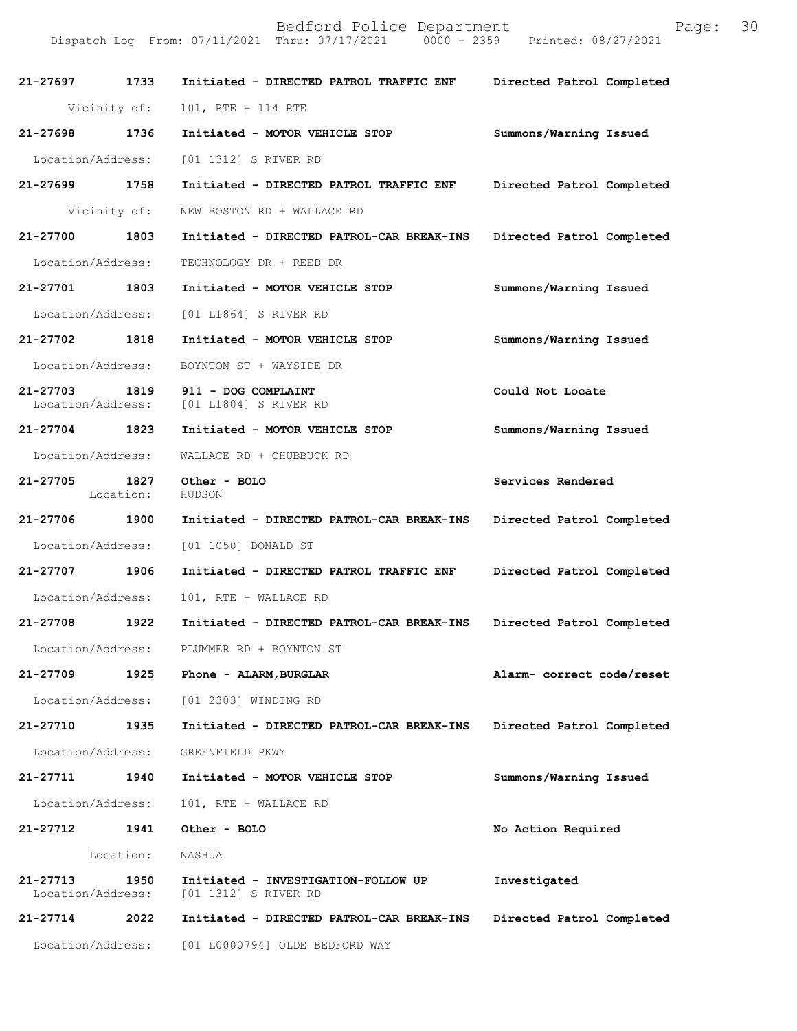| 21-27697 1733                      |              | Initiated - DIRECTED PATROL TRAFFIC ENF                     | Directed Patrol Completed |
|------------------------------------|--------------|-------------------------------------------------------------|---------------------------|
|                                    | Vicinity of: | 101, RTE + 114 RTE                                          |                           |
| 21-27698 1736                      |              | Initiated - MOTOR VEHICLE STOP                              | Summons/Warning Issued    |
| Location/Address:                  |              | [01 1312] S RIVER RD                                        |                           |
| 21-27699 1758                      |              | Initiated - DIRECTED PATROL TRAFFIC ENF                     | Directed Patrol Completed |
|                                    | Vicinity of: | NEW BOSTON RD + WALLACE RD                                  |                           |
| 21-27700 1803                      |              | Initiated - DIRECTED PATROL-CAR BREAK-INS                   | Directed Patrol Completed |
| Location/Address:                  |              | TECHNOLOGY DR + REED DR                                     |                           |
| 21-27701 1803                      |              | Initiated - MOTOR VEHICLE STOP                              | Summons/Warning Issued    |
| Location/Address:                  |              | [01 L1864] S RIVER RD                                       |                           |
| 21-27702 1818                      |              | Initiated - MOTOR VEHICLE STOP                              | Summons/Warning Issued    |
| Location/Address:                  |              | BOYNTON ST + WAYSIDE DR                                     |                           |
| 21-27703 1819<br>Location/Address: |              | 911 - DOG COMPLAINT<br>[01 L1804] S RIVER RD                | Could Not Locate          |
| 21-27704 1823                      |              | Initiated - MOTOR VEHICLE STOP                              | Summons/Warning Issued    |
| Location/Address:                  |              | WALLACE RD + CHUBBUCK RD                                    |                           |
| 21-27705 1827                      | Location:    | Other - BOLO<br>HUDSON                                      | Services Rendered         |
| 21-27706 1900                      |              | Initiated - DIRECTED PATROL-CAR BREAK-INS                   | Directed Patrol Completed |
| Location/Address:                  |              | [01 1050] DONALD ST                                         |                           |
| 21-27707 1906                      |              | Initiated - DIRECTED PATROL TRAFFIC ENF                     | Directed Patrol Completed |
| Location/Address:                  |              | 101, RTE + WALLACE RD                                       |                           |
| 21-27708                           | 1922         | Initiated - DIRECTED PATROL-CAR BREAK-INS                   | Directed Patrol Completed |
| Location/Address:                  |              | PLUMMER RD + BOYNTON ST                                     |                           |
| 21-27709                           | 1925         | Phone - ALARM, BURGLAR                                      | Alarm- correct code/reset |
|                                    |              | Location/Address: [01 2303] WINDING RD                      |                           |
| 21-27710                           | 1935         | Initiated - DIRECTED PATROL-CAR BREAK-INS                   | Directed Patrol Completed |
| Location/Address:                  |              | GREENFIELD PKWY                                             |                           |
| 21-27711                           | 1940         | Initiated - MOTOR VEHICLE STOP                              | Summons/Warning Issued    |
| Location/Address:                  |              | 101, RTE + WALLACE RD                                       |                           |
| 21-27712                           | 1941         | Other - BOLO                                                | No Action Required        |
|                                    | Location:    | NASHUA                                                      |                           |
| 21-27713<br>Location/Address:      | 1950         | Initiated - INVESTIGATION-FOLLOW UP<br>[01 1312] S RIVER RD | Investigated              |
| 21-27714                           | 2022         | Initiated - DIRECTED PATROL-CAR BREAK-INS                   | Directed Patrol Completed |
| Location/Address:                  |              | [01 L0000794] OLDE BEDFORD WAY                              |                           |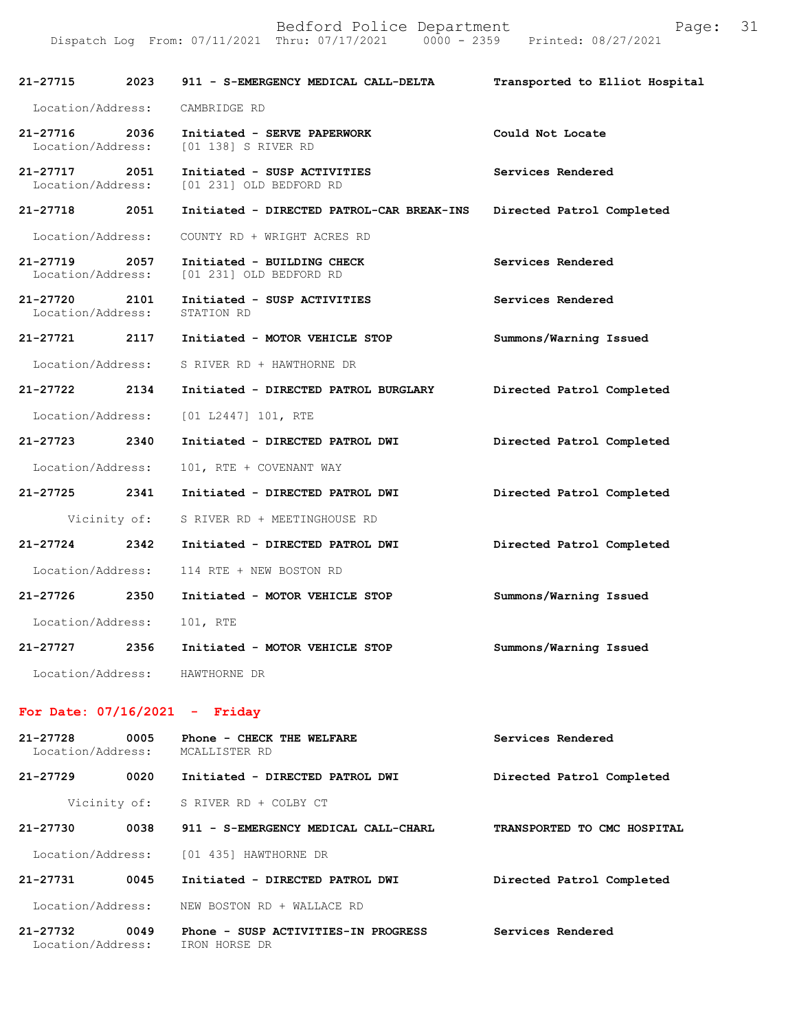| 21-27715                           | 2023         | 911 - S-EMERGENCY MEDICAL CALL-DELTA                                    | Transported to Elliot Hospital |
|------------------------------------|--------------|-------------------------------------------------------------------------|--------------------------------|
| Location/Address:                  |              | CAMBRIDGE RD                                                            |                                |
| 21-27716<br>Location/Address:      | 2036         | Initiated - SERVE PAPERWORK<br>[01 138] S RIVER RD                      | Could Not Locate               |
| 21-27717 2051<br>Location/Address: |              | Initiated - SUSP ACTIVITIES<br>[01 231] OLD BEDFORD RD                  | Services Rendered              |
| 21-27718                           | 2051         | Initiated - DIRECTED PATROL-CAR BREAK-INS                               | Directed Patrol Completed      |
|                                    |              | Location/Address: COUNTY RD + WRIGHT ACRES RD                           |                                |
| 21–27719 2057                      |              | Initiated - BUILDING CHECK<br>Location/Address: [01 231] OLD BEDFORD RD | Services Rendered              |
| 21-27720 2101<br>Location/Address: |              | Initiated - SUSP ACTIVITIES<br>STATION RD                               | Services Rendered              |
| 21-27721 2117                      |              | Initiated - MOTOR VEHICLE STOP                                          | Summons/Warning Issued         |
|                                    |              | Location/Address: S RIVER RD + HAWTHORNE DR                             |                                |
| $21 - 27722$                       | 2134         | Initiated - DIRECTED PATROL BURGLARY                                    | Directed Patrol Completed      |
|                                    |              | Location/Address: [01 L2447] 101, RTE                                   |                                |
| 21-27723                           | 2340         | Initiated - DIRECTED PATROL DWI                                         | Directed Patrol Completed      |
| Location/Address:                  |              | 101, RTE + COVENANT WAY                                                 |                                |
| 21-27725 2341                      |              | Initiated - DIRECTED PATROL DWI                                         | Directed Patrol Completed      |
|                                    | Vicinity of: | S RIVER RD + MEETINGHOUSE RD                                            |                                |
| 21-27724                           | 2342         | Initiated - DIRECTED PATROL DWI                                         | Directed Patrol Completed      |
| Location/Address:                  |              | 114 RTE + NEW BOSTON RD                                                 |                                |
| 21-27726 2350                      |              | Initiated - MOTOR VEHICLE STOP                                          | Summons/Warning Issued         |
| Location/Address:                  |              | 101, RTE                                                                |                                |
| 21-27727                           | 2356         | Initiated - MOTOR VEHICLE STOP                                          | Summons/Warning Issued         |
| Location/Address:                  |              | HAWTHORNE DR                                                            |                                |
|                                    |              | For Date: $07/16/2021$ - Friday                                         |                                |
| 21-27728<br>Location/Address:      | 0005         | Phone - CHECK THE WELFARE<br>MCALLISTER RD                              | Services Rendered              |
| 21-27729                           | 0020         | Initiated - DIRECTED PATROL DWI                                         | Directed Patrol Completed      |
|                                    | Vicinity of: | S RIVER RD + COLBY CT                                                   |                                |

Location/Address: [01 435] HAWTHORNE DR

**21-27731 0045 Initiated - DIRECTED PATROL DWI Directed Patrol Completed**  Location/Address: NEW BOSTON RD + WALLACE RD **21-27732 0049 Phone - SUSP ACTIVITIES-IN PROGRESS Services Rendered** 

**21-27730 0038 911 - S-EMERGENCY MEDICAL CALL-CHARL TRANSPORTED TO CMC HOSPITAL** 

Location/Address: IRON HORSE DR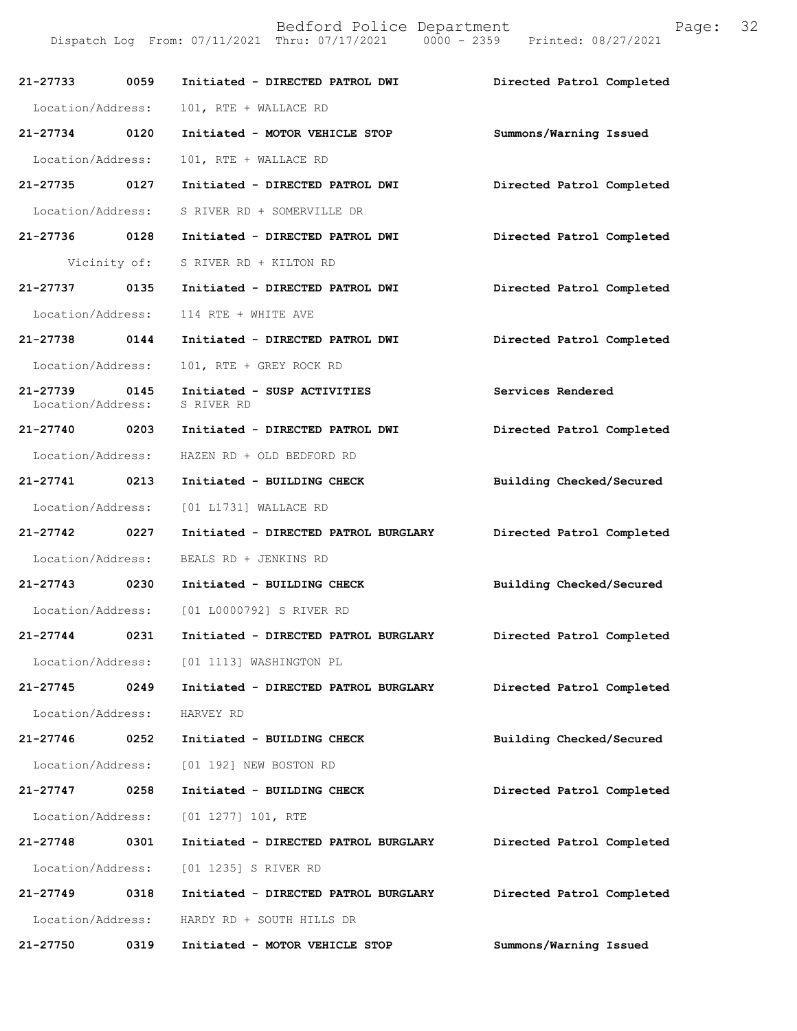| 21-27733 0059                      |              | Initiated - DIRECTED PATROL DWI            | Directed Patrol Completed |
|------------------------------------|--------------|--------------------------------------------|---------------------------|
| Location/Address:                  |              | 101, RTE + WALLACE RD                      |                           |
| 21-27734 0120                      |              | Initiated - MOTOR VEHICLE STOP             | Summons/Warning Issued    |
| Location/Address:                  |              | 101, RTE + WALLACE RD                      |                           |
| 21-27735 0127                      |              | Initiated - DIRECTED PATROL DWI            | Directed Patrol Completed |
| Location/Address:                  |              | S RIVER RD + SOMERVILLE DR                 |                           |
| 21-27736 0128                      |              | Initiated - DIRECTED PATROL DWI            | Directed Patrol Completed |
|                                    | Vicinity of: | S RIVER RD + KILTON RD                     |                           |
| 21-27737 0135                      |              | Initiated - DIRECTED PATROL DWI            | Directed Patrol Completed |
| Location/Address:                  |              | 114 RTE + WHITE AVE                        |                           |
| 21-27738 0144                      |              | Initiated - DIRECTED PATROL DWI            | Directed Patrol Completed |
| Location/Address:                  |              | 101, RTE + GREY ROCK RD                    |                           |
| 21-27739 0145<br>Location/Address: |              | Initiated - SUSP ACTIVITIES<br>S RIVER RD  | Services Rendered         |
| 21-27740 0203                      |              | Initiated - DIRECTED PATROL DWI            | Directed Patrol Completed |
| Location/Address:                  |              | HAZEN RD + OLD BEDFORD RD                  |                           |
| 21-27741 0213                      |              | Initiated - BUILDING CHECK                 | Building Checked/Secured  |
| Location/Address:                  |              | [01 L1731] WALLACE RD                      |                           |
| 21-27742 0227                      |              | Initiated - DIRECTED PATROL BURGLARY       | Directed Patrol Completed |
| Location/Address:                  |              | BEALS RD + JENKINS RD                      |                           |
| 21-27743 0230                      |              | Initiated - BUILDING CHECK                 | Building Checked/Secured  |
|                                    |              | Location/Address: [01 L0000792] S RIVER RD |                           |
| 21-27744 0231                      |              | Initiated - DIRECTED PATROL BURGLARY       | Directed Patrol Completed |
| Location/Address:                  |              | [01 1113] WASHINGTON PL                    |                           |
| 21-27745                           | 0249         | Initiated - DIRECTED PATROL BURGLARY       | Directed Patrol Completed |
| Location/Address:                  |              | HARVEY RD                                  |                           |
| 21-27746                           | 0252         | Initiated - BUILDING CHECK                 | Building Checked/Secured  |
| Location/Address:                  |              | [01 192] NEW BOSTON RD                     |                           |
| 21-27747                           | 0258         | Initiated - BUILDING CHECK                 | Directed Patrol Completed |
| Location/Address:                  |              | $[01 1277] 101$ , RTE                      |                           |
| 21-27748                           | 0301         | Initiated - DIRECTED PATROL BURGLARY       | Directed Patrol Completed |
| Location/Address:                  |              | [01 1235] S RIVER RD                       |                           |
| 21-27749 0318                      |              | Initiated - DIRECTED PATROL BURGLARY       | Directed Patrol Completed |
| Location/Address:                  |              | HARDY RD + SOUTH HILLS DR                  |                           |
| 21-27750                           | 0319         | Initiated - MOTOR VEHICLE STOP             | Summons/Warning Issued    |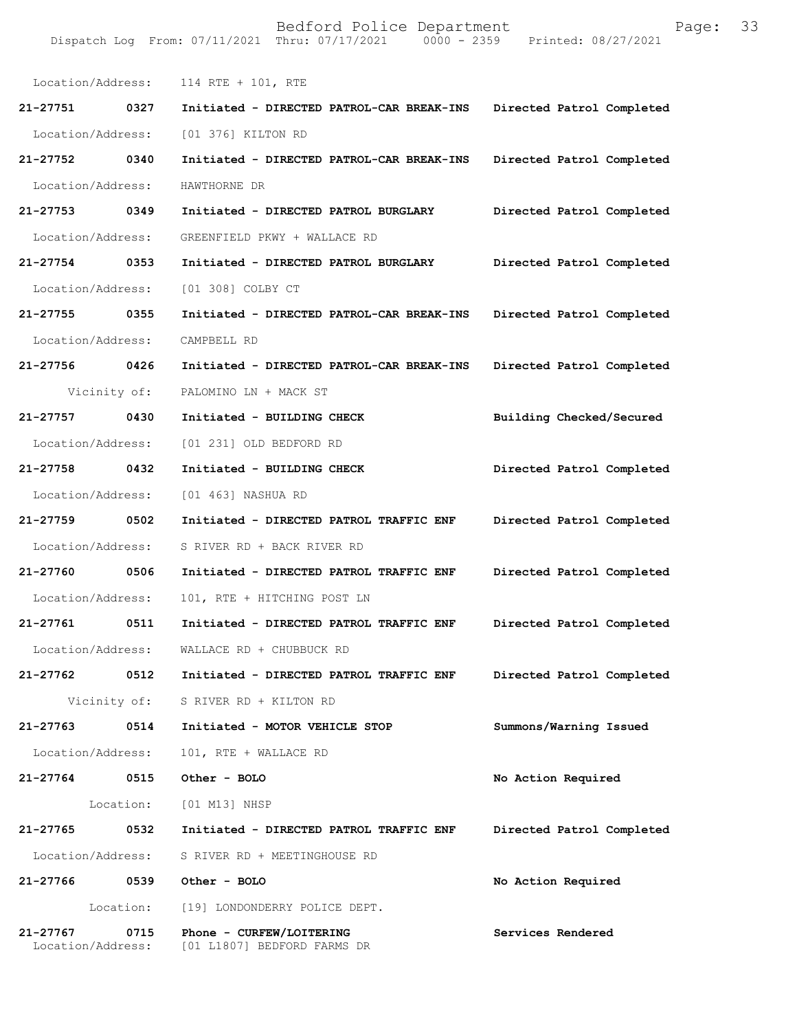| Location/Address: |           | 114 RTE + 101, RTE                        |                           |
|-------------------|-----------|-------------------------------------------|---------------------------|
| 21-27751 0327     |           | Initiated - DIRECTED PATROL-CAR BREAK-INS | Directed Patrol Completed |
| Location/Address: |           | [01 376] KILTON RD                        |                           |
| 21-27752 0340     |           | Initiated - DIRECTED PATROL-CAR BREAK-INS | Directed Patrol Completed |
| Location/Address: |           | HAWTHORNE DR                              |                           |
| 21-27753 0349     |           | Initiated - DIRECTED PATROL BURGLARY      | Directed Patrol Completed |
| Location/Address: |           | GREENFIELD PKWY + WALLACE RD              |                           |
| 21-27754 0353     |           | Initiated - DIRECTED PATROL BURGLARY      | Directed Patrol Completed |
| Location/Address: |           | [01 308] COLBY CT                         |                           |
| 21-27755 0355     |           | Initiated - DIRECTED PATROL-CAR BREAK-INS | Directed Patrol Completed |
| Location/Address: |           | CAMPBELL RD                               |                           |
| 21-27756 0426     |           | Initiated - DIRECTED PATROL-CAR BREAK-INS | Directed Patrol Completed |
| Vicinity of:      |           | PALOMINO LN + MACK ST                     |                           |
| 21-27757 0430     |           | Initiated - BUILDING CHECK                | Building Checked/Secured  |
| Location/Address: |           | [01 231] OLD BEDFORD RD                   |                           |
| 21-27758 0432     |           | Initiated - BUILDING CHECK                | Directed Patrol Completed |
| Location/Address: |           | [01 463] NASHUA RD                        |                           |
|                   |           |                                           |                           |
| 21-27759 0502     |           | Initiated - DIRECTED PATROL TRAFFIC ENF   | Directed Patrol Completed |
| Location/Address: |           | S RIVER RD + BACK RIVER RD                |                           |
| 21-27760 0506     |           | Initiated - DIRECTED PATROL TRAFFIC ENF   | Directed Patrol Completed |
| Location/Address: |           | 101, RTE + HITCHING POST LN               |                           |
| 21-27761 0511     |           | Initiated - DIRECTED PATROL TRAFFIC ENF   | Directed Patrol Completed |
| Location/Address: |           | WALLACE RD + CHUBBUCK RD                  |                           |
| 21-27762          | 0512      | Initiated - DIRECTED PATROL TRAFFIC ENF   | Directed Patrol Completed |
| Vicinity of:      |           | S RIVER RD + KILTON RD                    |                           |
| 21-27763          | 0514      | Initiated - MOTOR VEHICLE STOP            | Summons/Warning Issued    |
| Location/Address: |           | 101, RTE + WALLACE RD                     |                           |
| 21-27764          | 0515      | Other - BOLO                              | No Action Required        |
|                   | Location: | [01 M13] NHSP                             |                           |
| 21-27765          | 0532      | Initiated - DIRECTED PATROL TRAFFIC ENF   | Directed Patrol Completed |
| Location/Address: |           | S RIVER RD + MEETINGHOUSE RD              |                           |
| 21-27766          | 0539      | Other - BOLO                              | No Action Required        |
|                   | Location: | [19] LONDONDERRY POLICE DEPT.             |                           |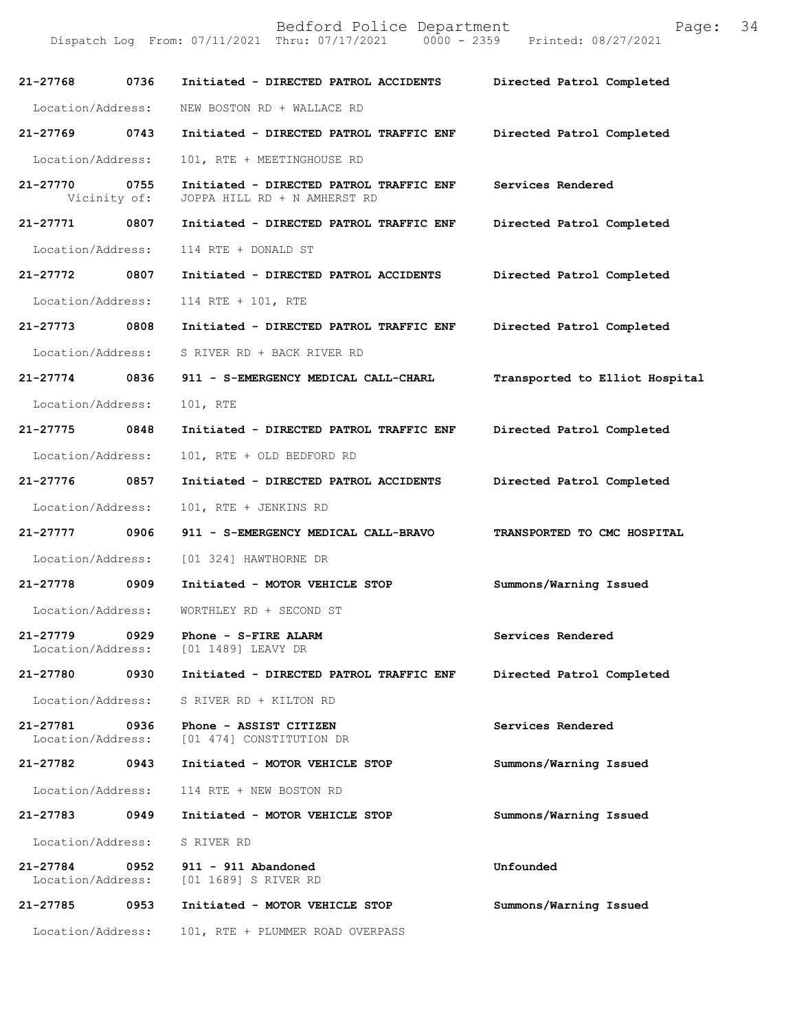| 21-27768                      | 0736                 | Initiated - DIRECTED PATROL ACCIDENTS                                   | Directed Patrol Completed      |
|-------------------------------|----------------------|-------------------------------------------------------------------------|--------------------------------|
| Location/Address:             |                      | NEW BOSTON RD + WALLACE RD                                              |                                |
| 21-27769                      | 0743                 | Initiated - DIRECTED PATROL TRAFFIC ENF                                 | Directed Patrol Completed      |
| Location/Address:             |                      | 101, RTE + MEETINGHOUSE RD                                              |                                |
| 21-27770                      | 0755<br>Vicinity of: | Initiated - DIRECTED PATROL TRAFFIC ENF<br>JOPPA HILL RD + N AMHERST RD | Services Rendered              |
| 21-27771                      | 0807                 | Initiated - DIRECTED PATROL TRAFFIC ENF                                 | Directed Patrol Completed      |
| Location/Address:             |                      | 114 RTE + DONALD ST                                                     |                                |
| 21-27772 0807                 |                      | Initiated - DIRECTED PATROL ACCIDENTS                                   | Directed Patrol Completed      |
| Location/Address:             |                      | 114 RTE + 101, RTE                                                      |                                |
| 21-27773 0808                 |                      | Initiated - DIRECTED PATROL TRAFFIC ENF                                 | Directed Patrol Completed      |
| Location/Address:             |                      | S RIVER RD + BACK RIVER RD                                              |                                |
| 21-27774 0836                 |                      | 911 - S-EMERGENCY MEDICAL CALL-CHARL                                    | Transported to Elliot Hospital |
| Location/Address:             |                      | 101, RTE                                                                |                                |
| 21-27775 0848                 |                      | Initiated - DIRECTED PATROL TRAFFIC ENF                                 | Directed Patrol Completed      |
| Location/Address:             |                      | 101, RTE + OLD BEDFORD RD                                               |                                |
| 21-27776 0857                 |                      | Initiated - DIRECTED PATROL ACCIDENTS                                   | Directed Patrol Completed      |
| Location/Address:             |                      | 101, RTE + JENKINS RD                                                   |                                |
| 21-27777 0906                 |                      | 911 - S-EMERGENCY MEDICAL CALL-BRAVO                                    | TRANSPORTED TO CMC HOSPITAL    |
| Location/Address:             |                      | [01 324] HAWTHORNE DR                                                   |                                |
| $21 - 27778$                  | 0909                 | Initiated - MOTOR VEHICLE STOP                                          | Summons/Warning Issued         |
| Location/Address:             |                      | WORTHLEY RD + SECOND ST                                                 |                                |
| 21-27779<br>Location/Address: | 0929                 | Phone - S-FIRE ALARM<br>[01 1489] LEAVY DR                              | Services Rendered              |
| 21-27780                      | 0930                 | Initiated - DIRECTED PATROL TRAFFIC ENF                                 | Directed Patrol Completed      |
| Location/Address:             |                      | S RIVER RD + KILTON RD                                                  |                                |
| 21-27781<br>Location/Address: | 0936                 | Phone - ASSIST CITIZEN<br>[01 474] CONSTITUTION DR                      | Services Rendered              |
| 21-27782                      | 0943                 | Initiated - MOTOR VEHICLE STOP                                          | Summons/Warning Issued         |
| Location/Address:             |                      | 114 RTE + NEW BOSTON RD                                                 |                                |
| 21-27783                      | 0949                 | Initiated - MOTOR VEHICLE STOP                                          | Summons/Warning Issued         |
| Location/Address:             |                      | S RIVER RD                                                              |                                |
| 21-27784<br>Location/Address: | 0952                 | 911 - 911 Abandoned<br>[01 1689] S RIVER RD                             | Unfounded                      |
| 21-27785                      | 0953                 | Initiated - MOTOR VEHICLE STOP                                          | Summons/Warning Issued         |
| Location/Address:             |                      | 101, RTE + PLUMMER ROAD OVERPASS                                        |                                |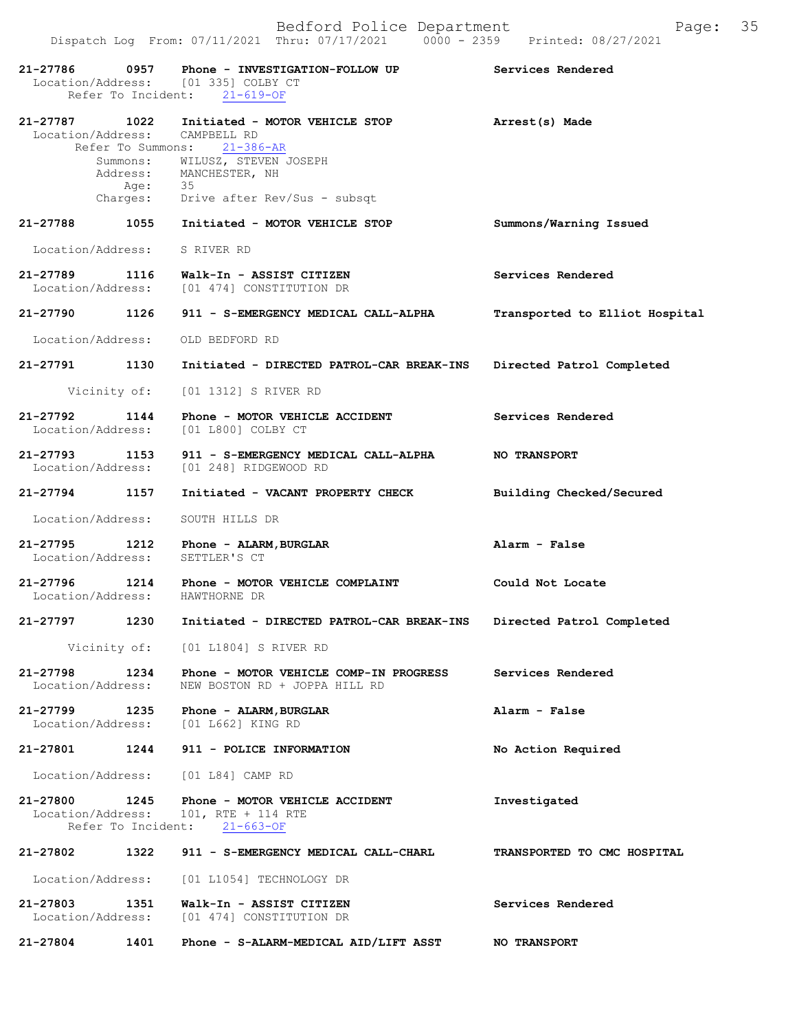| 21-27786 0957                      |                   | Phone - INVESTIGATION-FOLLOW UP<br>Location/Address: [01 335] COLBY CT<br>Refer To Incident: 21-619-OF                                                                                                          | Services Rendered              |
|------------------------------------|-------------------|-----------------------------------------------------------------------------------------------------------------------------------------------------------------------------------------------------------------|--------------------------------|
| 21-27787 1022                      |                   | Initiated - MOTOR VEHICLE STOP<br>Location/Address: CAMPBELL RD<br>Refer To Summons: 21-386-AR<br>Summons: WILUSZ, STEVEN JOSEPH<br>Address: MANCHESTER, NH<br>Age: 35<br>Charges: Drive after Rev/Sus - subsqt | Arrest(s) Made                 |
| 21-27788                           | 1055              | Initiated - MOTOR VEHICLE STOP                                                                                                                                                                                  | Summons/Warning Issued         |
|                                    |                   | Location/Address: S RIVER RD                                                                                                                                                                                    |                                |
|                                    |                   | 21-27789 1116 Walk-In - ASSIST CITIZEN<br>Location/Address: [01 474] CONSTITUTION DR                                                                                                                            | Services Rendered              |
| 21-27790 1126                      |                   | 911 - S-EMERGENCY MEDICAL CALL-ALPHA                                                                                                                                                                            | Transported to Elliot Hospital |
|                                    |                   | Location/Address: OLD BEDFORD RD                                                                                                                                                                                |                                |
| 21-27791 1130                      |                   | Initiated - DIRECTED PATROL-CAR BREAK-INS                                                                                                                                                                       | Directed Patrol Completed      |
|                                    |                   | Vicinity of: [01 1312] S RIVER RD                                                                                                                                                                               |                                |
| 21-27792                           | 1144              | Phone - MOTOR VEHICLE ACCIDENT<br>Location/Address: [01 L800] COLBY CT                                                                                                                                          | Services Rendered              |
| 21-27793 1153                      |                   | 911 - S-EMERGENCY MEDICAL CALL-ALPHA<br>Location/Address: [01 248] RIDGEWOOD RD                                                                                                                                 | <b>NO TRANSPORT</b>            |
| $21 - 27794$                       | 1157              | Initiated - VACANT PROPERTY CHECK                                                                                                                                                                               | Building Checked/Secured       |
| Location/Address:                  |                   | SOUTH HILLS DR                                                                                                                                                                                                  |                                |
| 21-27795 1212<br>Location/Address: |                   | Phone - ALARM, BURGLAR<br>SETTLER'S CT                                                                                                                                                                          | Alarm - False                  |
| 21-27796 1214                      |                   | Phone - MOTOR VEHICLE COMPLAINT<br>Location/Address: HAWTHORNE DR                                                                                                                                               | Could Not Locate               |
| 21-27797                           | 1230              | Initiated - DIRECTED PATROL-CAR BREAK-INS                                                                                                                                                                       | Directed Patrol Completed      |
|                                    |                   | Vicinity of: [01 L1804] S RIVER RD                                                                                                                                                                              |                                |
| 21-27798                           | Location/Address: | 1234 Phone - MOTOR VEHICLE COMP-IN PROGRESS<br>NEW BOSTON RD + JOPPA HILL RD                                                                                                                                    | Services Rendered              |
|                                    |                   | 21-27799 1235 Phone - ALARM, BURGLAR<br>Location/Address: [01 L662] KING RD                                                                                                                                     | Alarm - False                  |
| 21-27801                           | 1244              | 911 - POLICE INFORMATION                                                                                                                                                                                        | No Action Required             |
|                                    |                   | Location/Address: [01 L84] CAMP RD                                                                                                                                                                              |                                |
|                                    |                   | 21-27800 1245 Phone - MOTOR VEHICLE ACCIDENT<br>Location/Address: 101, RTE + 114 RTE<br>Refer To Incident: 21-663-OF                                                                                            | Investigated                   |
| 21-27802                           |                   | 1322 911 - S-EMERGENCY MEDICAL CALL-CHARL                                                                                                                                                                       | TRANSPORTED TO CMC HOSPITAL    |
|                                    |                   | Location/Address: [01 L1054] TECHNOLOGY DR                                                                                                                                                                      |                                |
| 21-27803                           | 1351              | Walk-In - ASSIST CITIZEN<br>Location/Address: [01 474] CONSTITUTION DR                                                                                                                                          | Services Rendered              |
| 21-27804                           | 1401              | Phone - S-ALARM-MEDICAL AID/LIFT ASST                                                                                                                                                                           | <b>NO TRANSPORT</b>            |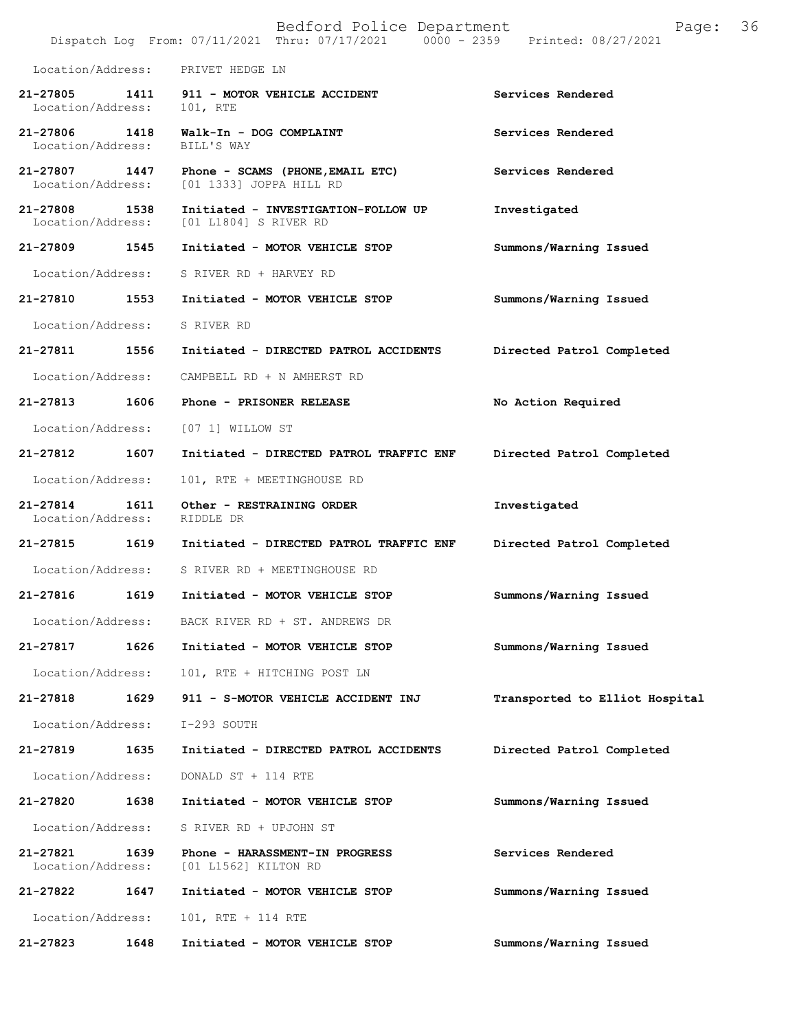|                               |      | Bedford Police Department<br>Dispatch Log From: 07/11/2021 Thru: 07/17/2021 0000 - 2359 Printed: 08/27/2021 | 36<br>Page:                    |
|-------------------------------|------|-------------------------------------------------------------------------------------------------------------|--------------------------------|
| Location/Address:             |      | PRIVET HEDGE LN                                                                                             |                                |
| 21-27805<br>Location/Address: | 1411 | 911 - MOTOR VEHICLE ACCIDENT<br>101, RTE                                                                    | Services Rendered              |
| 21-27806<br>Location/Address: | 1418 | Walk-In - DOG COMPLAINT<br>BILL'S WAY                                                                       | Services Rendered              |
| 21-27807<br>Location/Address: | 1447 | Phone - SCAMS (PHONE, EMAIL ETC)<br>[01 1333] JOPPA HILL RD                                                 | Services Rendered              |
| 21-27808<br>Location/Address: | 1538 | Initiated - INVESTIGATION-FOLLOW UP<br>[01 L1804] S RIVER RD                                                | Investigated                   |
| 21-27809 1545                 |      | Initiated - MOTOR VEHICLE STOP                                                                              | Summons/Warning Issued         |
| Location/Address:             |      | S RIVER RD + HARVEY RD                                                                                      |                                |
| 21-27810                      | 1553 | Initiated - MOTOR VEHICLE STOP                                                                              | Summons/Warning Issued         |
| Location/Address:             |      | S RIVER RD                                                                                                  |                                |
| 21-27811                      | 1556 | Initiated - DIRECTED PATROL ACCIDENTS                                                                       | Directed Patrol Completed      |
| Location/Address:             |      | CAMPBELL RD + N AMHERST RD                                                                                  |                                |
| 21-27813                      | 1606 | Phone - PRISONER RELEASE                                                                                    | No Action Required             |
| Location/Address:             |      | [07 1] WILLOW ST                                                                                            |                                |
| 21-27812                      | 1607 | Initiated - DIRECTED PATROL TRAFFIC ENF                                                                     | Directed Patrol Completed      |
| Location/Address:             |      | 101, RTE + MEETINGHOUSE RD                                                                                  |                                |
| 21-27814<br>Location/Address: | 1611 | Other - RESTRAINING ORDER<br>RIDDLE DR                                                                      | Investigated                   |
| 21-27815 1619                 |      | Initiated - DIRECTED PATROL TRAFFIC ENF                                                                     | Directed Patrol Completed      |
| Location/Address:             |      | S RIVER RD + MEETINGHOUSE RD                                                                                |                                |
| 21-27816                      | 1619 | Initiated - MOTOR VEHICLE STOP                                                                              | Summons/Warning Issued         |
| Location/Address:             |      | BACK RIVER RD + ST. ANDREWS DR                                                                              |                                |
| 21-27817                      | 1626 | Initiated - MOTOR VEHICLE STOP                                                                              | Summons/Warning Issued         |
| Location/Address:             |      | 101, RTE + HITCHING POST LN                                                                                 |                                |
| 21-27818                      | 1629 | 911 - S-MOTOR VEHICLE ACCIDENT INJ                                                                          | Transported to Elliot Hospital |
| Location/Address:             |      | I-293 SOUTH                                                                                                 |                                |
| 21-27819                      | 1635 | Initiated - DIRECTED PATROL ACCIDENTS                                                                       | Directed Patrol Completed      |
| Location/Address:             |      | DONALD ST + 114 RTE                                                                                         |                                |
| 21-27820                      | 1638 | Initiated - MOTOR VEHICLE STOP                                                                              | Summons/Warning Issued         |
| Location/Address:             |      | S RIVER RD + UPJOHN ST                                                                                      |                                |
| 21-27821<br>Location/Address: | 1639 | Phone - HARASSMENT-IN PROGRESS<br>[01 L1562] KILTON RD                                                      | Services Rendered              |
| 21-27822                      | 1647 | Initiated - MOTOR VEHICLE STOP                                                                              | Summons/Warning Issued         |
| Location/Address:             |      | 101, RTE + 114 RTE                                                                                          |                                |
| 21-27823                      | 1648 | Initiated - MOTOR VEHICLE STOP                                                                              | Summons/Warning Issued         |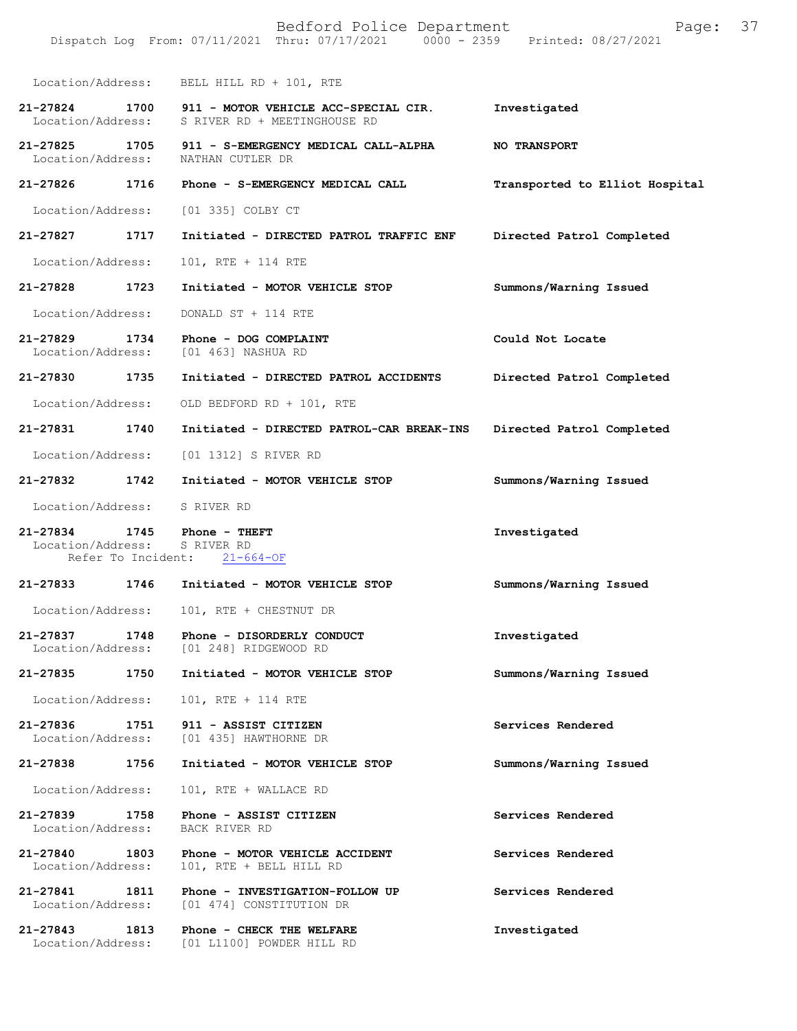Bedford Police Department Page: 37 Dispatch Log From: 07/11/2021 Thru: 07/17/2021 0000 - 2359 Location/Address: BELL HILL RD + 101, RTE **21-27824 1700 911 - MOTOR VEHICLE ACC-SPECIAL CIR. Investigated**  S RIVER RD + MEETINGHOUSE RD **21-27825 1705 911 - S-EMERGENCY MEDICAL CALL-ALPHA NO TRANSPORT**  Location/Address: **21-27826 1716 Phone - S-EMERGENCY MEDICAL CALL Transported to Elliot Hospital** Location/Address: [01 335] COLBY CT **21-27827 1717 Initiated - DIRECTED PATROL TRAFFIC ENF Directed Patrol Completed**  Location/Address: 101, RTE + 114 RTE **21-27828 1723 Initiated - MOTOR VEHICLE STOP Summons/Warning Issued**  Location/Address: DONALD ST + 114 RTE **21-27829 1734 Phone - DOG COMPLAINT Could Not Locate**  Location/Address: [01 463] NASHUA RD **21-27830 1735 Initiated - DIRECTED PATROL ACCIDENTS Directed Patrol Completed**  Location/Address: OLD BEDFORD RD + 101, RTE **21-27831 1740 Initiated - DIRECTED PATROL-CAR BREAK-INS Directed Patrol Completed**  Location/Address: [01 1312] S RIVER RD **21-27832 1742 Initiated - MOTOR VEHICLE STOP Summons/Warning Issued**  Location/Address: S RIVER RD **21-27834 1745 Phone - THEFT Investigated**  Location/Address: S RIVER RD Refer To Incident: 21-664-OF **21-27833 1746 Initiated - MOTOR VEHICLE STOP Summons/Warning Issued**  Location/Address: 101, RTE + CHESTNUT DR **21-27837 1748 Phone - DISORDERLY CONDUCT Investigated**  Location/Address: [01 248] RIDGEWOOD RD **21-27835 1750 Initiated - MOTOR VEHICLE STOP Summons/Warning Issued**  Location/Address: 101, RTE + 114 RTE **21-27836 1751 911 - ASSIST CITIZEN Services Rendered**  Location/Address: [01 435] HAWTHORNE DR **21-27838 1756 Initiated - MOTOR VEHICLE STOP Summons/Warning Issued**  Location/Address: 101, RTE + WALLACE RD **21-27839 1758 Phone - ASSIST CITIZEN Services Rendered**  Location/Address: BACK RIVER RD **21-27840 1803 Phone - MOTOR VEHICLE ACCIDENT Services Rendered**  Location/Address: 101, RTE + BELL HILL RD **21-27841 1811 Phone - INVESTIGATION-FOLLOW UP Services Rendered**  Location/Address: [01 474] CONSTITUTION DR **21-27843 1813 Phone - CHECK THE WELFARE Investigated**  Location/Address: [01 L1100] POWDER HILL RD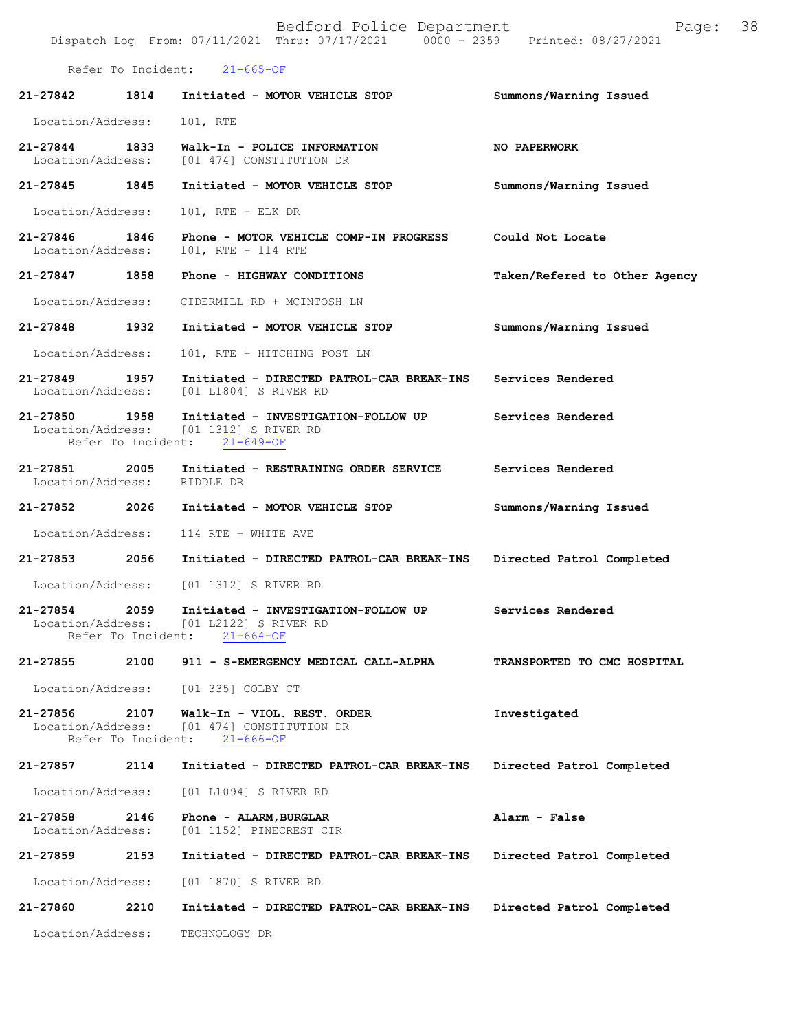|                               |                            | Bedford Police Department<br>Dispatch Log From: 07/11/2021 Thru: 07/17/2021 0000 - 2359 Printed: 08/27/2021 | Page:                         | 38 |
|-------------------------------|----------------------------|-------------------------------------------------------------------------------------------------------------|-------------------------------|----|
|                               | Refer To Incident:         | $21 - 665 - OF$                                                                                             |                               |    |
| 21-27842                      | 1814                       | Initiated - MOTOR VEHICLE STOP                                                                              | Summons/Warning Issued        |    |
| Location/Address:             |                            | 101, RTE                                                                                                    |                               |    |
| 21-27844<br>Location/Address: | 1833                       | Walk-In - POLICE INFORMATION<br>[01 474] CONSTITUTION DR                                                    | NO PAPERWORK                  |    |
| 21-27845                      | 1845                       | Initiated - MOTOR VEHICLE STOP                                                                              | Summons/Warning Issued        |    |
| Location/Address:             |                            | 101, RTE + ELK DR                                                                                           |                               |    |
| 21-27846<br>Location/Address: | 1846                       | Phone - MOTOR VEHICLE COMP-IN PROGRESS<br>101, RTE + 114 RTE                                                | Could Not Locate              |    |
| 21-27847 1858                 |                            | Phone - HIGHWAY CONDITIONS                                                                                  | Taken/Refered to Other Agency |    |
| Location/Address:             |                            | CIDERMILL RD + MCINTOSH LN                                                                                  |                               |    |
| 21-27848                      | 1932                       | Initiated - MOTOR VEHICLE STOP                                                                              | Summons/Warning Issued        |    |
| Location/Address:             |                            | 101, RTE + HITCHING POST LN                                                                                 |                               |    |
| 21-27849<br>Location/Address: | 1957                       | Initiated - DIRECTED PATROL-CAR BREAK-INS<br>[01 L1804] S RIVER RD                                          | Services Rendered             |    |
| 21-27850 1958                 | Refer To Incident:         | Initiated - INVESTIGATION-FOLLOW UP<br>Location/Address: [01 1312] S RIVER RD<br>$21 - 649 - OF$            | Services Rendered             |    |
| 21-27851<br>Location/Address: | 2005                       | Initiated - RESTRAINING ORDER SERVICE<br>RIDDLE DR                                                          | Services Rendered             |    |
| 21-27852 2026                 |                            | Initiated - MOTOR VEHICLE STOP                                                                              | Summons/Warning Issued        |    |
| Location/Address:             |                            | 114 RTE + WHITE AVE                                                                                         |                               |    |
| 21-27853                      | 2056                       | Initiated - DIRECTED PATROL-CAR BREAK-INS                                                                   | Directed Patrol Completed     |    |
| Location/Address:             |                            | [01 1312] S RIVER RD                                                                                        |                               |    |
| 21-27854<br>Location/Address: | 2059<br>Refer To Incident: | Initiated - INVESTIGATION-FOLLOW UP<br>[01 L2122] S RIVER RD<br>$21 - 664 - OF$                             | Services Rendered             |    |
| 21-27855                      | 2100                       | 911 - S-EMERGENCY MEDICAL CALL-ALPHA                                                                        | TRANSPORTED TO CMC HOSPITAL   |    |
| Location/Address:             |                            | [01 335] COLBY CT                                                                                           |                               |    |
| 21-27856<br>Location/Address: | 2107<br>Refer To Incident: | Walk-In - VIOL. REST. ORDER<br>[01 474] CONSTITUTION DR<br>$21 - 666 - OF$                                  | Investigated                  |    |
| 21-27857                      | 2114                       | Initiated - DIRECTED PATROL-CAR BREAK-INS                                                                   | Directed Patrol Completed     |    |
| Location/Address:             |                            | [01 L1094] S RIVER RD                                                                                       |                               |    |
| 21-27858<br>Location/Address: | 2146                       | Phone - ALARM, BURGLAR<br>[01 1152] PINECREST CIR                                                           | Alarm - False                 |    |
| 21-27859                      | 2153                       | Initiated - DIRECTED PATROL-CAR BREAK-INS                                                                   | Directed Patrol Completed     |    |
| Location/Address:             |                            | [01 1870] S RIVER RD                                                                                        |                               |    |
| 21-27860                      | 2210                       | Initiated - DIRECTED PATROL-CAR BREAK-INS                                                                   | Directed Patrol Completed     |    |
| Location/Address:             |                            | TECHNOLOGY DR                                                                                               |                               |    |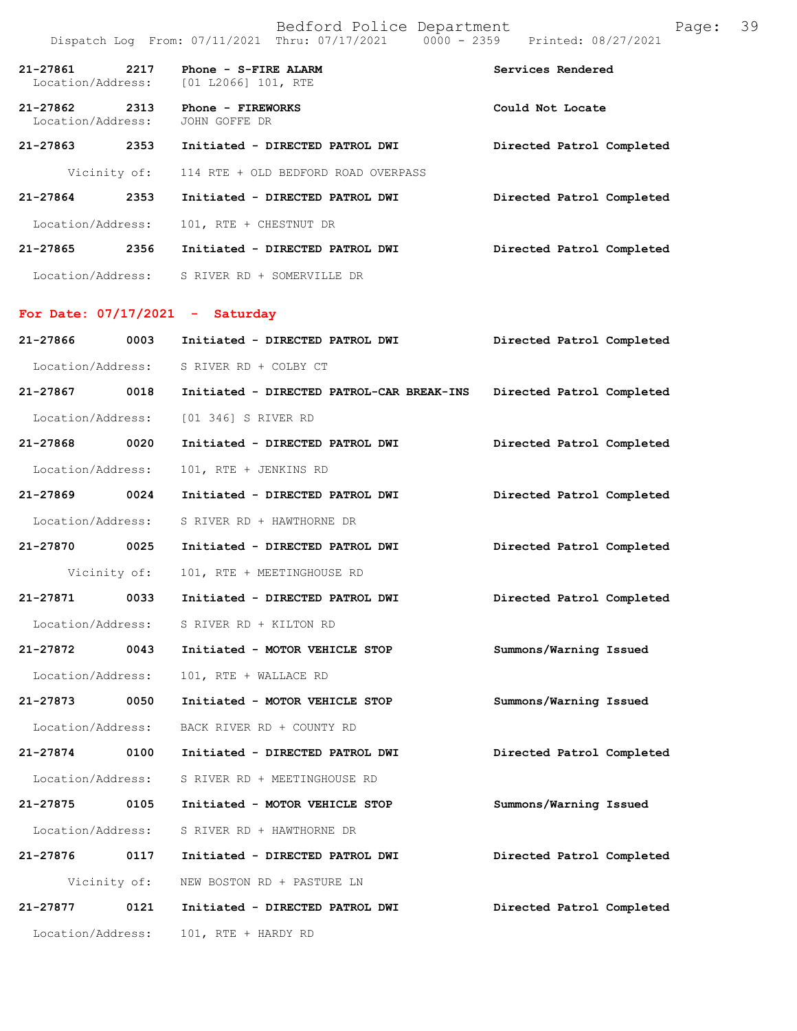| 21-27861 2217<br>Location/Address: |              | Phone - S-FIRE ALARM<br>[01 L2066] 101, RTE                         | Services Rendered         |
|------------------------------------|--------------|---------------------------------------------------------------------|---------------------------|
| 21-27862<br>Location/Address:      | 2313         | Phone - FIREWORKS<br>JOHN GOFFE DR                                  | Could Not Locate          |
| 21-27863 2353                      |              | Initiated - DIRECTED PATROL DWI                                     | Directed Patrol Completed |
|                                    | Vicinity of: | 114 RTE + OLD BEDFORD ROAD OVERPASS                                 |                           |
| 21-27864 2353                      |              | Initiated - DIRECTED PATROL DWI                                     | Directed Patrol Completed |
| Location/Address:                  |              | 101, RTE + CHESTNUT DR                                              |                           |
|                                    |              | 21-27865  2356  Initiated - DIRECTED PATROL DWI                     | Directed Patrol Completed |
|                                    |              | Location/Address: S RIVER RD + SOMERVILLE DR                        |                           |
|                                    |              | For Date: $07/17/2021$ - Saturday                                   |                           |
| 21-27866 0003                      |              | Initiated - DIRECTED PATROL DWI                                     | Directed Patrol Completed |
|                                    |              | Location/Address: S RIVER RD + COLBY CT                             |                           |
| 21-27867 0018                      |              | Initiated - DIRECTED PATROL-CAR BREAK-INS Directed Patrol Completed |                           |
|                                    |              | Location/Address: [01 346] S RIVER RD                               |                           |
| 21-27868 0020                      |              | Initiated - DIRECTED PATROL DWI                                     | Directed Patrol Completed |
| Location/Address:                  |              | 101, RTE + JENKINS RD                                               |                           |
| 21-27869 0024                      |              | Initiated - DIRECTED PATROL DWI                                     | Directed Patrol Completed |
| Location/Address:                  |              | S RIVER RD + HAWTHORNE DR                                           |                           |
| 21-27870 0025                      |              | Initiated - DIRECTED PATROL DWI                                     | Directed Patrol Completed |
|                                    | Vicinity of: | 101, RTE + MEETINGHOUSE RD                                          |                           |
|                                    |              |                                                                     | Directed Patrol Completed |
| Location/Address:                  |              | S RIVER RD + KILTON RD                                              |                           |
| 21-27872                           | 0043         | Initiated - MOTOR VEHICLE STOP                                      | Summons/Warning Issued    |
| Location/Address:                  |              | 101, RTE + WALLACE RD                                               |                           |
| 21-27873                           | 0050         | Initiated - MOTOR VEHICLE STOP                                      | Summons/Warning Issued    |
| Location/Address:                  |              | BACK RIVER RD + COUNTY RD                                           |                           |
| 21-27874 0100                      |              | Initiated - DIRECTED PATROL DWI                                     | Directed Patrol Completed |
| Location/Address:                  |              | S RIVER RD + MEETINGHOUSE RD                                        |                           |
| 21-27875                           | 0105         | Initiated - MOTOR VEHICLE STOP                                      | Summons/Warning Issued    |
| Location/Address:                  |              | S RIVER RD + HAWTHORNE DR                                           |                           |
| 21-27876                           | 0117         | Initiated - DIRECTED PATROL DWI                                     | Directed Patrol Completed |
|                                    | Vicinity of: | NEW BOSTON RD + PASTURE LN                                          |                           |
| 21-27877                           | 0121         | Initiated - DIRECTED PATROL DWI                                     | Directed Patrol Completed |
| Location/Address:                  |              | 101, RTE + HARDY RD                                                 |                           |
|                                    |              |                                                                     |                           |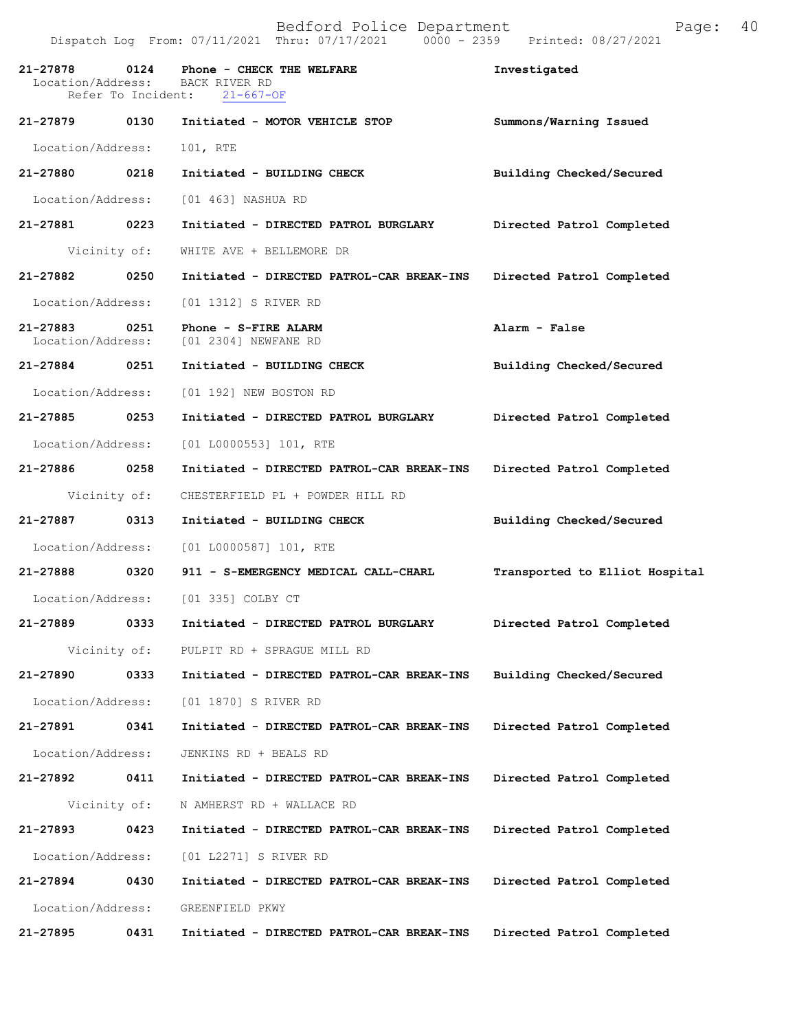| 21-27878<br>Location/Address: | 0124<br>Refer To Incident: | Phone - CHECK THE WELFARE<br>BACK RIVER RD<br>$21 - 667 - OF$  | Investigated                   |
|-------------------------------|----------------------------|----------------------------------------------------------------|--------------------------------|
| 21-27879 0130                 |                            | Initiated - MOTOR VEHICLE STOP                                 | Summons/Warning Issued         |
| Location/Address:             |                            | 101, RTE                                                       |                                |
| 21-27880                      | 0218                       | Initiated - BUILDING CHECK                                     | Building Checked/Secured       |
| Location/Address:             |                            | [01 463] NASHUA RD                                             |                                |
| 21-27881 0223                 |                            | Initiated - DIRECTED PATROL BURGLARY                           | Directed Patrol Completed      |
|                               | Vicinity of:               | WHITE AVE + BELLEMORE DR                                       |                                |
| 21-27882                      | 0250                       | Initiated - DIRECTED PATROL-CAR BREAK-INS                      | Directed Patrol Completed      |
| Location/Address:             |                            | [01 1312] S RIVER RD                                           |                                |
| 21-27883                      | 0251                       | Phone - S-FIRE ALARM<br>Location/Address: [01 2304] NEWFANE RD | Alarm - False                  |
| 21-27884 0251                 |                            | Initiated - BUILDING CHECK                                     | Building Checked/Secured       |
| Location/Address:             |                            | [01 192] NEW BOSTON RD                                         |                                |
| 21-27885 0253                 |                            | Initiated - DIRECTED PATROL BURGLARY                           | Directed Patrol Completed      |
| Location/Address:             |                            | $[01 L0000553] 101$ , RTE                                      |                                |
| 21-27886 0258                 |                            | Initiated - DIRECTED PATROL-CAR BREAK-INS                      | Directed Patrol Completed      |
|                               | Vicinity of:               | CHESTERFIELD PL + POWDER HILL RD                               |                                |
| 21-27887                      | 0313                       | Initiated - BUILDING CHECK                                     | Building Checked/Secured       |
| Location/Address:             |                            | [01 L0000587] 101, RTE                                         |                                |
| 21-27888 0320                 |                            | 911 - S-EMERGENCY MEDICAL CALL-CHARL                           | Transported to Elliot Hospital |
| Location/Address:             |                            | [01 335] COLBY CT                                              |                                |
| 21-27889                      | 0333                       | Initiated - DIRECTED PATROL BURGLARY                           | Directed Patrol Completed      |
|                               | Vicinity of:               | PULPIT RD + SPRAGUE MILL RD                                    |                                |
| 21-27890                      | 0333                       | Initiated - DIRECTED PATROL-CAR BREAK-INS                      | Building Checked/Secured       |
| Location/Address:             |                            | [01 1870] S RIVER RD                                           |                                |
| 21-27891                      | 0341                       | Initiated - DIRECTED PATROL-CAR BREAK-INS                      | Directed Patrol Completed      |
| Location/Address:             |                            | JENKINS RD + BEALS RD                                          |                                |
| 21-27892                      | 0411                       | Initiated - DIRECTED PATROL-CAR BREAK-INS                      | Directed Patrol Completed      |
|                               | Vicinity of:               | N AMHERST RD + WALLACE RD                                      |                                |
| 21-27893                      | 0423                       | Initiated - DIRECTED PATROL-CAR BREAK-INS                      | Directed Patrol Completed      |
| Location/Address:             |                            | [01 L2271] S RIVER RD                                          |                                |
| 21-27894                      | 0430                       | Initiated - DIRECTED PATROL-CAR BREAK-INS                      | Directed Patrol Completed      |
| Location/Address:             |                            | GREENFIELD PKWY                                                |                                |
| 21-27895                      | 0431                       | Initiated - DIRECTED PATROL-CAR BREAK-INS                      | Directed Patrol Completed      |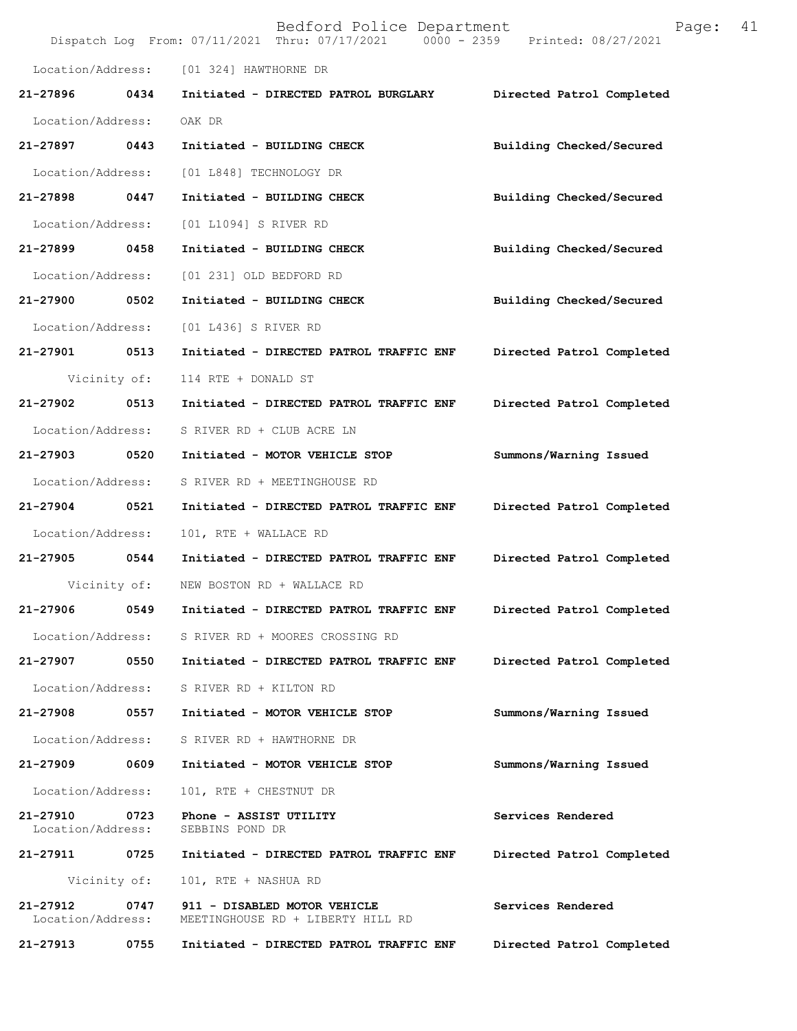| Bedford Police Department<br>Page:<br>Dispatch Log From: 07/11/2021 Thru: 07/17/2021 0000 - 2359 Printed: 08/27/2021 |              |                                                                   |                           |
|----------------------------------------------------------------------------------------------------------------------|--------------|-------------------------------------------------------------------|---------------------------|
| Location/Address:                                                                                                    |              | [01 324] HAWTHORNE DR                                             |                           |
| 21-27896                                                                                                             | 0434         | Initiated - DIRECTED PATROL BURGLARY                              | Directed Patrol Completed |
| Location/Address:                                                                                                    |              | OAK DR                                                            |                           |
| 21-27897                                                                                                             | 0443         | Initiated - BUILDING CHECK                                        | Building Checked/Secured  |
| Location/Address:                                                                                                    |              | [01 L848] TECHNOLOGY DR                                           |                           |
| 21-27898                                                                                                             | 0447         | Initiated - BUILDING CHECK                                        | Building Checked/Secured  |
| Location/Address:                                                                                                    |              | [01 L1094] S RIVER RD                                             |                           |
| 21-27899                                                                                                             | 0458         | Initiated - BUILDING CHECK                                        | Building Checked/Secured  |
| Location/Address:                                                                                                    |              | [01 231] OLD BEDFORD RD                                           |                           |
| 21-27900                                                                                                             | 0502         | Initiated - BUILDING CHECK                                        | Building Checked/Secured  |
| Location/Address:                                                                                                    |              | [01 L436] S RIVER RD                                              |                           |
| 21-27901                                                                                                             | 0513         | Initiated - DIRECTED PATROL TRAFFIC ENF                           | Directed Patrol Completed |
| Vicinity of:                                                                                                         |              | 114 RTE + DONALD ST                                               |                           |
| 21-27902                                                                                                             | 0513         | Initiated - DIRECTED PATROL TRAFFIC ENF                           | Directed Patrol Completed |
| Location/Address:                                                                                                    |              | S RIVER RD + CLUB ACRE LN                                         |                           |
| 21-27903                                                                                                             | 0520         | Initiated - MOTOR VEHICLE STOP                                    | Summons/Warning Issued    |
| Location/Address:                                                                                                    |              | S RIVER RD + MEETINGHOUSE RD                                      |                           |
| 21-27904                                                                                                             | 0521         | Initiated - DIRECTED PATROL TRAFFIC ENF                           | Directed Patrol Completed |
| Location/Address:                                                                                                    |              | 101, RTE + WALLACE RD                                             |                           |
| 21-27905                                                                                                             | 0544         | Initiated - DIRECTED PATROL TRAFFIC ENF                           | Directed Patrol Completed |
|                                                                                                                      | Vicinity of: | NEW BOSTON RD + WALLACE RD                                        |                           |
| 21-27906                                                                                                             | 0549         | Initiated - DIRECTED PATROL TRAFFIC ENF                           | Directed Patrol Completed |
| Location/Address:                                                                                                    |              | S RIVER RD + MOORES CROSSING RD                                   |                           |
| 21-27907                                                                                                             | 0550         | Initiated - DIRECTED PATROL TRAFFIC ENF                           | Directed Patrol Completed |
| Location/Address:                                                                                                    |              | S RIVER RD + KILTON RD                                            |                           |
| 21-27908                                                                                                             | 0557         | Initiated - MOTOR VEHICLE STOP                                    | Summons/Warning Issued    |
| Location/Address:                                                                                                    |              | S RIVER RD + HAWTHORNE DR                                         |                           |
| 21-27909                                                                                                             | 0609         | Initiated - MOTOR VEHICLE STOP                                    | Summons/Warning Issued    |
| Location/Address:                                                                                                    |              | 101, RTE + CHESTNUT DR                                            |                           |
| 21-27910<br>Location/Address:                                                                                        | 0723         | Phone - ASSIST UTILITY<br>SEBBINS POND DR                         | Services Rendered         |
| 21-27911                                                                                                             | 0725         | Initiated - DIRECTED PATROL TRAFFIC ENF                           | Directed Patrol Completed |
| Vicinity of:                                                                                                         |              | 101, RTE + NASHUA RD                                              |                           |
| 21-27912<br>Location/Address:                                                                                        | 0747         | 911 - DISABLED MOTOR VEHICLE<br>MEETINGHOUSE RD + LIBERTY HILL RD | Services Rendered         |
| 21-27913                                                                                                             | 0755         | Initiated - DIRECTED PATROL TRAFFIC ENF                           | Directed Patrol Completed |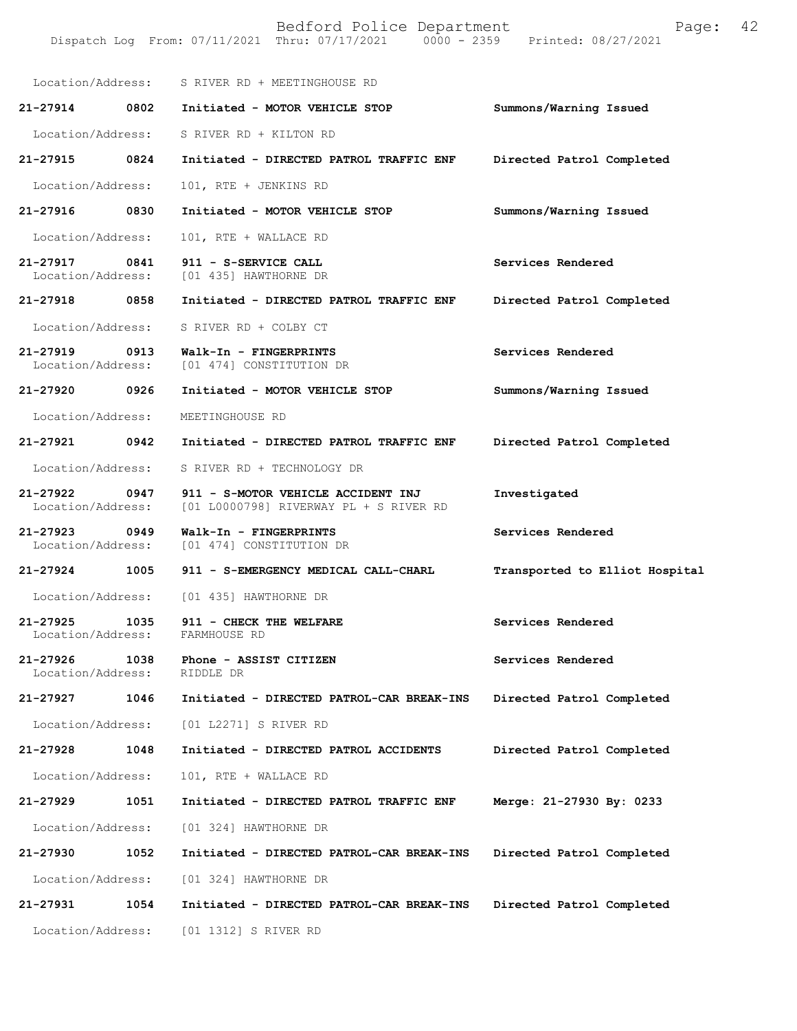Location/Address: S RIVER RD + MEETINGHOUSE RD **21-27914 0802 Initiated - MOTOR VEHICLE STOP Summons/Warning Issued**  Location/Address: S RIVER RD + KILTON RD **21-27915 0824 Initiated - DIRECTED PATROL TRAFFIC ENF Directed Patrol Completed**  Location/Address: 101, RTE + JENKINS RD **21-27916 0830 Initiated - MOTOR VEHICLE STOP Summons/Warning Issued**  Location/Address: 101, RTE + WALLACE RD **21-27917 0841 911 - S-SERVICE CALL Services Rendered**  Location/Address: [01 435] HAWTHORNE DR **21-27918 0858 Initiated - DIRECTED PATROL TRAFFIC ENF Directed Patrol Completed**  Location/Address: S RIVER RD + COLBY CT **21-27919 0913 Walk-In - FINGERPRINTS Services Rendered**  Location/Address: [01 474] CONSTITUTION DR **21-27920 0926 Initiated - MOTOR VEHICLE STOP Summons/Warning Issued**  Location/Address: MEETINGHOUSE RD **21-27921 0942 Initiated - DIRECTED PATROL TRAFFIC ENF Directed Patrol Completed**  Location/Address: S RIVER RD + TECHNOLOGY DR **21-27922 0947 911 - S-MOTOR VEHICLE ACCIDENT INJ Investigated**  Location/Address: [01 L0000798] RIVERWAY PL + S RIVER RD **21-27923 0949 Walk-In - FINGERPRINTS Services Rendered**  Location/Address: [01 474] CONSTITUTION DR **21-27924 1005 911 - S-EMERGENCY MEDICAL CALL-CHARL Transported to Elliot Hospital** Location/Address: [01 435] HAWTHORNE DR **21-27925 1035 911 - CHECK THE WELFARE Services Rendered**  Location/Address: FARMHOUSE RD **21-27926 1038 Phone - ASSIST CITIZEN Services Rendered**  Location/Address: RIDDLE DR **21-27927 1046 Initiated - DIRECTED PATROL-CAR BREAK-INS Directed Patrol Completed**  Location/Address: [01 L2271] S RIVER RD **21-27928 1048 Initiated - DIRECTED PATROL ACCIDENTS Directed Patrol Completed**  Location/Address: 101, RTE + WALLACE RD **21-27929 1051 Initiated - DIRECTED PATROL TRAFFIC ENF Merge: 21-27930 By: 0233**  Location/Address: [01 324] HAWTHORNE DR **21-27930 1052 Initiated - DIRECTED PATROL-CAR BREAK-INS Directed Patrol Completed**  Location/Address: [01 324] HAWTHORNE DR **21-27931 1054 Initiated - DIRECTED PATROL-CAR BREAK-INS Directed Patrol Completed**  Location/Address: [01 1312] S RIVER RD

Dispatch Log From: 07/11/2021 Thru: 07/17/2021

Bedford Police Department Page: 42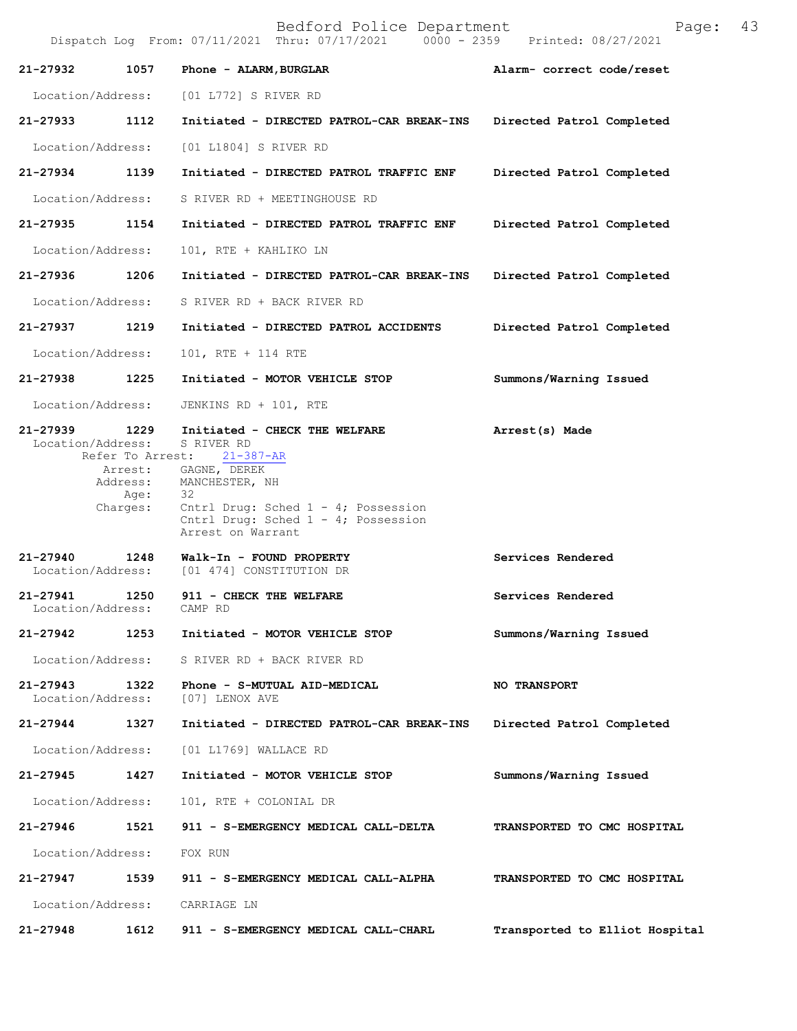Bedford Police Department Page: 43 Dispatch Log From:  $07/11/2021$  Thru:  $07/17/2021$ **21-27932 1057 Phone - ALARM,BURGLAR Alarm- correct code/reset**  Location/Address: [01 L772] S RIVER RD **21-27933 1112 Initiated - DIRECTED PATROL-CAR BREAK-INS Directed Patrol Completed**  Location/Address: [01 L1804] S RIVER RD **21-27934 1139 Initiated - DIRECTED PATROL TRAFFIC ENF Directed Patrol Completed**  Location/Address: S RIVER RD + MEETINGHOUSE RD **21-27935 1154 Initiated - DIRECTED PATROL TRAFFIC ENF Directed Patrol Completed**  Location/Address: 101, RTE + KAHLIKO LN **21-27936 1206 Initiated - DIRECTED PATROL-CAR BREAK-INS Directed Patrol Completed**  Location/Address: S RIVER RD + BACK RIVER RD **21-27937 1219 Initiated - DIRECTED PATROL ACCIDENTS Directed Patrol Completed**  Location/Address: 101, RTE + 114 RTE **21-27938 1225 Initiated - MOTOR VEHICLE STOP Summons/Warning Issued**  Location/Address: JENKINS RD + 101, RTE **21-27939 1229 Initiated - CHECK THE WELFARE Arrest(s) Made**  Location/Address: S RIVER RD Refer To Arrest: Arrest: GAGNE, DEREK Address: MANCHESTER, NH<br>Age: 32 Age: Charges: Cntrl Drug: Sched 1 - 4; Possession Cntrl Drug: Sched 1 - 4; Possession Arrest on Warrant **21-27940 1248 Walk-In - FOUND PROPERTY Services Rendered** Location/Address: [01 474] CONSTITUTION DR 21-27941 1250 911 - CHECK THE WELFARE **Services Rendered Iocation/Address:** CAMP RD Location/Address: **21-27942 1253 Initiated - MOTOR VEHICLE STOP Summons/Warning Issued** Location/Address: S RIVER RD + BACK RIVER RD **21-27943 1322 Phone - S-MUTUAL AID-MEDICAL NO TRANSPORT** Location/Address: [07] LENOX AVE **21-27944 1327 Initiated - DIRECTED PATROL-CAR BREAK-INS Directed Patrol Completed** Location/Address: [01 L1769] WALLACE RD **21-27945 1427 Initiated - MOTOR VEHICLE STOP Summons/Warning Issued** Location/Address: 101, RTE + COLONIAL DR **21-27946 1521 911 - S-EMERGENCY MEDICAL CALL-DELTA TRANSPORTED TO CMC HOSPITAL** Location/Address: FOX RUN **21-27947 1539 911 - S-EMERGENCY MEDICAL CALL-ALPHA TRANSPORTED TO CMC HOSPITAL** Location/Address: CARRIAGE LN **21-27948 1612 911 - S-EMERGENCY MEDICAL CALL-CHARL Transported to Elliot Hospital**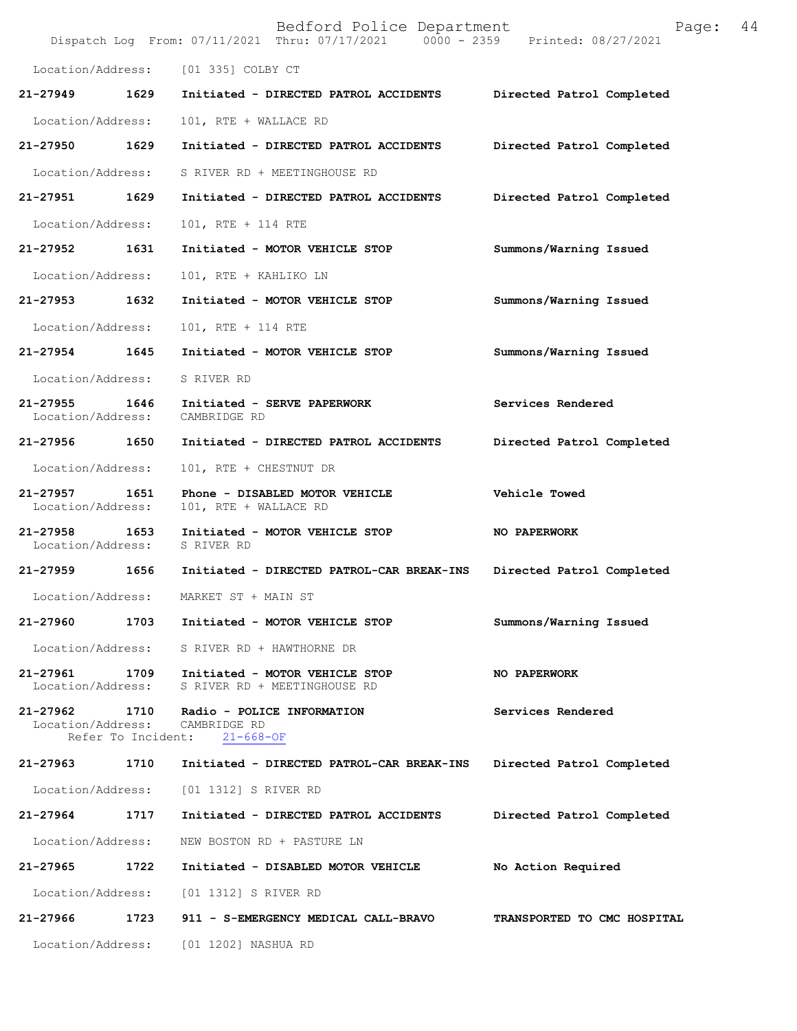|                               |                    | Bedford Police Department<br>Dispatch Log From: 07/11/2021 Thru: 07/17/2021 0000 - 2359 Printed: 08/27/2021 | Page:                       | 44 |
|-------------------------------|--------------------|-------------------------------------------------------------------------------------------------------------|-----------------------------|----|
|                               |                    | Location/Address: [01 335] COLBY CT                                                                         |                             |    |
| 21-27949                      | 1629               | Initiated - DIRECTED PATROL ACCIDENTS                                                                       | Directed Patrol Completed   |    |
| Location/Address:             |                    | 101, RTE + WALLACE RD                                                                                       |                             |    |
| 21-27950 1629                 |                    | Initiated - DIRECTED PATROL ACCIDENTS                                                                       | Directed Patrol Completed   |    |
| Location/Address:             |                    | S RIVER RD + MEETINGHOUSE RD                                                                                |                             |    |
| 21-27951                      | 1629               | Initiated - DIRECTED PATROL ACCIDENTS                                                                       | Directed Patrol Completed   |    |
| Location/Address:             |                    | 101, RTE + 114 RTE                                                                                          |                             |    |
| 21-27952                      | 1631               | Initiated - MOTOR VEHICLE STOP                                                                              | Summons/Warning Issued      |    |
| Location/Address:             |                    | 101, RTE + KAHLIKO LN                                                                                       |                             |    |
| 21-27953 1632                 |                    | Initiated - MOTOR VEHICLE STOP                                                                              | Summons/Warning Issued      |    |
| Location/Address:             |                    | 101, RTE + 114 RTE                                                                                          |                             |    |
| 21-27954                      | 1645               | Initiated - MOTOR VEHICLE STOP                                                                              | Summons/Warning Issued      |    |
| Location/Address:             |                    | S RIVER RD                                                                                                  |                             |    |
| 21-27955<br>Location/Address: | 1646               | Initiated - SERVE PAPERWORK<br>CAMBRIDGE RD                                                                 | Services Rendered           |    |
| 21-27956 1650                 |                    | Initiated - DIRECTED PATROL ACCIDENTS                                                                       | Directed Patrol Completed   |    |
| Location/Address:             |                    | 101, RTE + CHESTNUT DR                                                                                      |                             |    |
| 21-27957<br>Location/Address: | 1651               | Phone - DISABLED MOTOR VEHICLE<br>101, RTE + WALLACE RD                                                     | Vehicle Towed               |    |
| 21-27958<br>Location/Address: | 1653               | Initiated - MOTOR VEHICLE STOP<br>S RIVER RD                                                                | NO PAPERWORK                |    |
| 21-27959 1656                 |                    | Initiated - DIRECTED PATROL-CAR BREAK-INS                                                                   | Directed Patrol Completed   |    |
| Location/Address:             |                    | MARKET ST + MAIN ST                                                                                         |                             |    |
| 21-27960                      | 1703               | Initiated - MOTOR VEHICLE STOP                                                                              | Summons/Warning Issued      |    |
| Location/Address:             |                    | S RIVER RD + HAWTHORNE DR                                                                                   |                             |    |
| 21-27961<br>Location/Address: | 1709               | Initiated - MOTOR VEHICLE STOP<br>S RIVER RD + MEETINGHOUSE RD                                              | NO PAPERWORK                |    |
| 21-27962<br>Location/Address: | Refer To Incident: | 1710 Radio - POLICE INFORMATION<br>CAMBRIDGE RD<br>$21 - 668 - OF$                                          | Services Rendered           |    |
| 21-27963 1710                 |                    | Initiated - DIRECTED PATROL-CAR BREAK-INS                                                                   | Directed Patrol Completed   |    |
| Location/Address:             |                    | [01 1312] S RIVER RD                                                                                        |                             |    |
| 21-27964                      | 1717               | Initiated - DIRECTED PATROL ACCIDENTS                                                                       | Directed Patrol Completed   |    |
| Location/Address:             |                    | NEW BOSTON RD + PASTURE LN                                                                                  |                             |    |
| 21-27965                      | 1722               | Initiated - DISABLED MOTOR VEHICLE                                                                          | No Action Required          |    |
| Location/Address:             |                    | [01 1312] S RIVER RD                                                                                        |                             |    |
| 21-27966                      | 1723               | 911 - S-EMERGENCY MEDICAL CALL-BRAVO                                                                        | TRANSPORTED TO CMC HOSPITAL |    |
|                               |                    | Location/Address: [01 1202] NASHUA RD                                                                       |                             |    |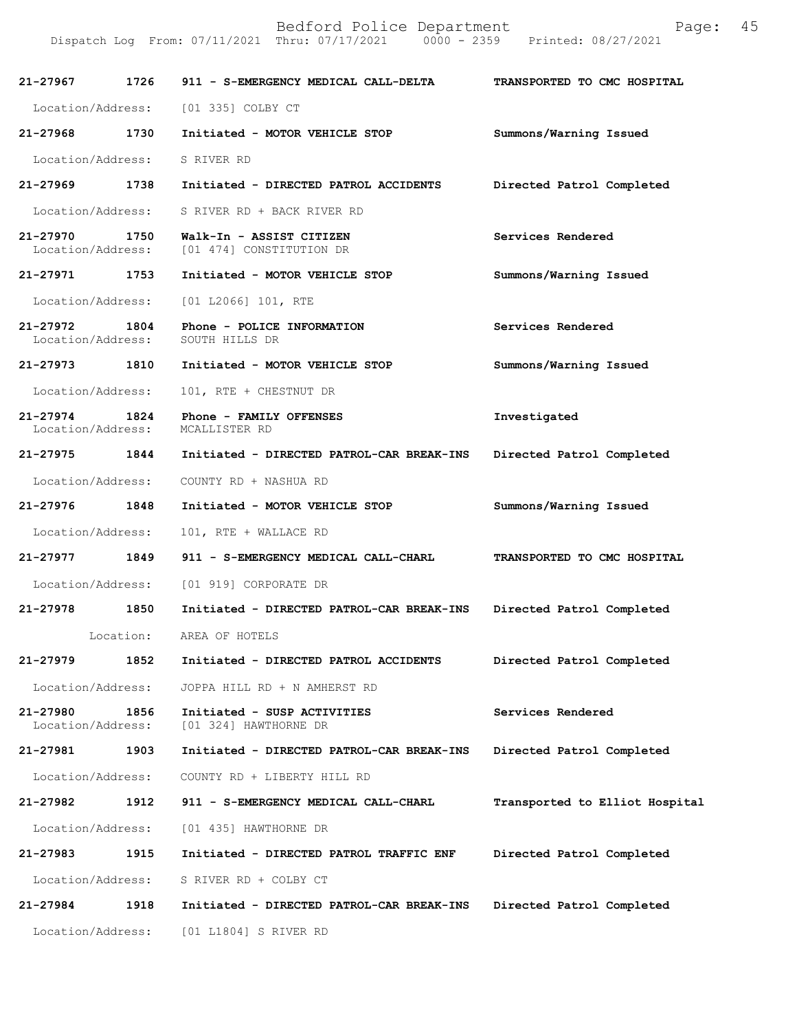| 21-27967                          | 1726 | 911 - S-EMERGENCY MEDICAL CALL-DELTA                 | TRANSPORTED TO CMC HOSPITAL    |
|-----------------------------------|------|------------------------------------------------------|--------------------------------|
| Location/Address:                 |      | [01 335] COLBY CT                                    |                                |
| 21-27968                          | 1730 | Initiated - MOTOR VEHICLE STOP                       | Summons/Warning Issued         |
| Location/Address:                 |      | S RIVER RD                                           |                                |
| 21-27969                          | 1738 | Initiated - DIRECTED PATROL ACCIDENTS                | Directed Patrol Completed      |
| Location/Address:                 |      | S RIVER RD + BACK RIVER RD                           |                                |
| 21-27970<br>Location/Address:     | 1750 | Walk-In - ASSIST CITIZEN<br>[01 474] CONSTITUTION DR | Services Rendered              |
| 21-27971                          | 1753 | Initiated - MOTOR VEHICLE STOP                       | Summons/Warning Issued         |
| Location/Address:                 |      | [01 L2066] 101, RTE                                  |                                |
| $21 - 27972$<br>Location/Address: | 1804 | Phone - POLICE INFORMATION<br>SOUTH HILLS DR         | Services Rendered              |
| 21-27973                          | 1810 | Initiated - MOTOR VEHICLE STOP                       | Summons/Warning Issued         |
| Location/Address:                 |      | 101, RTE + CHESTNUT DR                               |                                |
| $21 - 27974$<br>Location/Address: | 1824 | Phone - FAMILY OFFENSES<br>MCALLISTER RD             | Investigated                   |
| 21-27975                          | 1844 | Initiated - DIRECTED PATROL-CAR BREAK-INS            | Directed Patrol Completed      |
| Location/Address:                 |      | COUNTY RD + NASHUA RD                                |                                |
| 21-27976                          | 1848 | Initiated - MOTOR VEHICLE STOP                       | Summons/Warning Issued         |
| Location/Address:                 |      | 101, RTE + WALLACE RD                                |                                |
| 21-27977                          | 1849 | 911 - S-EMERGENCY MEDICAL CALL-CHARL                 | TRANSPORTED TO CMC HOSPITAL    |
| Location/Address:                 |      | [01 919] CORPORATE DR                                |                                |
| 21-27978                          | 1850 | Initiated - DIRECTED PATROL-CAR BREAK-INS            | Directed Patrol Completed      |
|                                   |      | Location: AREA OF HOTELS                             |                                |
| 21-27979                          | 1852 | Initiated - DIRECTED PATROL ACCIDENTS                | Directed Patrol Completed      |
| Location/Address:                 |      | JOPPA HILL RD + N AMHERST RD                         |                                |
| 21-27980<br>Location/Address:     | 1856 | Initiated - SUSP ACTIVITIES<br>[01 324] HAWTHORNE DR | Services Rendered              |
| 21-27981                          | 1903 | Initiated - DIRECTED PATROL-CAR BREAK-INS            | Directed Patrol Completed      |
| Location/Address:                 |      | COUNTY RD + LIBERTY HILL RD                          |                                |
| 21-27982                          | 1912 | 911 - S-EMERGENCY MEDICAL CALL-CHARL                 | Transported to Elliot Hospital |
| Location/Address:                 |      | [01 435] HAWTHORNE DR                                |                                |
| 21-27983                          | 1915 | Initiated - DIRECTED PATROL TRAFFIC ENF              | Directed Patrol Completed      |
| Location/Address:                 |      | S RIVER RD + COLBY CT                                |                                |
| 21-27984                          | 1918 | Initiated - DIRECTED PATROL-CAR BREAK-INS            | Directed Patrol Completed      |
| Location/Address:                 |      | [01 L1804] S RIVER RD                                |                                |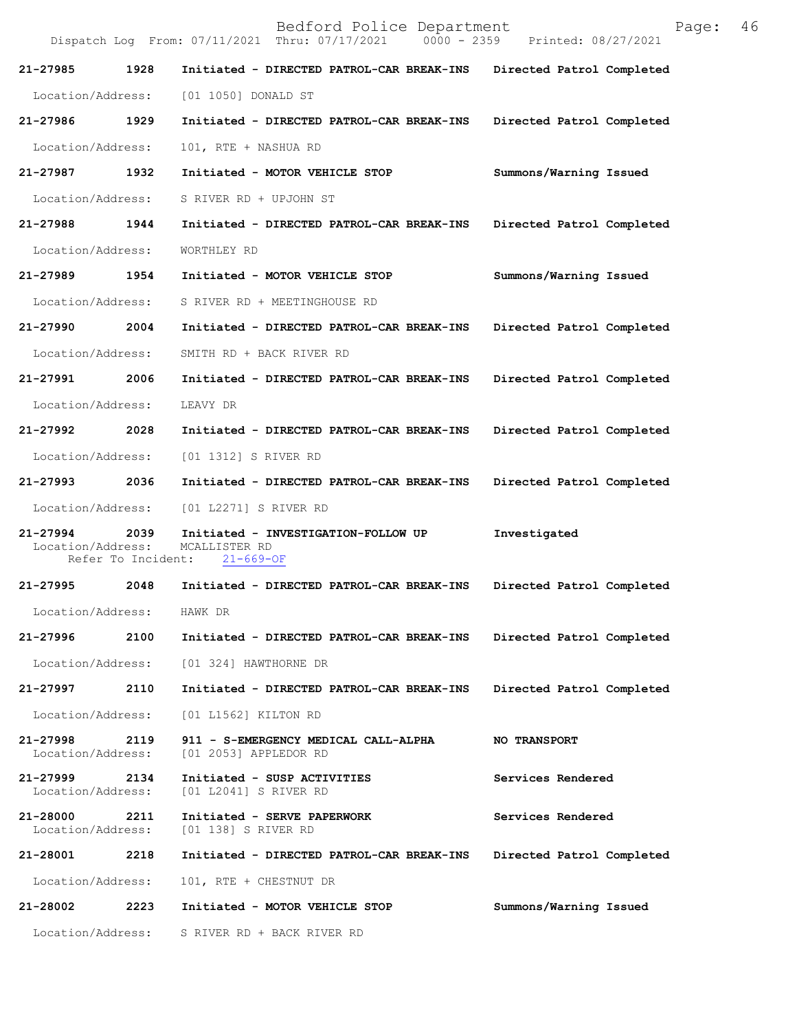|                               |                            | Bedford Police Department<br>Dispatch Log From: 07/11/2021 Thru: 07/17/2021 | 46<br>Page:<br>0000 - 2359 Printed: 08/27/2021 |
|-------------------------------|----------------------------|-----------------------------------------------------------------------------|------------------------------------------------|
| 21-27985                      | 1928                       | Initiated - DIRECTED PATROL-CAR BREAK-INS                                   | Directed Patrol Completed                      |
| Location/Address:             |                            | [01 1050] DONALD ST                                                         |                                                |
| 21-27986                      | 1929                       | Initiated - DIRECTED PATROL-CAR BREAK-INS                                   | Directed Patrol Completed                      |
| Location/Address:             |                            | 101, RTE + NASHUA RD                                                        |                                                |
| 21-27987                      | 1932                       | Initiated - MOTOR VEHICLE STOP                                              | Summons/Warning Issued                         |
| Location/Address:             |                            | S RIVER RD + UPJOHN ST                                                      |                                                |
| 21-27988                      | 1944                       | Initiated - DIRECTED PATROL-CAR BREAK-INS                                   | Directed Patrol Completed                      |
| Location/Address:             |                            | WORTHLEY RD                                                                 |                                                |
| 21-27989                      | 1954                       | Initiated - MOTOR VEHICLE STOP                                              | Summons/Warning Issued                         |
| Location/Address:             |                            | S RIVER RD + MEETINGHOUSE RD                                                |                                                |
| 21-27990                      | 2004                       | Initiated - DIRECTED PATROL-CAR BREAK-INS                                   | Directed Patrol Completed                      |
| Location/Address:             |                            | SMITH RD + BACK RIVER RD                                                    |                                                |
| 21-27991                      | 2006                       | Initiated - DIRECTED PATROL-CAR BREAK-INS                                   | Directed Patrol Completed                      |
| Location/Address:             |                            | LEAVY DR                                                                    |                                                |
| 21-27992                      | 2028                       | Initiated - DIRECTED PATROL-CAR BREAK-INS                                   | Directed Patrol Completed                      |
| Location/Address:             |                            | [01 1312] S RIVER RD                                                        |                                                |
| 21-27993                      | 2036                       | Initiated - DIRECTED PATROL-CAR BREAK-INS                                   | Directed Patrol Completed                      |
| Location/Address:             |                            | [01 L2271] S RIVER RD                                                       |                                                |
| 21-27994<br>Location/Address: | 2039<br>Refer To Incident: | Initiated - INVESTIGATION-FOLLOW UP<br>MCALLISTER RD<br>$21 - 669 - OF$     | Investigated                                   |
| 21-27995                      | 2048                       | Initiated - DIRECTED PATROL-CAR BREAK-INS                                   | Directed Patrol Completed                      |
| Location/Address:             |                            | HAWK DR                                                                     |                                                |
| 21-27996                      | 2100                       | Initiated - DIRECTED PATROL-CAR BREAK-INS                                   | Directed Patrol Completed                      |
| Location/Address:             |                            | [01 324] HAWTHORNE DR                                                       |                                                |
| 21-27997                      | 2110                       | Initiated - DIRECTED PATROL-CAR BREAK-INS                                   | Directed Patrol Completed                      |
| Location/Address:             |                            | [01 L1562] KILTON RD                                                        |                                                |
| 21-27998<br>Location/Address: | 2119                       | 911 - S-EMERGENCY MEDICAL CALL-ALPHA<br>[01 2053] APPLEDOR RD               | <b>NO TRANSPORT</b>                            |
| 21-27999<br>Location/Address: | 2134                       | Initiated - SUSP ACTIVITIES<br>[01 L2041] S RIVER RD                        | Services Rendered                              |
| 21-28000<br>Location/Address: | 2211                       | Initiated - SERVE PAPERWORK<br>[01 138] S RIVER RD                          | Services Rendered                              |
| 21-28001                      | 2218                       | Initiated - DIRECTED PATROL-CAR BREAK-INS                                   | Directed Patrol Completed                      |
| Location/Address:             |                            | 101, RTE + CHESTNUT DR                                                      |                                                |
| 21-28002                      | 2223                       | Initiated - MOTOR VEHICLE STOP                                              | Summons/Warning Issued                         |
| Location/Address:             |                            | S RIVER RD + BACK RIVER RD                                                  |                                                |